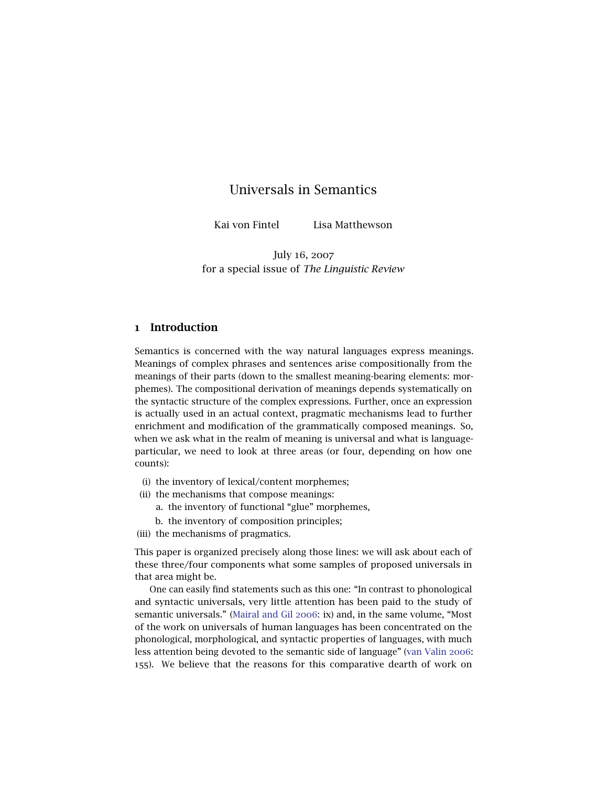# Universals in Semantics

Kai von Fintel Lisa Matthewson

July 16, 2007 for a special issue of *The Linguistic Review*

## 1 Introduction

Semantics is concerned with the way natural languages express meanings. Meanings of complex phrases and sentences arise compositionally from the meanings of their parts (down to the smallest meaning-bearing elements: morphemes). The compositional derivation of meanings depends systematically on the syntactic structure of the complex expressions. Further, once an expression is actually used in an actual context, pragmatic mechanisms lead to further enrichment and modification of the grammatically composed meanings. So, when we ask what in the realm of meaning is universal and what is languageparticular, we need to look at three areas (or four, depending on how one counts):

- (i) the inventory of lexical/content morphemes;
- (ii) the mechanisms that compose meanings:
	- a. the inventory of functional "glue" morphemes,
	- b. the inventory of composition principles;
- (iii) the mechanisms of pragmatics.

This paper is organized precisely along those lines: we will ask about each of these three/four components what some samples of proposed universals in that area might be.

One can easily find statements such as this one: "In contrast to phonological and syntactic universals, very little attention has been paid to the study of semantic universals." [\(Mairal and Gil](#page-57-0) [2006](#page-57-0): ix) and, in the same volume, "Most of the work on universals of human languages has been concentrated on the phonological, morphological, and syntactic properties of languages, with much less attention being devoted to the semantic side of language" [\(van Valin](#page-62-0) [2006](#page-62-0): 155). We believe that the reasons for this comparative dearth of work on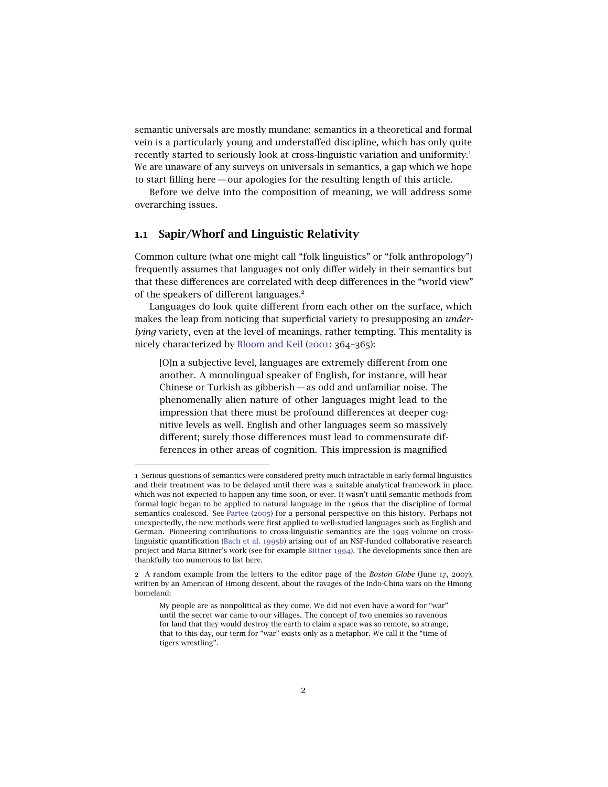semantic universals are mostly mundane: semantics in a theoretical and formal vein is a particularly young and understaffed discipline, which has only quite recently started to seriously look at cross-linguistic variation and uniformity.<sup>1</sup> We are unaware of any surveys on universals in semantics, a gap which we hope to start filling here — our apologies for the resulting length of this article.

Before we delve into the composition of meaning, we will address some overarching issues.

## 1.1 Sapir/Whorf and Linguistic Relativity

Common culture (what one might call "folk linguistics" or "folk anthropology") frequently assumes that languages not only differ widely in their semantics but that these differences are correlated with deep differences in the "world view" of the speakers of different languages.<sup>2</sup>

Languages do look quite different from each other on the surface, which makes the leap from noticing that superficial variety to presupposing an *underlying* variety, even at the level of meanings, rather tempting. This mentality is nicely characterized by [Bloom and Keil](#page-48-0) ([2001](#page-48-0): 364–365):

[O]n a subjective level, languages are extremely different from one another. A monolingual speaker of English, for instance, will hear Chinese or Turkish as gibberish — as odd and unfamiliar noise. The phenomenally alien nature of other languages might lead to the impression that there must be profound differences at deeper cognitive levels as well. English and other languages seem so massively different; surely those differences must lead to commensurate differences in other areas of cognition. This impression is magnified

<sup>1</sup> Serious questions of semantics were considered pretty much intractable in early formal linguistics and their treatment was to be delayed until there was a suitable analytical framework in place, which was not expected to happen any time soon, or ever. It wasn't until semantic methods from formal logic began to be applied to natural language in the 1960s that the discipline of formal semantics coalesced. See [Partee](#page-59-0) ([2005](#page-59-0)) for a personal perspective on this history. Perhaps not unexpectedly, the new methods were first applied to well-studied languages such as English and German. Pioneering contributions to cross-linguistic semantics are the 1995 volume on crosslinguistic quantification [\(Bach et al.](#page-47-0) [1995](#page-47-0)b) arising out of an NSF-funded collaborative research project and Maria Bittner's work (see for example [Bittner](#page-48-1) [1994](#page-48-1)). The developments since then are thankfully too numerous to list here.

<sup>2</sup> A random example from the letters to the editor page of the *Boston Globe* (June 17, 2007), written by an American of Hmong descent, about the ravages of the Indo-China wars on the Hmong homeland:

My people are as nonpolitical as they come. We did not even have a word for "war" until the secret war came to our villages. The concept of two enemies so ravenous for land that they would destroy the earth to claim a space was so remote, so strange, that to this day, our term for "war" exists only as a metaphor. We call it the "time of tigers wrestling".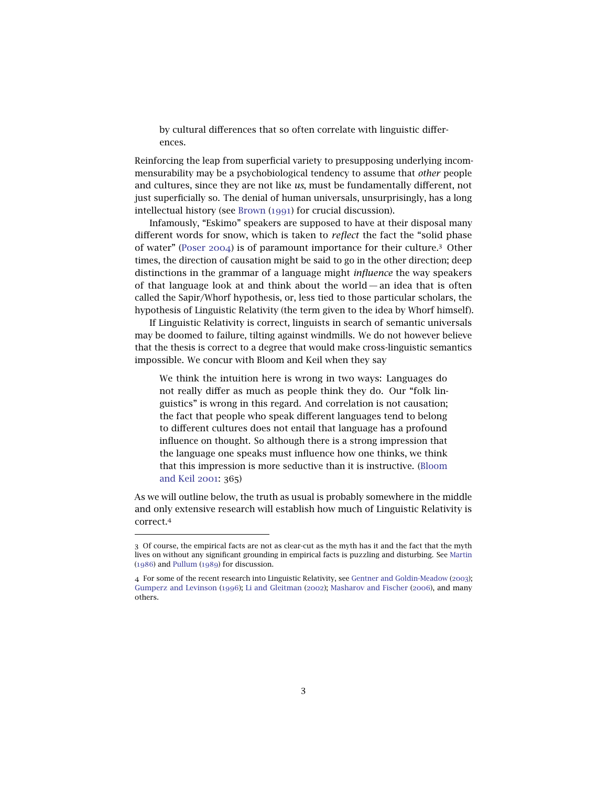by cultural differences that so often correlate with linguistic differences.

Reinforcing the leap from superficial variety to presupposing underlying incommensurability may be a psychobiological tendency to assume that *other* people and cultures, since they are not like *us*, must be fundamentally different, not just superficially so. The denial of human universals, unsurprisingly, has a long intellectual history (see [Brown](#page-49-0) ([1991](#page-49-0)) for crucial discussion).

Infamously, "Eskimo" speakers are supposed to have at their disposal many different words for snow, which is taken to *reflect* the fact the "solid phase of water" [\(Poser](#page-60-0) [2004](#page-60-0)) is of paramount importance for their culture.<sup>3</sup> Other times, the direction of causation might be said to go in the other direction; deep distinctions in the grammar of a language might *influence* the way speakers of that language look at and think about the world— an idea that is often called the Sapir/Whorf hypothesis, or, less tied to those particular scholars, the hypothesis of Linguistic Relativity (the term given to the idea by Whorf himself).

If Linguistic Relativity is correct, linguists in search of semantic universals may be doomed to failure, tilting against windmills. We do not however believe that the thesis is correct to a degree that would make cross-linguistic semantics impossible. We concur with Bloom and Keil when they say

We think the intuition here is wrong in two ways: Languages do not really differ as much as people think they do. Our "folk linguistics" is wrong in this regard. And correlation is not causation; the fact that people who speak different languages tend to belong to different cultures does not entail that language has a profound influence on thought. So although there is a strong impression that the language one speaks must influence how one thinks, we think that this impression is more seductive than it is instructive. [\(Bloom](#page-48-0) [and Keil](#page-48-0) [2001](#page-48-0): 365)

As we will outline below, the truth as usual is probably somewhere in the middle and only extensive research will establish how much of Linguistic Relativity is correct.<sup>4</sup>

<sup>3</sup> Of course, the empirical facts are not as clear-cut as the myth has it and the fact that the myth lives on without any significant grounding in empirical facts is puzzling and disturbing. See [Martin](#page-57-1) ([1986](#page-57-1)) and [Pullum](#page-60-1) ([1989](#page-60-1)) for discussion.

<sup>4</sup> For some of the recent research into Linguistic Relativity, see [Gentner and Goldin-Meadow](#page-51-0) ([2003](#page-51-0)); [Gumperz and Levinson](#page-52-0) ([1996](#page-52-0)); [Li and Gleitman](#page-57-2) ([2002](#page-57-2)); [Masharov and Fischer](#page-57-3) ([2006](#page-57-3)), and many others.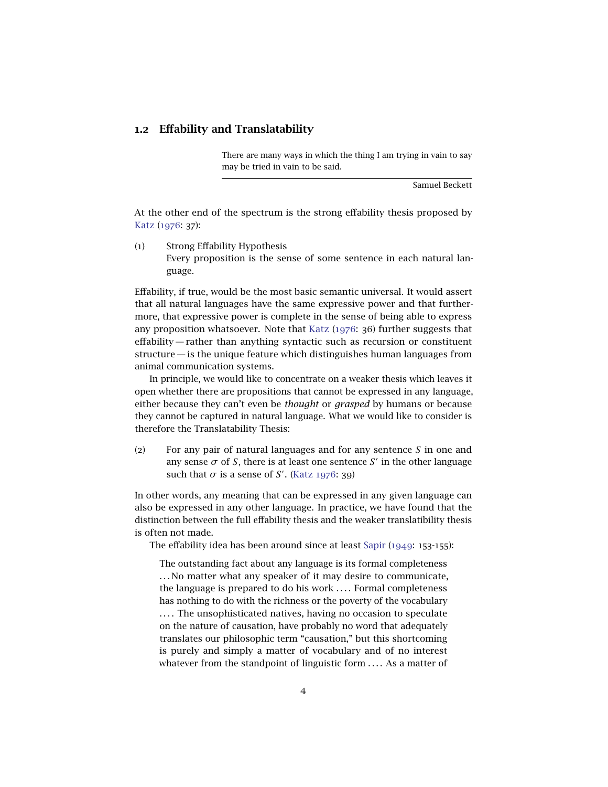## <span id="page-3-0"></span>1.2 Effability and Translatability

There are many ways in which the thing I am trying in vain to say may be tried in vain to be said.

Samuel Beckett

At the other end of the spectrum is the strong effability thesis proposed by [Katz](#page-55-0) ([1976](#page-55-0): 37):

(1) Strong Effability Hypothesis Every proposition is the sense of some sentence in each natural language.

Effability, if true, would be the most basic semantic universal. It would assert that all natural languages have the same expressive power and that furthermore, that expressive power is complete in the sense of being able to express any proposition whatsoever. Note that [Katz](#page-55-0) ([1976](#page-55-0): 36) further suggests that effability— rather than anything syntactic such as recursion or constituent structure— is the unique feature which distinguishes human languages from animal communication systems.

In principle, we would like to concentrate on a weaker thesis which leaves it open whether there are propositions that cannot be expressed in any language, either because they can't even be *thought* or *grasped* by humans or because they cannot be captured in natural language. What we would like to consider is therefore the Translatability Thesis:

(2) For any pair of natural languages and for any sentence *S* in one and any sense  $\sigma$  of  $S$ , there is at least one sentence  $S'$  in the other language such that  $\sigma$  is a sense of *S'*. [\(Katz](#page-55-0) [1976](#page-55-0): 39)

In other words, any meaning that can be expressed in any given language can also be expressed in any other language. In practice, we have found that the distinction between the full effability thesis and the weaker translatibility thesis is often not made.

The effability idea has been around since at least [Sapir](#page-60-2) ([1949](#page-60-2): 153-155):

The outstanding fact about any language is its formal completeness . . . No matter what any speaker of it may desire to communicate, the language is prepared to do his work . . . . Formal completeness has nothing to do with the richness or the poverty of the vocabulary .... The unsophisticated natives, having no occasion to speculate on the nature of causation, have probably no word that adequately translates our philosophic term "causation," but this shortcoming is purely and simply a matter of vocabulary and of no interest whatever from the standpoint of linguistic form .... As a matter of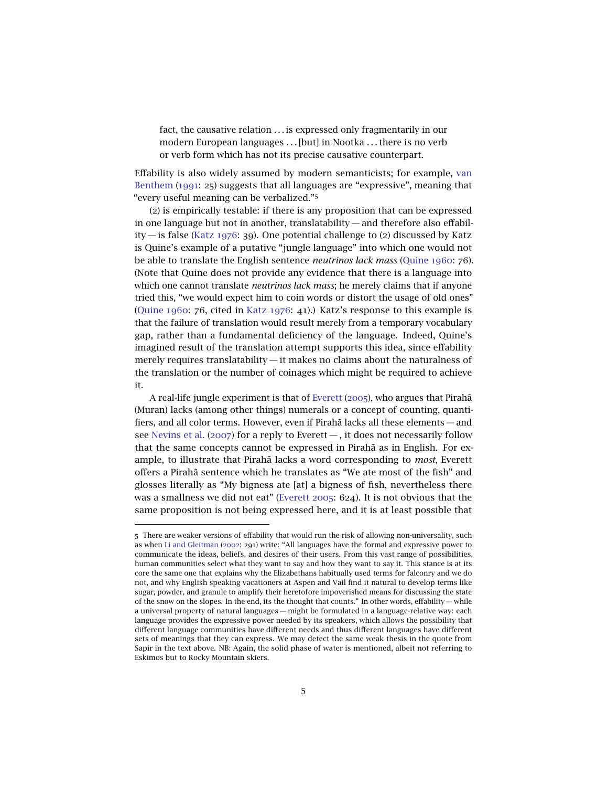fact, the causative relation . . . is expressed only fragmentarily in our modern European languages ... [but] in Nootka ... there is no verb or verb form which has not its precise causative counterpart.

Effability is also widely assumed by modern semanticists; for example, [van](#page-48-2) [Benthem](#page-48-2) ([1991](#page-48-2): 25) suggests that all languages are "expressive", meaning that "every useful meaning can be verbalized."<sup>5</sup>

(2) is empirically testable: if there is any proposition that can be expressed in one language but not in another, translatability — and therefore also effability— is false [\(Katz](#page-55-0) [1976](#page-55-0): 39). One potential challenge to (2) discussed by Katz is Quine's example of a putative "jungle language" into which one would not be able to translate the English sentence *neutrinos lack mass* [\(Quine](#page-60-3) [1960](#page-60-3): 76). (Note that Quine does not provide any evidence that there is a language into which one cannot translate *neutrinos lack mass*; he merely claims that if anyone tried this, "we would expect him to coin words or distort the usage of old ones" [\(Quine](#page-60-3) [1960](#page-60-3): 76, cited in [Katz](#page-55-0) [1976](#page-55-0): 41).) Katz's response to this example is that the failure of translation would result merely from a temporary vocabulary gap, rather than a fundamental deficiency of the language. Indeed, Quine's imagined result of the translation attempt supports this idea, since effability merely requires translatability— it makes no claims about the naturalness of the translation or the number of coinages which might be required to achieve it.

A real-life jungle experiment is that of [Everett](#page-50-0) ([2005](#page-50-0)), who argues that Pirahã (Muran) lacks (among other things) numerals or a concept of counting, quantifiers, and all color terms. However, even if Pirahã lacks all these elements — and see [Nevins et al.](#page-59-1) ([2007](#page-59-1)) for a reply to Everett— , it does not necessarily follow that the same concepts cannot be expressed in Pirahã as in English. For example, to illustrate that Pirahã lacks a word corresponding to *most*, Everett offers a Pirahã sentence which he translates as "We ate most of the fish" and glosses literally as "My bigness ate [at] a bigness of fish, nevertheless there was a smallness we did not eat" [\(Everett](#page-50-0) [2005](#page-50-0): 624). It is not obvious that the same proposition is not being expressed here, and it is at least possible that

<sup>5</sup> There are weaker versions of effability that would run the risk of allowing non-universality, such as when [Li and Gleitman](#page-57-2) ([2002](#page-57-2): 291) write: "All languages have the formal and expressive power to communicate the ideas, beliefs, and desires of their users. From this vast range of possibilities, human communities select what they want to say and how they want to say it. This stance is at its core the same one that explains why the Elizabethans habitually used terms for falconry and we do not, and why English speaking vacationers at Aspen and Vail find it natural to develop terms like sugar, powder, and granule to amplify their heretofore impoverished means for discussing the state of the snow on the slopes. In the end, its the thought that counts." In other words, effability — while a universal property of natural languages— might be formulated in a language-relative way: each language provides the expressive power needed by its speakers, which allows the possibility that different language communities have different needs and thus different languages have different sets of meanings that they can express. We may detect the same weak thesis in the quote from Sapir in the text above. NB: Again, the solid phase of water is mentioned, albeit not referring to Eskimos but to Rocky Mountain skiers.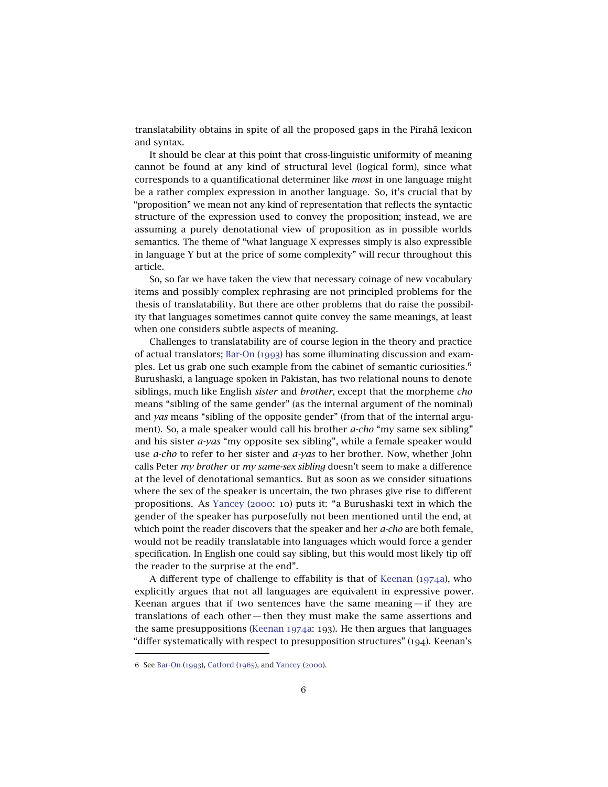translatability obtains in spite of all the proposed gaps in the Pirahã lexicon and syntax.

It should be clear at this point that cross-linguistic uniformity of meaning cannot be found at any kind of structural level (logical form), since what corresponds to a quantificational determiner like *most* in one language might be a rather complex expression in another language. So, it's crucial that by "proposition" we mean not any kind of representation that reflects the syntactic structure of the expression used to convey the proposition; instead, we are assuming a purely denotational view of proposition as in possible worlds semantics. The theme of "what language X expresses simply is also expressible in language Y but at the price of some complexity" will recur throughout this article.

So, so far we have taken the view that necessary coinage of new vocabulary items and possibly complex rephrasing are not principled problems for the thesis of translatability. But there are other problems that do raise the possibility that languages sometimes cannot quite convey the same meanings, at least when one considers subtle aspects of meaning.

Challenges to translatability are of course legion in the theory and practice of actual translators; [Bar-On](#page-47-1) ([1993](#page-47-1)) has some illuminating discussion and examples. Let us grab one such example from the cabinet of semantic curiosities.<sup>6</sup> Burushaski, a language spoken in Pakistan, has two relational nouns to denote siblings, much like English *sister* and *brother*, except that the morpheme *cho* means "sibling of the same gender" (as the internal argument of the nominal) and *yas* means "sibling of the opposite gender" (from that of the internal argument). So, a male speaker would call his brother *a-cho* "my same sex sibling" and his sister *a-yas* "my opposite sex sibling", while a female speaker would use *a-cho* to refer to her sister and *a-yas* to her brother. Now, whether John calls Peter *my brother* or *my same-sex sibling* doesn't seem to make a difference at the level of denotational semantics. But as soon as we consider situations where the sex of the speaker is uncertain, the two phrases give rise to different propositions. As [Yancey](#page-63-0) ([2000](#page-63-0): 10) puts it: "a Burushaski text in which the gender of the speaker has purposefully not been mentioned until the end, at which point the reader discovers that the speaker and her *a-cho* are both female, would not be readily translatable into languages which would force a gender specification. In English one could say sibling, but this would most likely tip off the reader to the surprise at the end".

A different type of challenge to effability is that of [Keenan](#page-55-1) ([1974](#page-55-1)a), who explicitly argues that not all languages are equivalent in expressive power. Keenan argues that if two sentences have the same meaning— if they are translations of each other— then they must make the same assertions and the same presuppositions [\(Keenan](#page-55-1) [1974](#page-55-1)a: 193). He then argues that languages "differ systematically with respect to presupposition structures" (194). Keenan's

<sup>6</sup> See [Bar-On](#page-47-1) ([1993](#page-47-1)), [Catford](#page-49-1) ([1965](#page-49-1)), and [Yancey](#page-63-0) ([2000](#page-63-0)).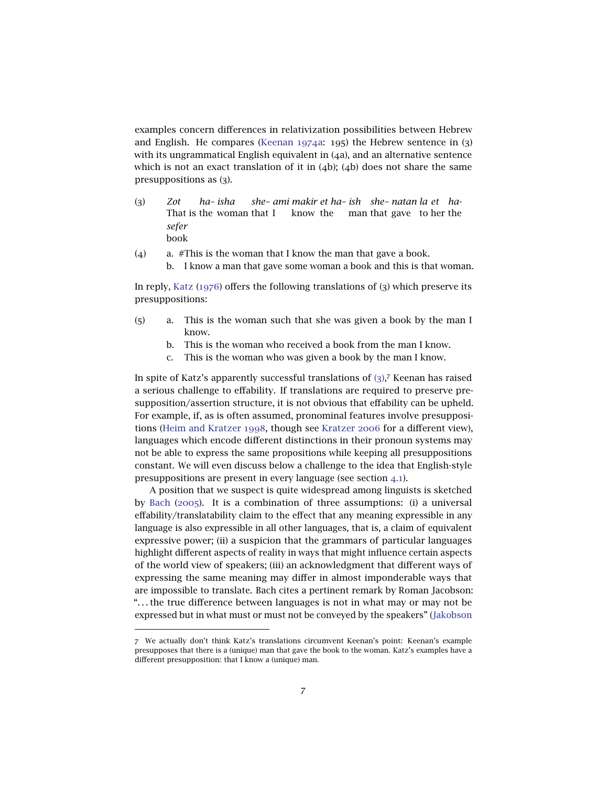examples concern differences in relativization possibilities between Hebrew and English. He compares [\(Keenan](#page-55-1) [1974](#page-55-1)a: 195) the Hebrew sentence in (3) with its ungrammatical English equivalent in (4a), and an alternative sentence which is not an exact translation of it in  $(4b)$ ;  $(4b)$  does not share the same presuppositions as (3).

- <span id="page-6-0"></span>(3) *Zot* That is the woman that I *ha– isha she– ami makir et ha– ish she– natan la et ha*know the man that gave to her the *sefer* book
- (4) a. #This is the woman that I know the man that gave a book.
	- b. I know a man that gave some woman a book and this is that woman.

In reply, [Katz](#page-55-0) ([1976](#page-55-0)) offers the following translations of (3) which preserve its presuppositions:

- (5) a. This is the woman such that she was given a book by the man I know.
	- b. This is the woman who received a book from the man I know.
	- c. This is the woman who was given a book by the man I know.

In spite of Katz's apparently successful translations of ([3](#page-6-0)), <sup>7</sup> Keenan has raised a serious challenge to effability. If translations are required to preserve presupposition/assertion structure, it is not obvious that effability can be upheld. For example, if, as is often assumed, pronominal features involve presuppositions [\(Heim and Kratzer](#page-53-0) [1998](#page-53-0), though see [Kratzer](#page-56-0) [2006](#page-56-0) for a different view), languages which encode different distinctions in their pronoun systems may not be able to express the same propositions while keeping all presuppositions constant. We will even discuss below a challenge to the idea that English-style presuppositions are present in every language (see section [4](#page-36-0).1).

A position that we suspect is quite widespread among linguists is sketched by [Bach](#page-47-2) ([2005](#page-47-2)). It is a combination of three assumptions: (i) a universal effability/translatability claim to the effect that any meaning expressible in any language is also expressible in all other languages, that is, a claim of equivalent expressive power; (ii) a suspicion that the grammars of particular languages highlight different aspects of reality in ways that might influence certain aspects of the world view of speakers; (iii) an acknowledgment that different ways of expressing the same meaning may differ in almost imponderable ways that are impossible to translate. Bach cites a pertinent remark by Roman Jacobson: "... the true difference between languages is not in what may or may not be expressed but in what must or must not be conveyed by the speakers" [\(Jakobson](#page-54-0)

<sup>7</sup> We actually don't think Katz's translations circumvent Keenan's point: Keenan's example presupposes that there is a (unique) man that gave the book to the woman. Katz's examples have a different presupposition: that I know a (unique) man.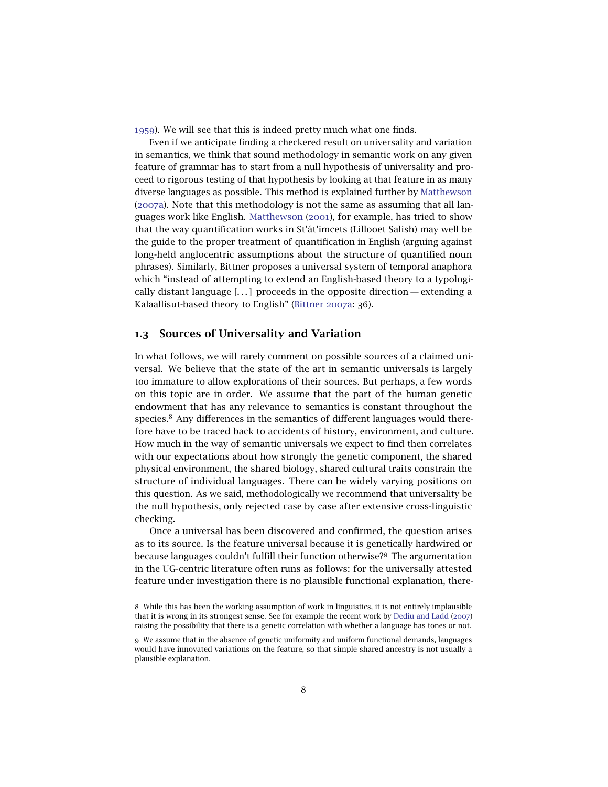[1959](#page-54-0)). We will see that this is indeed pretty much what one finds.

Even if we anticipate finding a checkered result on universality and variation in semantics, we think that sound methodology in semantic work on any given feature of grammar has to start from a null hypothesis of universality and proceed to rigorous testing of that hypothesis by looking at that feature in as many diverse languages as possible. This method is explained further by [Matthewson](#page-58-0) ([2007](#page-58-0)a). Note that this methodology is not the same as assuming that all languages work like English. [Matthewson](#page-57-4) ([2001](#page-57-4)), for example, has tried to show that the way quantification works in St'át'imcets (Lillooet Salish) may well be the guide to the proper treatment of quantification in English (arguing against long-held anglocentric assumptions about the structure of quantified noun phrases). Similarly, Bittner proposes a universal system of temporal anaphora which "instead of attempting to extend an English-based theory to a typologically distant language  $[...]$  proceeds in the opposite direction — extending a Kalaallisut-based theory to English" [\(Bittner](#page-48-3) [2007](#page-48-3)a: 36).

## 1.3 Sources of Universality and Variation

In what follows, we will rarely comment on possible sources of a claimed universal. We believe that the state of the art in semantic universals is largely too immature to allow explorations of their sources. But perhaps, a few words on this topic are in order. We assume that the part of the human genetic endowment that has any relevance to semantics is constant throughout the species.<sup>8</sup> Any differences in the semantics of different languages would therefore have to be traced back to accidents of history, environment, and culture. How much in the way of semantic universals we expect to find then correlates with our expectations about how strongly the genetic component, the shared physical environment, the shared biology, shared cultural traits constrain the structure of individual languages. There can be widely varying positions on this question. As we said, methodologically we recommend that universality be the null hypothesis, only rejected case by case after extensive cross-linguistic checking.

Once a universal has been discovered and confirmed, the question arises as to its source. Is the feature universal because it is genetically hardwired or because languages couldn't fulfill their function otherwise?<sup>9</sup> The argumentation in the UG-centric literature often runs as follows: for the universally attested feature under investigation there is no plausible functional explanation, there-

<sup>8</sup> While this has been the working assumption of work in linguistics, it is not entirely implausible that it is wrong in its strongest sense. See for example the recent work by [Dediu and Ladd](#page-50-1) ([2007](#page-50-1)) raising the possibility that there is a genetic correlation with whether a language has tones or not.

<sup>9</sup> We assume that in the absence of genetic uniformity and uniform functional demands, languages would have innovated variations on the feature, so that simple shared ancestry is not usually a plausible explanation.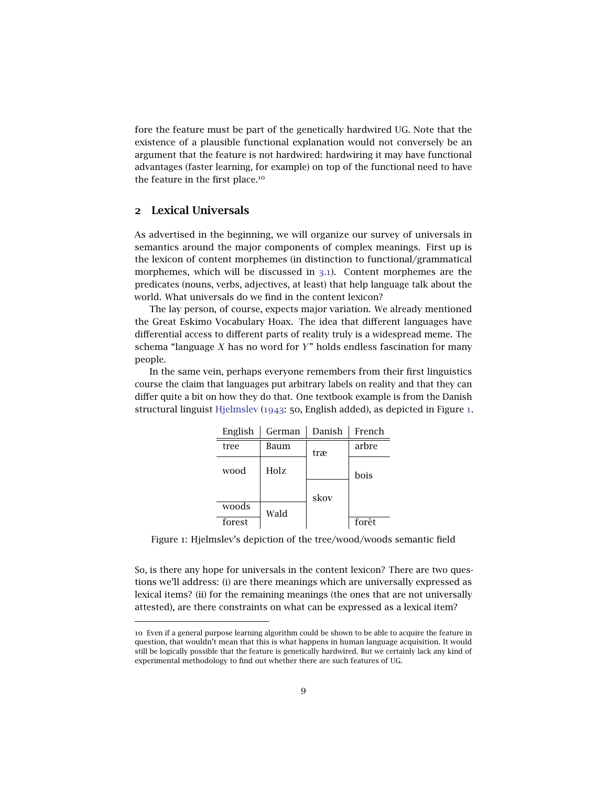fore the feature must be part of the genetically hardwired UG. Note that the existence of a plausible functional explanation would not conversely be an argument that the feature is not hardwired: hardwiring it may have functional advantages (faster learning, for example) on top of the functional need to have the feature in the first place.<sup>10</sup>

## 2 Lexical Universals

As advertised in the beginning, we will organize our survey of universals in semantics around the major components of complex meanings. First up is the lexicon of content morphemes (in distinction to functional/grammatical morphemes, which will be discussed in [3](#page-16-0).1). Content morphemes are the predicates (nouns, verbs, adjectives, at least) that help language talk about the world. What universals do we find in the content lexicon?

The lay person, of course, expects major variation. We already mentioned the Great Eskimo Vocabulary Hoax. The idea that different languages have differential access to different parts of reality truly is a widespread meme. The schema "language *X* has no word for *Y*" holds endless fascination for many people.

In the same vein, perhaps everyone remembers from their first linguistics course the claim that languages put arbitrary labels on reality and that they can differ quite a bit on how they do that. One textbook example is from the Danish structural linguist [Hjelmslev](#page-53-1) ([1943](#page-53-1): 50, English added), as depicted in Figure [1](#page-8-0).

| English | German | Danish | French |
|---------|--------|--------|--------|
| tree    | Baum   | træ    | arbre  |
| wood    | Holz   |        | bois   |
|         |        | skov   |        |
| woods   | Wald   |        |        |
| forest  |        |        | forêt  |

<span id="page-8-0"></span>Figure 1: Hjelmslev's depiction of the tree/wood/woods semantic field

So, is there any hope for universals in the content lexicon? There are two questions we'll address: (i) are there meanings which are universally expressed as lexical items? (ii) for the remaining meanings (the ones that are not universally attested), are there constraints on what can be expressed as a lexical item?

<sup>10</sup> Even if a general purpose learning algorithm could be shown to be able to acquire the feature in question, that wouldn't mean that this is what happens in human language acquisition. It would still be logically possible that the feature is genetically hardwired. But we certainly lack any kind of experimental methodology to find out whether there are such features of UG.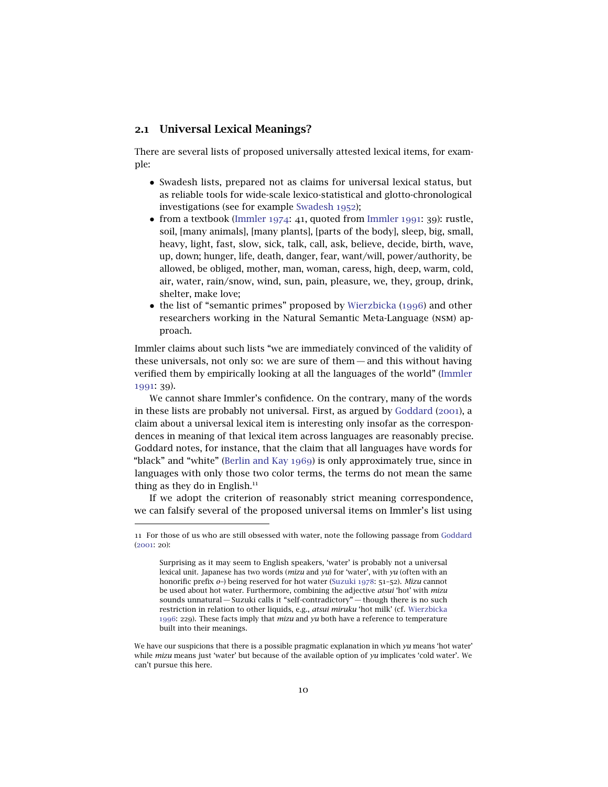## 2.1 Universal Lexical Meanings?

There are several lists of proposed universally attested lexical items, for example:

- Swadesh lists, prepared not as claims for universal lexical status, but as reliable tools for wide-scale lexico-statistical and glotto-chronological investigations (see for example [Swadesh](#page-62-1) [1952](#page-62-1));
- from a textbook [\(Immler](#page-54-1) [1974](#page-54-1): 41, quoted from [Immler](#page-54-2) [1991](#page-54-2): 39): rustle, soil, [many animals], [many plants], [parts of the body], sleep, big, small, heavy, light, fast, slow, sick, talk, call, ask, believe, decide, birth, wave, up, down; hunger, life, death, danger, fear, want/will, power/authority, be allowed, be obliged, mother, man, woman, caress, high, deep, warm, cold, air, water, rain/snow, wind, sun, pain, pleasure, we, they, group, drink, shelter, make love;
- the list of "semantic primes" proposed by [Wierzbicka](#page-62-2) ([1996](#page-62-2)) and other researchers working in the Natural Semantic Meta-Language (nsm) approach.

Immler claims about such lists "we are immediately convinced of the validity of these universals, not only so: we are sure of them— and this without having verified them by empirically looking at all the languages of the world" [\(Immler](#page-54-2) [1991](#page-54-2): 39).

We cannot share Immler's confidence. On the contrary, many of the words in these lists are probably not universal. First, as argued by [Goddard](#page-52-1) ([2001](#page-52-1)), a claim about a universal lexical item is interesting only insofar as the correspondences in meaning of that lexical item across languages are reasonably precise. Goddard notes, for instance, that the claim that all languages have words for "black" and "white" [\(Berlin and Kay](#page-48-4) [1969](#page-48-4)) is only approximately true, since in languages with only those two color terms, the terms do not mean the same thing as they do in English. $11$ 

If we adopt the criterion of reasonably strict meaning correspondence, we can falsify several of the proposed universal items on Immler's list using

<sup>11</sup> For those of us who are still obsessed with water, note the following passage from [Goddard](#page-52-1) ([2001](#page-52-1): 20):

Surprising as it may seem to English speakers, 'water' is probably not a universal lexical unit. Japanese has two words (*mizu* and *yu*) for 'water', with *yu* (often with an honorific prefix *o–*) being reserved for hot water [\(Suzuki](#page-62-3) [1978](#page-62-3): 51–52). *Mizu* cannot be used about hot water. Furthermore, combining the adjective *atsui* 'hot' with *mizu* sounds unnatural— Suzuki calls it "self-contradictory"— though there is no such restriction in relation to other liquids, e.g., *atsui miruku* 'hot milk' (cf. [Wierzbicka](#page-62-2) [1996](#page-62-2): 229). These facts imply that *mizu* and *yu* both have a reference to temperature built into their meanings.

We have our suspicions that there is a possible pragmatic explanation in which *yu* means 'hot water' while *mizu* means just 'water' but because of the available option of *yu* implicates 'cold water'. We can't pursue this here.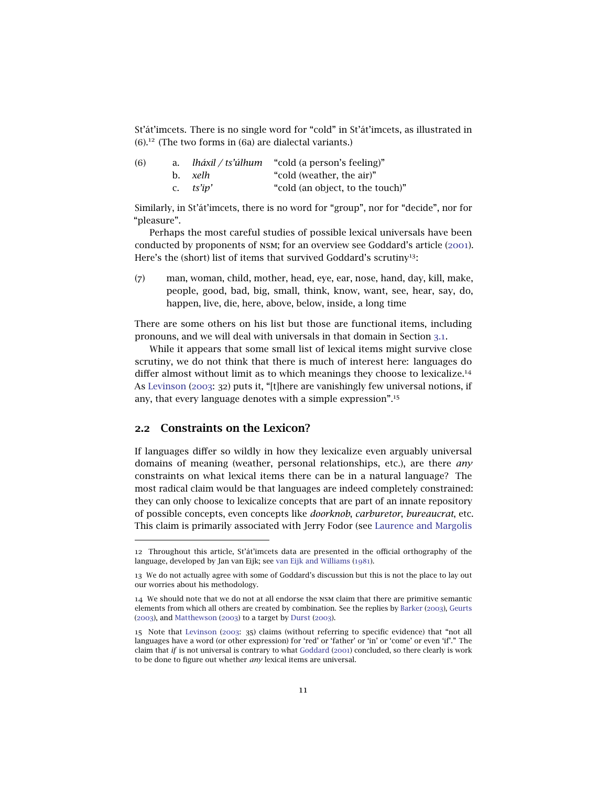St'át'imcets. There is no single word for "cold" in St'át'imcets, as illustrated in (6).<sup>12</sup> (The two forms in (6a) are dialectal variants.)

| (6) | a. |                | <i>lháxil / ts'úlhum</i> "cold (a person's feeling)" |
|-----|----|----------------|------------------------------------------------------|
|     |    | b. <i>xelh</i> | "cold (weather, the air)"                            |
|     |    | c. $ts'ip'$    | "cold (an object, to the touch)"                     |

Similarly, in St'át'imcets, there is no word for "group", nor for "decide", nor for "pleasure".

Perhaps the most careful studies of possible lexical universals have been conducted by proponents of nsm; for an overview see Goddard's article ([2001](#page-52-1)). Here's the (short) list of items that survived Goddard's scrutiny<sup>13</sup>:

(7) man, woman, child, mother, head, eye, ear, nose, hand, day, kill, make, people, good, bad, big, small, think, know, want, see, hear, say, do, happen, live, die, here, above, below, inside, a long time

There are some others on his list but those are functional items, including pronouns, and we will deal with universals in that domain in Section [3](#page-16-0).1.

While it appears that some small list of lexical items might survive close scrutiny, we do not think that there is much of interest here: languages do differ almost without limit as to which meanings they choose to lexicalize.<sup>14</sup> As [Levinson](#page-57-5) ([2003](#page-57-5): 32) puts it, "[t]here are vanishingly few universal notions, if any, that every language denotes with a simple expression".<sup>15</sup>

## 2.2 Constraints on the Lexicon?

If languages differ so wildly in how they lexicalize even arguably universal domains of meaning (weather, personal relationships, etc.), are there *any* constraints on what lexical items there can be in a natural language? The most radical claim would be that languages are indeed completely constrained: they can only choose to lexicalize concepts that are part of an innate repository of possible concepts, even concepts like *doorknob*, *carburetor*, *bureaucrat*, etc. This claim is primarily associated with Jerry Fodor (see [Laurence and Margolis](#page-56-1)

<sup>12</sup> Throughout this article, St'át'imcets data are presented in the official orthography of the language, developed by Jan van Eijk; see [van Eijk and Williams](#page-50-2) ([1981](#page-50-2)).

<sup>13</sup> We do not actually agree with some of Goddard's discussion but this is not the place to lay out our worries about his methodology.

<sup>14</sup> We should note that we do not at all endorse the nsm claim that there are primitive semantic elements from which all others are created by combination. See the replies by [Barker](#page-48-5) ([2003](#page-48-5)), [Geurts](#page-52-2) ([2003](#page-52-2)), and [Matthewson](#page-57-6) ([2003](#page-57-6)) to a target by [Durst](#page-50-3) ([2003](#page-50-3)).

<sup>15</sup> Note that [Levinson](#page-57-5) ([2003](#page-57-5): 35) claims (without referring to specific evidence) that "not all languages have a word (or other expression) for 'red' or 'father' or 'in' or 'come' or even 'if'." The claim that *if* is not universal is contrary to what [Goddard](#page-52-1) ([2001](#page-52-1)) concluded, so there clearly is work to be done to figure out whether *any* lexical items are universal.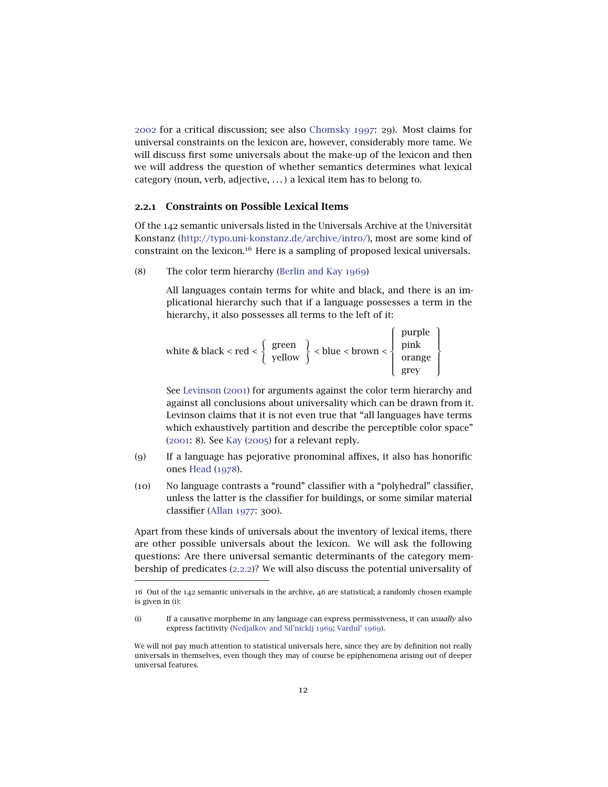[2002](#page-56-1) for a critical discussion; see also [Chomsky](#page-49-2) [1997](#page-49-2): 29). Most claims for universal constraints on the lexicon are, however, considerably more tame. We will discuss first some universals about the make-up of the lexicon and then we will address the question of whether semantics determines what lexical category (noun, verb, adjective, . . . ) a lexical item has to belong to.

#### 2.2.1 Constraints on Possible Lexical Items

Of the 142 semantic universals listed in the Universals Archive at the Universität Konstanz [\(http://typo.uni-konstanz.de/archive/intro/\)](http://typo.uni-konstanz.de/archive/intro/), most are some kind of constraint on the lexicon.<sup>16</sup> Here is a sampling of proposed lexical universals.

#### (8) The color term hierarchy [\(Berlin and Kay](#page-48-4) [1969](#page-48-4))

All languages contain terms for white and black, and there is an implicational hierarchy such that if a language possesses a term in the hierarchy, it also possesses all terms to the left of it:

$$
\text{white & black < red < } \left\{ \begin{array}{l} \text{green} \\ \text{yellow} \end{array} \right\} < blue < brown < \left\{ \begin{array}{l} \text{purple} \\ \text{pink} \\ \text{orange} \\ \text{grey} \end{array} \right\}
$$

See [Levinson](#page-56-2) ([2001](#page-56-2)) for arguments against the color term hierarchy and against all conclusions about universality which can be drawn from it. Levinson claims that it is not even true that "all languages have terms which exhaustively partition and describe the perceptible color space" ([2001](#page-56-2): 8). See [Kay](#page-55-2) ([2005](#page-55-2)) for a relevant reply.

- (9) If a language has pejorative pronominal affixes, it also has honorific ones [Head](#page-53-2) ([1978](#page-53-2)).
- (10) No language contrasts a "round" classifier with a "polyhedral" classifier, unless the latter is the classifier for buildings, or some similar material classifier [\(Allan](#page-47-3) [1977](#page-47-3): 300).

Apart from these kinds of universals about the inventory of lexical items, there are other possible universals about the lexicon. We will ask the following questions: Are there universal semantic determinants of the category membership of predicates ([2](#page-12-0).2.2)? We will also discuss the potential universality of

<sup>16</sup> Out of the 142 semantic universals in the archive, 46 are statistical; a randomly chosen example is given in (i):

<sup>(</sup>i) If a causative morpheme in any language can express permissiveness, it can *usually* also express factitivity [\(Nedjalkov and Sil'nickij](#page-58-1) [1969](#page-58-1); [Vardul'](#page-62-4) [1969](#page-62-4)).

We will not pay much attention to statistical universals here, since they are by definition not really universals in themselves, even though they may of course be epiphenomena arising out of deeper universal features.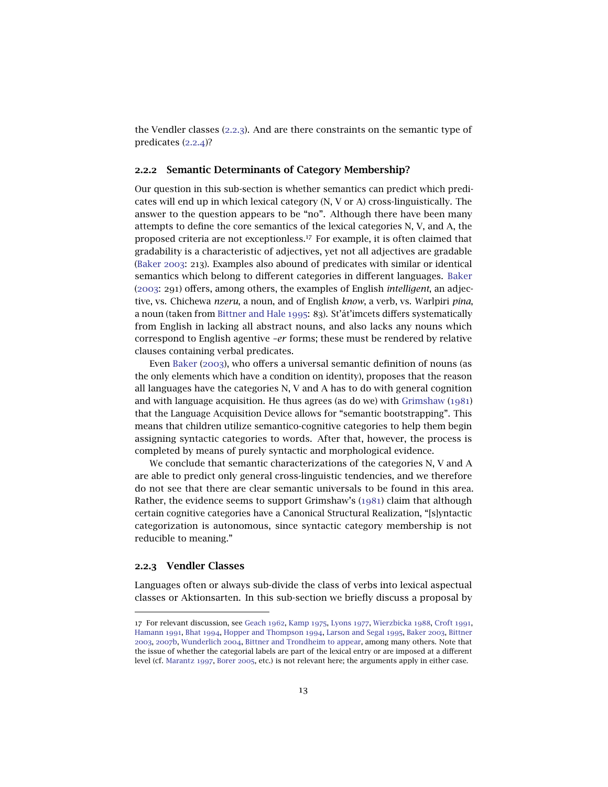the Vendler classes ([2](#page-12-1).2.3). And are there constraints on the semantic type of predicates (2.2.[4](#page-14-0))?

#### <span id="page-12-0"></span>2.2.2 Semantic Determinants of Category Membership?

Our question in this sub-section is whether semantics can predict which predicates will end up in which lexical category (N, V or A) cross-linguistically. The answer to the question appears to be "no". Although there have been many attempts to define the core semantics of the lexical categories N, V, and A, the proposed criteria are not exceptionless.<sup>17</sup> For example, it is often claimed that gradability is a characteristic of adjectives, yet not all adjectives are gradable [\(Baker](#page-47-4) [2003](#page-47-4): 213). Examples also abound of predicates with similar or identical semantics which belong to different categories in different languages. [Baker](#page-47-4) ([2003](#page-47-4): 291) offers, among others, the examples of English *intelligent*, an adjective, vs. Chichewa *nzeru*, a noun, and of English *know*, a verb, vs. Warlpiri *pina*, a noun (taken from [Bittner and Hale](#page-48-6) [1995](#page-48-6): 83). St'át'imcets differs systematically from English in lacking all abstract nouns, and also lacks any nouns which correspond to English agentive *–er* forms; these must be rendered by relative clauses containing verbal predicates.

Even [Baker](#page-47-4) ([2003](#page-47-4)), who offers a universal semantic definition of nouns (as the only elements which have a condition on identity), proposes that the reason all languages have the categories N, V and A has to do with general cognition and with language acquisition. He thus agrees (as do we) with [Grimshaw](#page-52-3) ([1981](#page-52-3)) that the Language Acquisition Device allows for "semantic bootstrapping". This means that children utilize semantico-cognitive categories to help them begin assigning syntactic categories to words. After that, however, the process is completed by means of purely syntactic and morphological evidence.

We conclude that semantic characterizations of the categories N, V and A are able to predict only general cross-linguistic tendencies, and we therefore do not see that there are clear semantic universals to be found in this area. Rather, the evidence seems to support Grimshaw's ([1981](#page-52-3)) claim that although certain cognitive categories have a Canonical Structural Realization, "[s]yntactic categorization is autonomous, since syntactic category membership is not reducible to meaning."

#### <span id="page-12-1"></span>2.2.3 Vendler Classes

Languages often or always sub-divide the class of verbs into lexical aspectual classes or Aktionsarten. In this sub-section we briefly discuss a proposal by

<sup>17</sup> For relevant discussion, see [Geach](#page-51-1) [1962](#page-51-1), [Kamp](#page-54-3) [1975](#page-54-3), [Lyons](#page-57-7) [1977](#page-57-7), [Wierzbicka](#page-62-5) [1988](#page-62-5), [Croft](#page-50-4) [1991](#page-50-4), [Hamann](#page-52-4) [1991](#page-52-4), [Bhat](#page-48-7) [1994](#page-48-7), [Hopper and Thompson](#page-54-4) [1994](#page-54-4), [Larson and Segal](#page-56-3) [1995](#page-56-3), [Baker](#page-47-4) [2003](#page-47-4), [Bittner](#page-48-8) [2003](#page-48-8), [2007](#page-48-9)b, [Wunderlich](#page-63-1) [2004](#page-63-1), [Bittner and Trondheim](#page-48-10) [to appear,](#page-48-10) among many others. Note that the issue of whether the categorial labels are part of the lexical entry or are imposed at a different level (cf. [Marantz](#page-57-8) [1997](#page-57-8), [Borer](#page-49-3) [2005](#page-49-3), etc.) is not relevant here; the arguments apply in either case.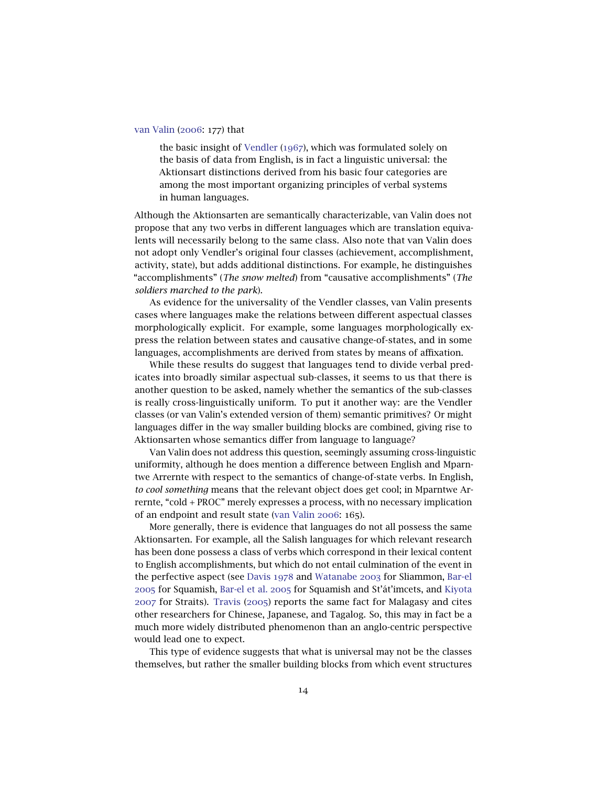#### [van Valin](#page-62-0) ([2006](#page-62-0): 177) that

the basic insight of [Vendler](#page-62-6) ([1967](#page-62-6)), which was formulated solely on the basis of data from English, is in fact a linguistic universal: the Aktionsart distinctions derived from his basic four categories are among the most important organizing principles of verbal systems in human languages.

Although the Aktionsarten are semantically characterizable, van Valin does not propose that any two verbs in different languages which are translation equivalents will necessarily belong to the same class. Also note that van Valin does not adopt only Vendler's original four classes (achievement, accomplishment, activity, state), but adds additional distinctions. For example, he distinguishes "accomplishments" (*The snow melted*) from "causative accomplishments" (*The soldiers marched to the park*).

As evidence for the universality of the Vendler classes, van Valin presents cases where languages make the relations between different aspectual classes morphologically explicit. For example, some languages morphologically express the relation between states and causative change-of-states, and in some languages, accomplishments are derived from states by means of affixation.

While these results do suggest that languages tend to divide verbal predicates into broadly similar aspectual sub-classes, it seems to us that there is another question to be asked, namely whether the semantics of the sub-classes is really cross-linguistically uniform. To put it another way: are the Vendler classes (or van Valin's extended version of them) semantic primitives? Or might languages differ in the way smaller building blocks are combined, giving rise to Aktionsarten whose semantics differ from language to language?

Van Valin does not address this question, seemingly assuming cross-linguistic uniformity, although he does mention a difference between English and Mparntwe Arrernte with respect to the semantics of change-of-state verbs. In English, *to cool something* means that the relevant object does get cool; in Mparntwe Arrernte, "cold + PROC" merely expresses a process, with no necessary implication of an endpoint and result state [\(van Valin](#page-62-0) [2006](#page-62-0): 165).

More generally, there is evidence that languages do not all possess the same Aktionsarten. For example, all the Salish languages for which relevant research has been done possess a class of verbs which correspond in their lexical content to English accomplishments, but which do not entail culmination of the event in the perfective aspect (see [Davis](#page-50-5) [1978](#page-50-5) and [Watanabe](#page-62-7) [2003](#page-62-7) for Sliammon, [Bar-el](#page-47-5) [2005](#page-47-5) for Squamish, [Bar-el et al.](#page-47-6) [2005](#page-47-6) for Squamish and St'át'imcets, and [Kiyota](#page-55-3) [2007](#page-55-3) for Straits). [Travis](#page-62-8) ([2005](#page-62-8)) reports the same fact for Malagasy and cites other researchers for Chinese, Japanese, and Tagalog. So, this may in fact be a much more widely distributed phenomenon than an anglo-centric perspective would lead one to expect.

This type of evidence suggests that what is universal may not be the classes themselves, but rather the smaller building blocks from which event structures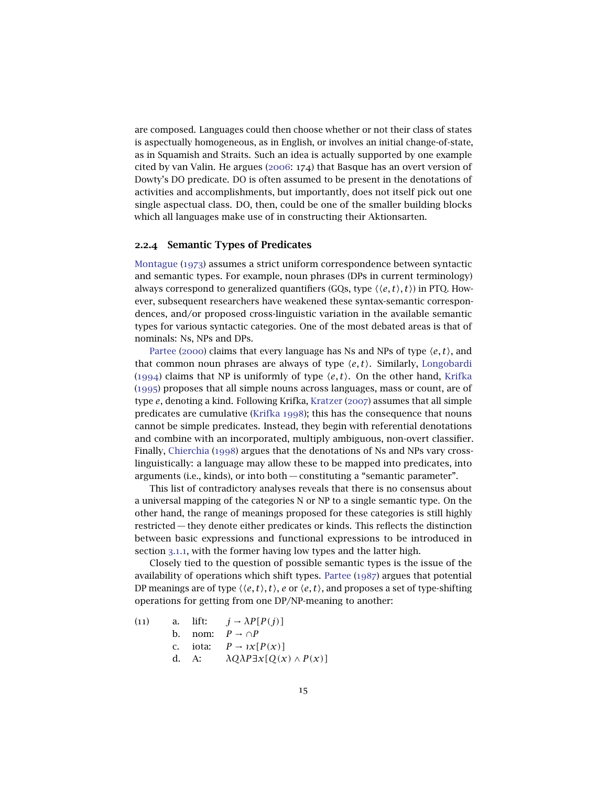are composed. Languages could then choose whether or not their class of states is aspectually homogeneous, as in English, or involves an initial change-of-state, as in Squamish and Straits. Such an idea is actually supported by one example cited by van Valin. He argues ([2006](#page-62-0): 174) that Basque has an overt version of Dowty's DO predicate. DO is often assumed to be present in the denotations of activities and accomplishments, but importantly, does not itself pick out one single aspectual class. DO, then, could be one of the smaller building blocks which all languages make use of in constructing their Aktionsarten.

### <span id="page-14-0"></span>2.2.4 Semantic Types of Predicates

[Montague](#page-58-2) ([1973](#page-58-2)) assumes a strict uniform correspondence between syntactic and semantic types. For example, noun phrases (DPs in current terminology) always correspond to generalized quantifiers (GQs, type  $\langle \langle e, t \rangle, t \rangle$ ) in PTQ. However, subsequent researchers have weakened these syntax-semantic correspondences, and/or proposed cross-linguistic variation in the available semantic types for various syntactic categories. One of the most debated areas is that of nominals: Ns, NPs and DPs.

[Partee](#page-59-2) ([2000](#page-59-2)) claims that every language has Ns and NPs of type  $\langle e, t \rangle$ , and that common noun phrases are always of type  $\langle e, t \rangle$ . Similarly, [Longobardi](#page-57-9) ([1994](#page-57-9)) claims that NP is uniformly of type  $\langle e, t \rangle$ . On the other hand, [Krifka](#page-56-4) ([1995](#page-56-4)) proposes that all simple nouns across languages, mass or count, are of type *e*, denoting a kind. Following Krifka, [Kratzer](#page-56-5) ([2007](#page-56-5)) assumes that all simple predicates are cumulative [\(Krifka](#page-56-6) [1998](#page-56-6)); this has the consequence that nouns cannot be simple predicates. Instead, they begin with referential denotations and combine with an incorporated, multiply ambiguous, non-overt classifier. Finally, [Chierchia](#page-49-4) ([1998](#page-49-4)) argues that the denotations of Ns and NPs vary crosslinguistically: a language may allow these to be mapped into predicates, into arguments (i.e., kinds), or into both — constituting a "semantic parameter".

This list of contradictory analyses reveals that there is no consensus about a universal mapping of the categories N or NP to a single semantic type. On the other hand, the range of meanings proposed for these categories is still highly restricted — they denote either predicates or kinds. This reflects the distinction between basic expressions and functional expressions to be introduced in section [3](#page-16-1).1.1, with the former having low types and the latter high.

Closely tied to the question of possible semantic types is the issue of the availability of operations which shift types. [Partee](#page-59-3) ([1987](#page-59-3)) argues that potential DP meanings are of type  $\langle \langle e, t \rangle, t \rangle$ , *e* or  $\langle e, t \rangle$ , and proposes a set of type-shifting operations for getting from one DP/NP-meaning to another:

(11)

\na. lift:

\n
$$
j \rightarrow \lambda P[P(j)]
$$
\nb. nom:

\n
$$
P \rightarrow \cap P
$$
\nc. iota:

\n
$$
P \rightarrow \gamma x[P(x)]
$$
\nd. A:

\n
$$
\lambda Q \lambda P \exists x [Q(x) \land P(x)]
$$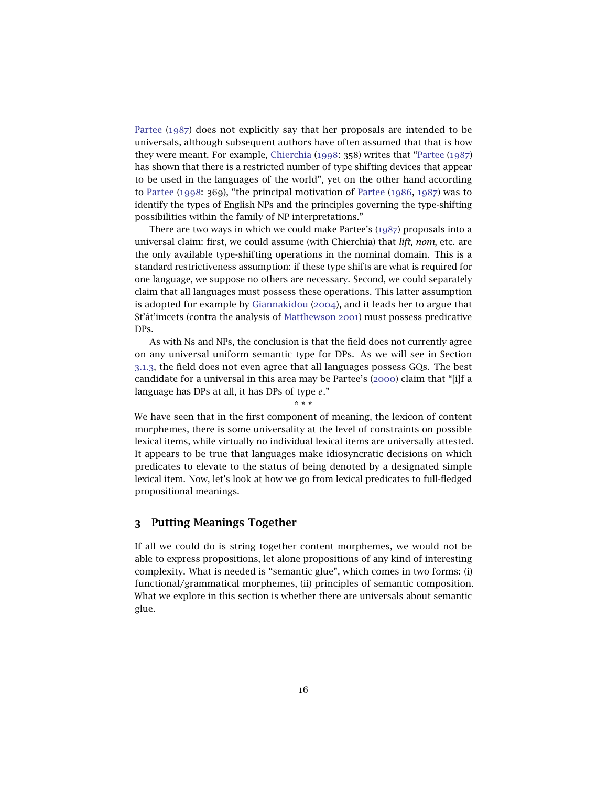[Partee](#page-59-3) ([1987](#page-59-3)) does not explicitly say that her proposals are intended to be universals, although subsequent authors have often assumed that that is how they were meant. For example, [Chierchia](#page-49-4) ([1998](#page-49-4): 358) writes that ["Partee](#page-59-3) ([1987](#page-59-3)) has shown that there is a restricted number of type shifting devices that appear to be used in the languages of the world", yet on the other hand according to [Partee](#page-59-4) ([1998](#page-59-4): 369), "the principal motivation of [Partee](#page-59-5) ([1986](#page-59-5), [1987](#page-59-3)) was to identify the types of English NPs and the principles governing the type-shifting possibilities within the family of NP interpretations."

There are two ways in which we could make Partee's ([1987](#page-59-3)) proposals into a universal claim: first, we could assume (with Chierchia) that *lift*, *nom*, etc. are the only available type-shifting operations in the nominal domain. This is a standard restrictiveness assumption: if these type shifts are what is required for one language, we suppose no others are necessary. Second, we could separately claim that all languages must possess these operations. This latter assumption is adopted for example by [Giannakidou](#page-52-5) ([2004](#page-52-5)), and it leads her to argue that St'át'imcets (contra the analysis of [Matthewson](#page-57-4) [2001](#page-57-4)) must possess predicative DPs.

As with Ns and NPs, the conclusion is that the field does not currently agree on any universal uniform semantic type for DPs. As we will see in Section [3](#page-22-0).1.3, the field does not even agree that all languages possess GQs. The best candidate for a universal in this area may be Partee's ([2000](#page-59-2)) claim that "[i]f a language has DPs at all, it has DPs of type *e*."

\* \* \*

We have seen that in the first component of meaning, the lexicon of content morphemes, there is some universality at the level of constraints on possible lexical items, while virtually no individual lexical items are universally attested. It appears to be true that languages make idiosyncratic decisions on which predicates to elevate to the status of being denoted by a designated simple lexical item. Now, let's look at how we go from lexical predicates to full-fledged propositional meanings.

## 3 Putting Meanings Together

If all we could do is string together content morphemes, we would not be able to express propositions, let alone propositions of any kind of interesting complexity. What is needed is "semantic glue", which comes in two forms: (i) functional/grammatical morphemes, (ii) principles of semantic composition. What we explore in this section is whether there are universals about semantic glue.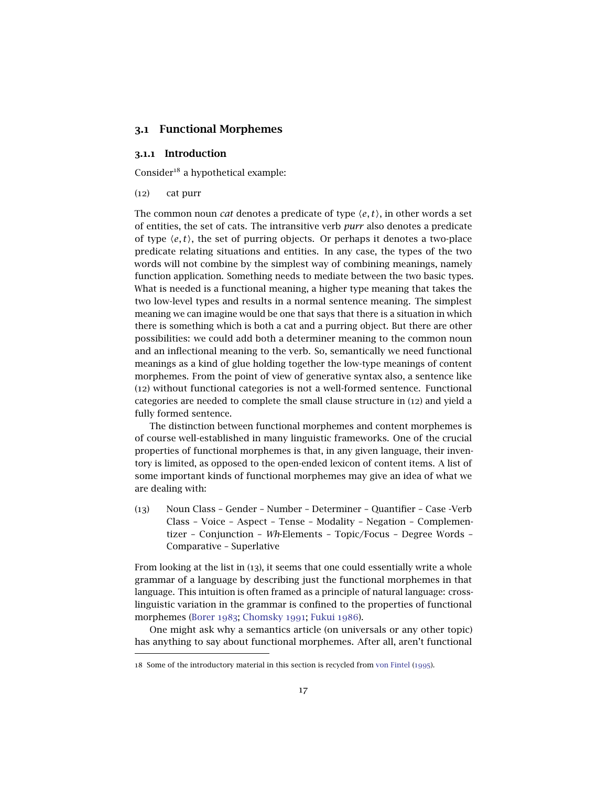## <span id="page-16-0"></span>3.1 Functional Morphemes

## <span id="page-16-1"></span>3.1.1 Introduction

Consider<sup>18</sup> a hypothetical example:

(12) cat purr

The common noun *cat* denotes a predicate of type  $\langle e, t \rangle$ , in other words a set of entities, the set of cats. The intransitive verb *purr* also denotes a predicate of type  $\langle e, t \rangle$ , the set of purring objects. Or perhaps it denotes a two-place predicate relating situations and entities. In any case, the types of the two words will not combine by the simplest way of combining meanings, namely function application. Something needs to mediate between the two basic types. What is needed is a functional meaning, a higher type meaning that takes the two low-level types and results in a normal sentence meaning. The simplest meaning we can imagine would be one that says that there is a situation in which there is something which is both a cat and a purring object. But there are other possibilities: we could add both a determiner meaning to the common noun and an inflectional meaning to the verb. So, semantically we need functional meanings as a kind of glue holding together the low-type meanings of content morphemes. From the point of view of generative syntax also, a sentence like (12) without functional categories is not a well-formed sentence. Functional categories are needed to complete the small clause structure in (12) and yield a fully formed sentence.

The distinction between functional morphemes and content morphemes is of course well-established in many linguistic frameworks. One of the crucial properties of functional morphemes is that, in any given language, their inventory is limited, as opposed to the open-ended lexicon of content items. A list of some important kinds of functional morphemes may give an idea of what we are dealing with:

(13) Noun Class – Gender – Number – Determiner – Quantifier – Case -Verb Class – Voice – Aspect – Tense – Modality – Negation – Complementizer – Conjunction – *Wh*-Elements – Topic/Focus – Degree Words – Comparative – Superlative

From looking at the list in (13), it seems that one could essentially write a whole grammar of a language by describing just the functional morphemes in that language. This intuition is often framed as a principle of natural language: crosslinguistic variation in the grammar is confined to the properties of functional morphemes [\(Borer](#page-49-5) [1983](#page-49-5); [Chomsky](#page-49-6) [1991](#page-49-6); [Fukui](#page-51-2) [1986](#page-51-2)).

One might ask why a semantics article (on universals or any other topic) has anything to say about functional morphemes. After all, aren't functional

<sup>18</sup> Some of the introductory material in this section is recycled from [von Fintel](#page-51-3) ([1995](#page-51-3)).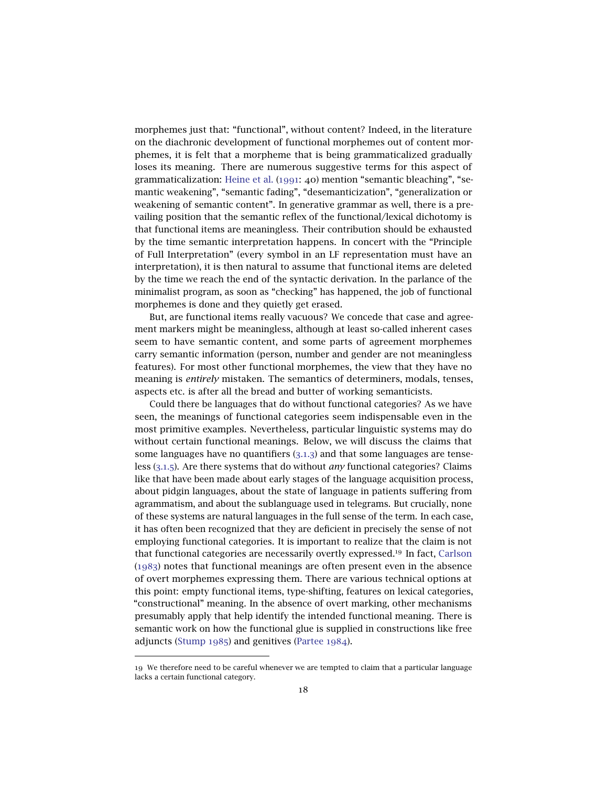morphemes just that: "functional", without content? Indeed, in the literature on the diachronic development of functional morphemes out of content morphemes, it is felt that a morpheme that is being grammaticalized gradually loses its meaning. There are numerous suggestive terms for this aspect of grammaticalization: [Heine et al.](#page-53-3) ([1991](#page-53-3): 40) mention "semantic bleaching", "semantic weakening", "semantic fading", "desemanticization", "generalization or weakening of semantic content". In generative grammar as well, there is a prevailing position that the semantic reflex of the functional/lexical dichotomy is that functional items are meaningless. Their contribution should be exhausted by the time semantic interpretation happens. In concert with the "Principle of Full Interpretation" (every symbol in an LF representation must have an interpretation), it is then natural to assume that functional items are deleted by the time we reach the end of the syntactic derivation. In the parlance of the minimalist program, as soon as "checking" has happened, the job of functional morphemes is done and they quietly get erased.

But, are functional items really vacuous? We concede that case and agreement markers might be meaningless, although at least so-called inherent cases seem to have semantic content, and some parts of agreement morphemes carry semantic information (person, number and gender are not meaningless features). For most other functional morphemes, the view that they have no meaning is *entirely* mistaken. The semantics of determiners, modals, tenses, aspects etc. is after all the bread and butter of working semanticists.

Could there be languages that do without functional categories? As we have seen, the meanings of functional categories seem indispensable even in the most primitive examples. Nevertheless, particular linguistic systems may do without certain functional meanings. Below, we will discuss the claims that some languages have no quantifiers ([3](#page-22-0).1.3) and that some languages are tenseless ([3](#page-28-0).1.5). Are there systems that do without *any* functional categories? Claims like that have been made about early stages of the language acquisition process, about pidgin languages, about the state of language in patients suffering from agrammatism, and about the sublanguage used in telegrams. But crucially, none of these systems are natural languages in the full sense of the term. In each case, it has often been recognized that they are deficient in precisely the sense of not employing functional categories. It is important to realize that the claim is not that functional categories are necessarily overtly expressed.<sup>19</sup> In fact, [Carlson](#page-49-7) ([1983](#page-49-7)) notes that functional meanings are often present even in the absence of overt morphemes expressing them. There are various technical options at this point: empty functional items, type-shifting, features on lexical categories, "constructional" meaning. In the absence of overt marking, other mechanisms presumably apply that help identify the intended functional meaning. There is semantic work on how the functional glue is supplied in constructions like free adjuncts [\(Stump](#page-61-0) [1985](#page-61-0)) and genitives [\(Partee](#page-59-6) [1984](#page-59-6)).

<sup>19</sup> We therefore need to be careful whenever we are tempted to claim that a particular language lacks a certain functional category.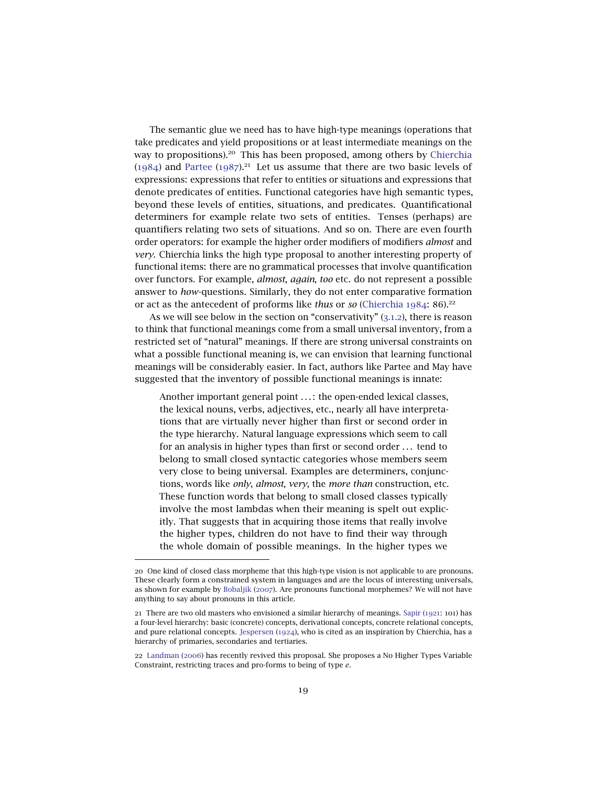The semantic glue we need has to have high-type meanings (operations that take predicates and yield propositions or at least intermediate meanings on the way to propositions).<sup>20</sup> This has been proposed, among others by [Chierchia](#page-49-8)  $(1984)$  $(1984)$  $(1984)$  and [Partee](#page-59-3)  $(1987)$  $(1987)$  $(1987)$ .<sup>21</sup> Let us assume that there are two basic levels of expressions: expressions that refer to entities or situations and expressions that denote predicates of entities. Functional categories have high semantic types, beyond these levels of entities, situations, and predicates. Quantificational determiners for example relate two sets of entities. Tenses (perhaps) are quantifiers relating two sets of situations. And so on. There are even fourth order operators: for example the higher order modifiers of modifiers *almost* and *very*. Chierchia links the high type proposal to another interesting property of functional items: there are no grammatical processes that involve quantification over functors. For example, *almost*, *again*, *too* etc. do not represent a possible answer to *how*-questions. Similarly, they do not enter comparative formation or act as the antecedent of proforms like *thus* or *so* [\(Chierchia](#page-49-8) [1984](#page-49-8): 86).<sup>22</sup>

As we will see below in the section on "conservativity" (3.1.[2](#page-19-0)), there is reason to think that functional meanings come from a small universal inventory, from a restricted set of "natural" meanings. If there are strong universal constraints on what a possible functional meaning is, we can envision that learning functional meanings will be considerably easier. In fact, authors like Partee and May have suggested that the inventory of possible functional meanings is innate:

Another important general point . . . : the open-ended lexical classes, the lexical nouns, verbs, adjectives, etc., nearly all have interpretations that are virtually never higher than first or second order in the type hierarchy. Natural language expressions which seem to call for an analysis in higher types than first or second order . . . tend to belong to small closed syntactic categories whose members seem very close to being universal. Examples are determiners, conjunctions, words like *only*, *almost*, *very*, the *more than* construction, etc. These function words that belong to small closed classes typically involve the most lambdas when their meaning is spelt out explicitly. That suggests that in acquiring those items that really involve the higher types, children do not have to find their way through the whole domain of possible meanings. In the higher types we

<sup>20</sup> One kind of closed class morpheme that this high-type vision is not applicable to are pronouns. These clearly form a constrained system in languages and are the locus of interesting universals, as shown for example by [Bobaljik](#page-48-11) ([2007](#page-48-11)). Are pronouns functional morphemes? We will not have anything to say about pronouns in this article.

<sup>21</sup> There are two old masters who envisioned a similar hierarchy of meanings. [Sapir](#page-60-4) ([1921](#page-60-4): 101) has a four-level hierarchy: basic (concrete) concepts, derivational concepts, concrete relational concepts, and pure relational concepts. [Jespersen](#page-54-5) ([1924](#page-54-5)), who is cited as an inspiration by Chierchia, has a hierarchy of primaries, secondaries and tertiaries.

<sup>22</sup> [Landman](#page-56-7) ([2006](#page-56-7)) has recently revived this proposal. She proposes a No Higher Types Variable Constraint, restricting traces and pro-forms to being of type *e*.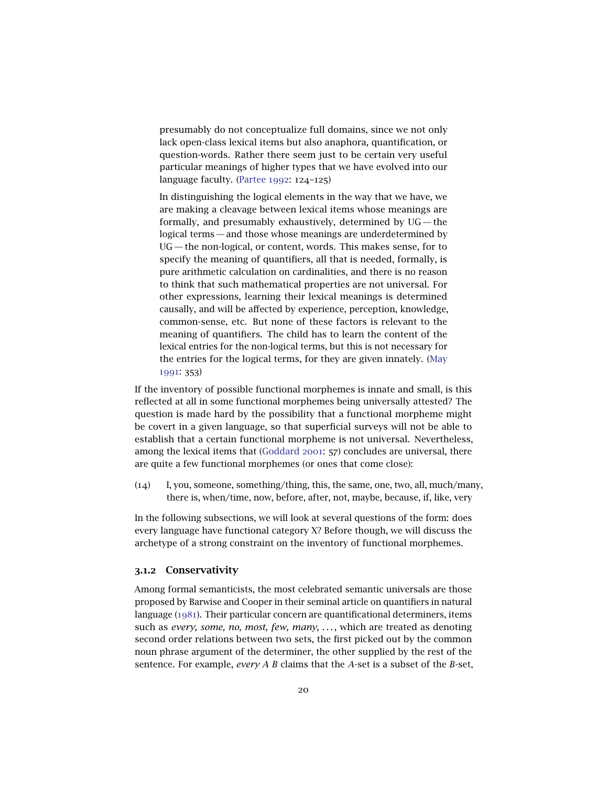presumably do not conceptualize full domains, since we not only lack open-class lexical items but also anaphora, quantification, or question-words. Rather there seem just to be certain very useful particular meanings of higher types that we have evolved into our language faculty. [\(Partee](#page-59-7) [1992](#page-59-7): 124–125)

In distinguishing the logical elements in the way that we have, we are making a cleavage between lexical items whose meanings are formally, and presumably exhaustively, determined by UG— the logical terms — and those whose meanings are underdetermined by UG— the non-logical, or content, words. This makes sense, for to specify the meaning of quantifiers, all that is needed, formally, is pure arithmetic calculation on cardinalities, and there is no reason to think that such mathematical properties are not universal. For other expressions, learning their lexical meanings is determined causally, and will be affected by experience, perception, knowledge, common-sense, etc. But none of these factors is relevant to the meaning of quantifiers. The child has to learn the content of the lexical entries for the non-logical terms, but this is not necessary for the entries for the logical terms, for they are given innately. [\(May](#page-58-3) [1991](#page-58-3): 353)

If the inventory of possible functional morphemes is innate and small, is this reflected at all in some functional morphemes being universally attested? The question is made hard by the possibility that a functional morpheme might be covert in a given language, so that superficial surveys will not be able to establish that a certain functional morpheme is not universal. Nevertheless, among the lexical items that [\(Goddard](#page-52-1) [2001](#page-52-1): 57) concludes are universal, there are quite a few functional morphemes (or ones that come close):

(14) I, you, someone, something/thing, this, the same, one, two, all, much/many, there is, when/time, now, before, after, not, maybe, because, if, like, very

In the following subsections, we will look at several questions of the form: does every language have functional category X? Before though, we will discuss the archetype of a strong constraint on the inventory of functional morphemes.

### <span id="page-19-0"></span>3.1.2 Conservativity

Among formal semanticists, the most celebrated semantic universals are those proposed by Barwise and Cooper in their seminal article on quantifiers in natural language ([1981](#page-48-12)). Their particular concern are quantificational determiners, items such as *every, some, no, most, few, many, ...*, which are treated as denoting second order relations between two sets, the first picked out by the common noun phrase argument of the determiner, the other supplied by the rest of the sentence. For example, *every A B* claims that the *A*-set is a subset of the *B*-set,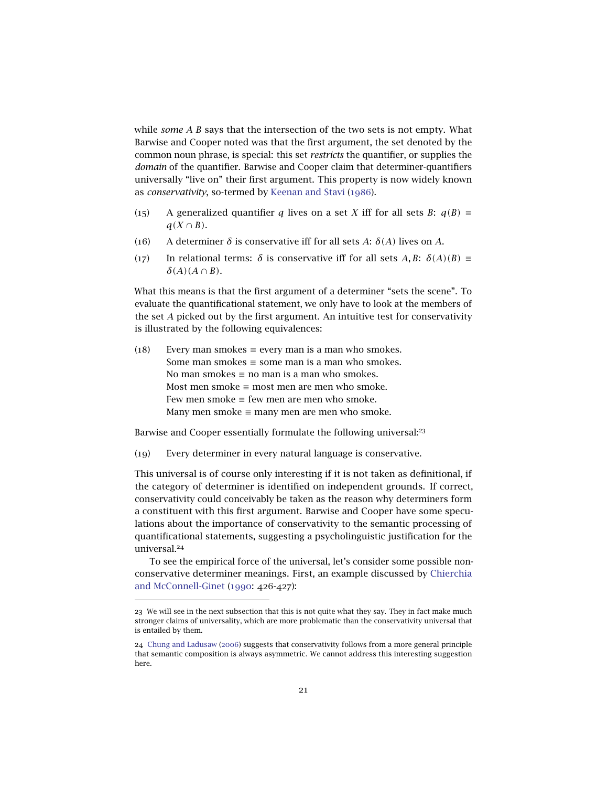while *some A B* says that the intersection of the two sets is not empty. What Barwise and Cooper noted was that the first argument, the set denoted by the common noun phrase, is special: this set *restricts* the quantifier, or supplies the *domain* of the quantifier. Barwise and Cooper claim that determiner-quantifiers universally "live on" their first argument. This property is now widely known as *conservativity*, so-termed by [Keenan and Stavi](#page-55-4) ([1986](#page-55-4)).

- (15) A generalized quantifier *q* lives on a set *X* iff for all sets *B*: *q(B)* ≡  $q(X \cap B)$ .
- (16) A determiner  $\delta$  is conservative iff for all sets *A*:  $\delta(A)$  lives on *A*.
- (17) In relational terms:  $\delta$  is conservative iff for all sets *A, B*:  $\delta(A)(B) \equiv$  $\delta(A)(A \cap B)$ .

What this means is that the first argument of a determiner "sets the scene". To evaluate the quantificational statement, we only have to look at the members of the set *A* picked out by the first argument. An intuitive test for conservativity is illustrated by the following equivalences:

(18) Every man smokes  $\equiv$  every man is a man who smokes. Some man smokes  $\equiv$  some man is a man who smokes. No man smokes  $\equiv$  no man is a man who smokes. Most men smoke  $\equiv$  most men are men who smoke. Few men smoke ≡ few men are men who smoke. Many men smoke  $\equiv$  many men are men who smoke.

Barwise and Cooper essentially formulate the following universal:<sup>23</sup>

(19) Every determiner in every natural language is conservative.

This universal is of course only interesting if it is not taken as definitional, if the category of determiner is identified on independent grounds. If correct, conservativity could conceivably be taken as the reason why determiners form a constituent with this first argument. Barwise and Cooper have some speculations about the importance of conservativity to the semantic processing of quantificational statements, suggesting a psycholinguistic justification for the universal.<sup>24</sup>

To see the empirical force of the universal, let's consider some possible nonconservative determiner meanings. First, an example discussed by [Chierchia](#page-49-9) [and McConnell-Ginet](#page-49-9) ([1990](#page-49-9): 426-427):

<sup>23</sup> We will see in the next subsection that this is not quite what they say. They in fact make much stronger claims of universality, which are more problematic than the conservativity universal that is entailed by them.

<sup>24</sup> [Chung and Ladusaw](#page-49-10) ([2006](#page-49-10)) suggests that conservativity follows from a more general principle that semantic composition is always asymmetric. We cannot address this interesting suggestion here.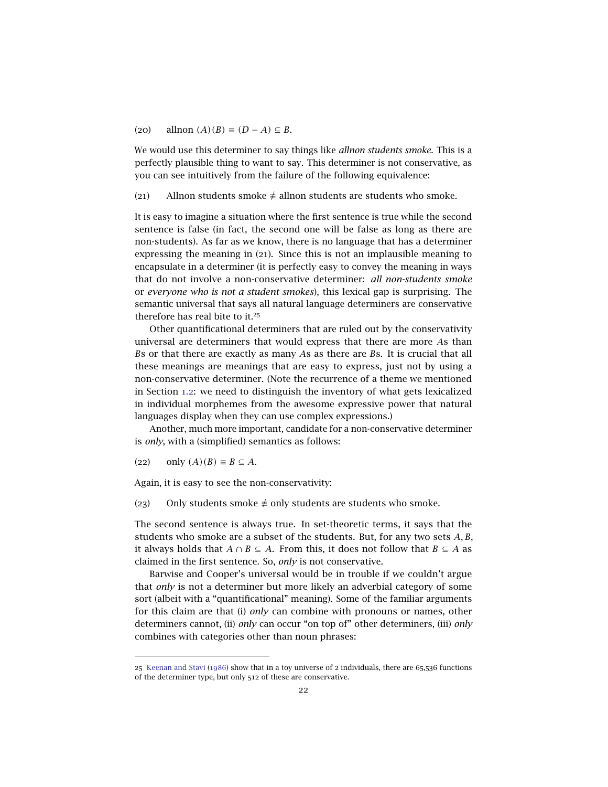#### (20) allnon  $(A)(B) \equiv (D - A) \subseteq B$ .

We would use this determiner to say things like *allnon students smoke*. This is a perfectly plausible thing to want to say. This determiner is not conservative, as you can see intuitively from the failure of the following equivalence:

(21) Allnon students smoke  $\neq$  allnon students are students who smoke.

It is easy to imagine a situation where the first sentence is true while the second sentence is false (in fact, the second one will be false as long as there are non-students). As far as we know, there is no language that has a determiner expressing the meaning in (21). Since this is not an implausible meaning to encapsulate in a determiner (it is perfectly easy to convey the meaning in ways that do not involve a non-conservative determiner: *all non-students smoke* or *everyone who is not a student smokes*), this lexical gap is surprising. The semantic universal that says all natural language determiners are conservative therefore has real bite to it.<sup>25</sup>

Other quantificational determiners that are ruled out by the conservativity universal are determiners that would express that there are more *A*s than *B*s or that there are exactly as many *A*s as there are *B*s. It is crucial that all these meanings are meanings that are easy to express, just not by using a non-conservative determiner. (Note the recurrence of a theme we mentioned in Section 1.[2](#page-3-0): we need to distinguish the inventory of what gets lexicalized in individual morphemes from the awesome expressive power that natural languages display when they can use complex expressions.)

Another, much more important, candidate for a non-conservative determiner is *only*, with a (simplified) semantics as follows:

(22) only  $(A)(B) \equiv B \subseteq A$ .

Again, it is easy to see the non-conservativity:

(23) Only students smoke  $\neq$  only students are students who smoke.

The second sentence is always true. In set-theoretic terms, it says that the students who smoke are a subset of the students. But, for any two sets *A, B*, it always holds that  $A \cap B \subseteq A$ . From this, it does not follow that  $B \subseteq A$  as claimed in the first sentence. So, *only* is not conservative.

Barwise and Cooper's universal would be in trouble if we couldn't argue that *only* is not a determiner but more likely an adverbial category of some sort (albeit with a "quantificational" meaning). Some of the familiar arguments for this claim are that (i) *only* can combine with pronouns or names, other determiners cannot, (ii) *only* can occur "on top of" other determiners, (iii) *only* combines with categories other than noun phrases:

<sup>25</sup> [Keenan and Stavi](#page-55-4) ([1986](#page-55-4)) show that in a toy universe of 2 individuals, there are 65,536 functions of the determiner type, but only 512 of these are conservative.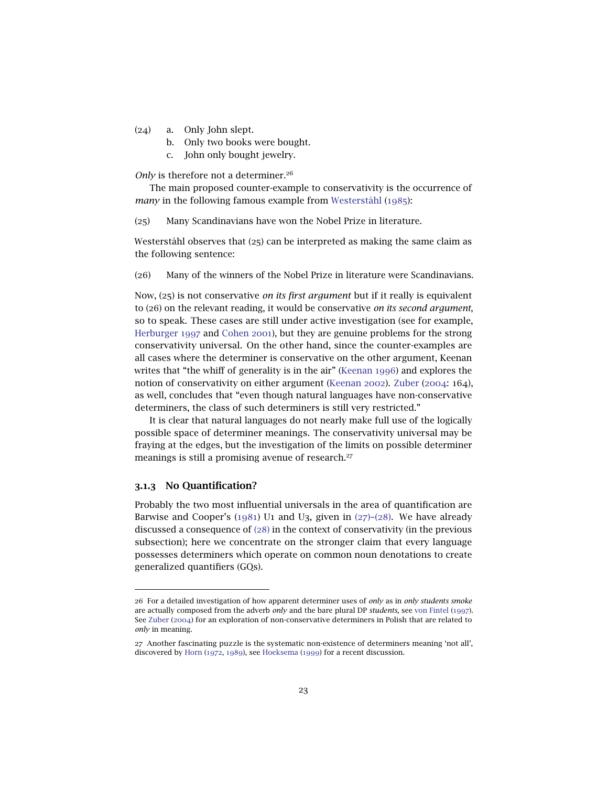(24) a. Only John slept.

- b. Only two books were bought.
- c. John only bought jewelry.

*Only* is therefore not a determiner.<sup>26</sup>

The main proposed counter-example to conservativity is the occurrence of *many* in the following famous example from [Westerståhl](#page-62-9) ([1985](#page-62-9)):

(25) Many Scandinavians have won the Nobel Prize in literature.

Westerståhl observes that (25) can be interpreted as making the same claim as the following sentence:

(26) Many of the winners of the Nobel Prize in literature were Scandinavians.

Now, (25) is not conservative *on its first argument* but if it really is equivalent to (26) on the relevant reading, it would be conservative *on its second argument*, so to speak. These cases are still under active investigation (see for example, [Herburger](#page-53-4) [1997](#page-53-4) and [Cohen](#page-49-11) [2001](#page-49-11)), but they are genuine problems for the strong conservativity universal. On the other hand, since the counter-examples are all cases where the determiner is conservative on the other argument, Keenan writes that "the whiff of generality is in the air" [\(Keenan](#page-55-5) [1996](#page-55-5)) and explores the notion of conservativity on either argument [\(Keenan](#page-55-6) [2002](#page-55-6)). [Zuber](#page-63-2) ([2004](#page-63-2): 164), as well, concludes that "even though natural languages have non-conservative determiners, the class of such determiners is still very restricted."

It is clear that natural languages do not nearly make full use of the logically possible space of determiner meanings. The conservativity universal may be fraying at the edges, but the investigation of the limits on possible determiner meanings is still a promising avenue of research.<sup>27</sup>

### <span id="page-22-0"></span>3.1.3 No Quantification?

Probably the two most influential universals in the area of quantification are Barwise and Cooper's  $(1981)$  $(1981)$  $(1981)$  U1 and U3, given in  $(27)-(28)$  $(27)-(28)$  $(27)-(28)$  $(27)-(28)$  $(27)-(28)$ . We have already discussed a consequence of ([28](#page-23-0)) in the context of conservativity (in the previous subsection); here we concentrate on the stronger claim that every language possesses determiners which operate on common noun denotations to create generalized quantifiers (GQs).

<span id="page-22-1"></span><sup>26</sup> For a detailed investigation of how apparent determiner uses of *only* as in *only students smoke* are actually composed from the adverb *only* and the bare plural DP *students*, see [von Fintel](#page-51-4) ([1997](#page-51-4)). See [Zuber](#page-63-2) ([2004](#page-63-2)) for an exploration of non-conservative determiners in Polish that are related to *only* in meaning.

<sup>27</sup> Another fascinating puzzle is the systematic non-existence of determiners meaning 'not all', discovered by [Horn](#page-54-6) ([1972](#page-54-6), [1989](#page-54-7)), see [Hoeksema](#page-54-8) ([1999](#page-54-8)) for a recent discussion.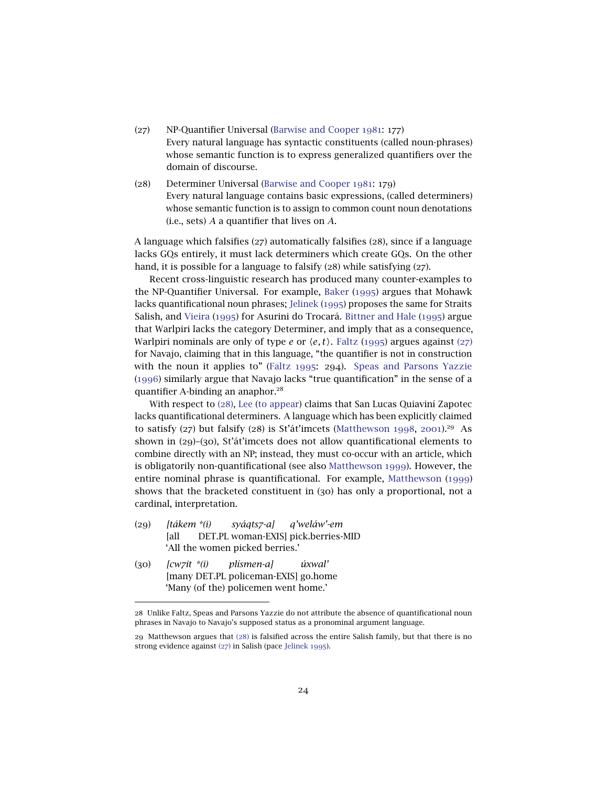- (27) NP-Quantifier Universal [\(Barwise and Cooper](#page-48-12) [1981](#page-48-12): 177) Every natural language has syntactic constituents (called noun-phrases) whose semantic function is to express generalized quantifiers over the domain of discourse.
- <span id="page-23-0"></span>(28) Determiner Universal [\(Barwise and Cooper](#page-48-12) [1981](#page-48-12): 179) Every natural language contains basic expressions, (called determiners) whose semantic function is to assign to common count noun denotations (i.e., sets) *A* a quantifier that lives on *A*.

A language which falsifies (27) automatically falsifies (28), since if a language lacks GQs entirely, it must lack determiners which create GQs. On the other hand, it is possible for a language to falsify (28) while satisfying (27).

Recent cross-linguistic research has produced many counter-examples to the NP-Quantifier Universal. For example, [Baker](#page-47-7) ([1995](#page-47-7)) argues that Mohawk lacks quantificational noun phrases; [Jelinek](#page-54-9) ([1995](#page-54-9)) proposes the same for Straits Salish, and [Vieira](#page-62-10) ([1995](#page-62-10)) for Asurini do Trocará. [Bittner and Hale](#page-48-6) ([1995](#page-48-6)) argue that Warlpiri lacks the category Determiner, and imply that as a consequence, Warlpiri nominals are only of type *e* or  $\langle e, t \rangle$ . [Faltz](#page-51-5) ([1995](#page-51-5)) argues against ([27](#page-22-1)) for Navajo, claiming that in this language, "the quantifier is not in construction with the noun it applies to" [\(Faltz](#page-51-5) [1995](#page-51-5): 294). [Speas and Parsons Yazzie](#page-61-1) ([1996](#page-61-1)) similarly argue that Navajo lacks "true quantification" in the sense of a quantifier A-binding an anaphor.<sup>28</sup>

With respect to ([28](#page-23-0)), [Lee](#page-56-8) [\(to appear\)](#page-56-8) claims that San Lucas Quiaviní Zapotec lacks quantificational determiners. A language which has been explicitly claimed to satisfy  $(27)$  but falsify  $(28)$  is St'át'imcets [\(Matthewson](#page-57-10) [1998](#page-57-10), [2001](#page-57-4)).<sup>29</sup> As shown in (29)–(30), St'át'imcets does not allow quantificational elements to combine directly with an NP; instead, they must co-occur with an article, which is obligatorily non-quantificational (see also [Matthewson](#page-57-11) [1999](#page-57-11)). However, the entire nominal phrase is quantificational. For example, [Matthewson](#page-57-11) ([1999](#page-57-11)) shows that the bracketed constituent in (30) has only a proportional, not a cardinal, interpretation.

- (29) *[tákem \*(i)* [all DET.PL woman-EXIS] pick.berries-MID *syáqts7-a] q'weláw'-em* 'All the women picked berries.'
- (30) *[cw7it \*(i)* [many DET.PL policeman-EXIS] go.home *plísmen-a] úxwal'* 'Many (of the) policemen went home.'

<sup>28</sup> Unlike Faltz, Speas and Parsons Yazzie do not attribute the absence of quantificational noun phrases in Navajo to Navajo's supposed status as a pronominal argument language.

<sup>29</sup> Matthewson argues that ([28](#page-23-0)) is falsified across the entire Salish family, but that there is no strong evidence against ([27](#page-22-1)) in Salish (pace [Jelinek](#page-54-9) [1995](#page-54-9)).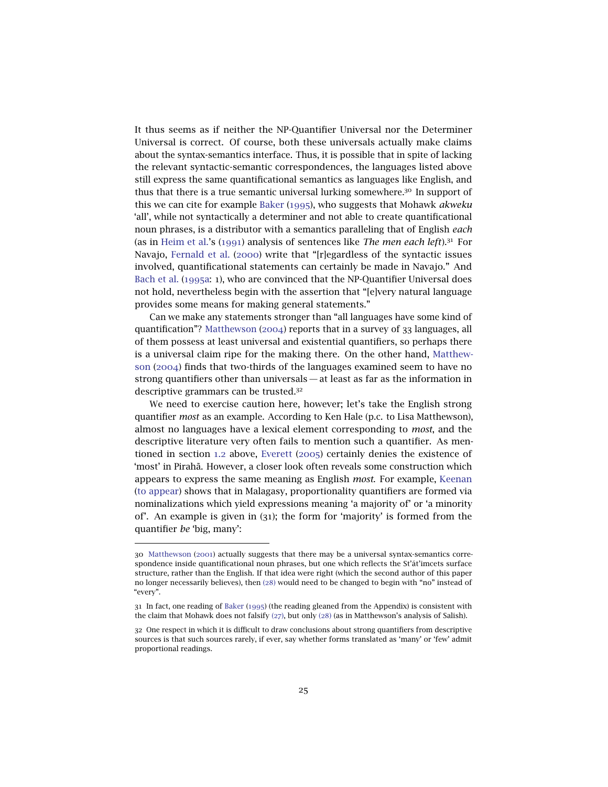It thus seems as if neither the NP-Quantifier Universal nor the Determiner Universal is correct. Of course, both these universals actually make claims about the syntax-semantics interface. Thus, it is possible that in spite of lacking the relevant syntactic-semantic correspondences, the languages listed above still express the same quantificational semantics as languages like English, and thus that there is a true semantic universal lurking somewhere.<sup>30</sup> In support of this we can cite for example [Baker](#page-47-7) ([1995](#page-47-7)), who suggests that Mohawk *akweku* 'all', while not syntactically a determiner and not able to create quantificational noun phrases, is a distributor with a semantics paralleling that of English *each* (as in [Heim et al.'](#page-53-5)s ([1991](#page-53-5)) analysis of sentences like *The men each left*).<sup>31</sup> For Navajo, [Fernald et al.](#page-51-6) ([2000](#page-51-6)) write that "[r]egardless of the syntactic issues involved, quantificational statements can certainly be made in Navajo." And [Bach et al.](#page-47-8) ([1995](#page-47-8)a: 1), who are convinced that the NP-Quantifier Universal does not hold, nevertheless begin with the assertion that "[e]very natural language provides some means for making general statements."

Can we make any statements stronger than "all languages have some kind of quantification"? [Matthewson](#page-58-4) ([2004](#page-58-4)) reports that in a survey of 33 languages, all of them possess at least universal and existential quantifiers, so perhaps there is a universal claim ripe for the making there. On the other hand, [Matthew](#page-58-4)[son](#page-58-4) ([2004](#page-58-4)) finds that two-thirds of the languages examined seem to have no strong quantifiers other than universals— at least as far as the information in descriptive grammars can be trusted.<sup>32</sup>

We need to exercise caution here, however; let's take the English strong quantifier *most* as an example. According to Ken Hale (p.c. to Lisa Matthewson), almost no languages have a lexical element corresponding to *most*, and the descriptive literature very often fails to mention such a quantifier. As mentioned in section 1.[2](#page-3-0) above, [Everett](#page-50-0) ([2005](#page-50-0)) certainly denies the existence of 'most' in Pirahã. However, a closer look often reveals some construction which appears to express the same meaning as English *most*. For example, [Keenan](#page-55-7) [\(to appear\)](#page-55-7) shows that in Malagasy, proportionality quantifiers are formed via nominalizations which yield expressions meaning 'a majority of' or 'a minority of'. An example is given in (31); the form for 'majority' is formed from the quantifier *be* 'big, many':

<sup>30</sup> [Matthewson](#page-57-4) ([2001](#page-57-4)) actually suggests that there may be a universal syntax-semantics correspondence inside quantificational noun phrases, but one which reflects the St'át'imcets surface structure, rather than the English. If that idea were right (which the second author of this paper no longer necessarily believes), then ([28](#page-23-0)) would need to be changed to begin with "no" instead of "every".

<sup>31</sup> In fact, one reading of [Baker](#page-47-7) ([1995](#page-47-7)) (the reading gleaned from the Appendix) is consistent with the claim that Mohawk does not falsify ([27](#page-22-1)), but only ([28](#page-23-0)) (as in Matthewson's analysis of Salish).

<sup>32</sup> One respect in which it is difficult to draw conclusions about strong quantifiers from descriptive sources is that such sources rarely, if ever, say whether forms translated as 'many' or 'few' admit proportional readings.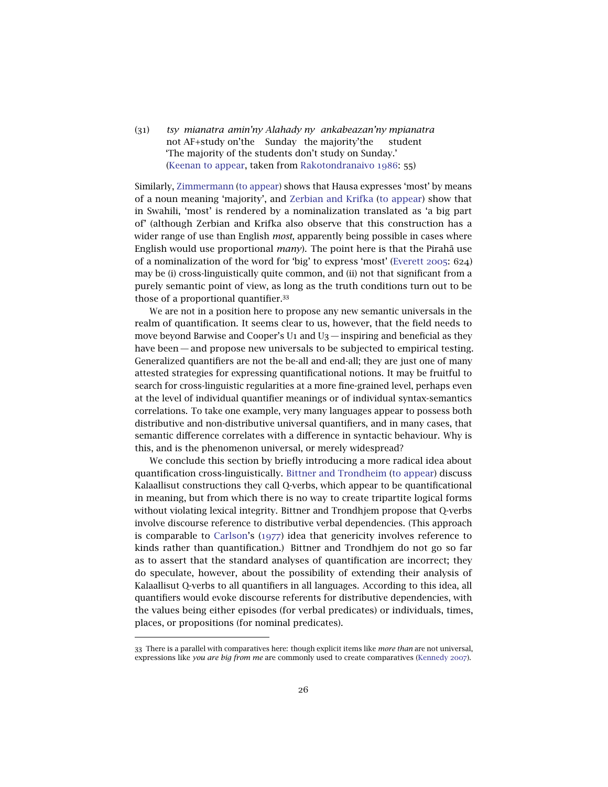$(31)$ not AF+study on'the Sunday the majority'the *mianatra amin'ny Alahady ny ankabeazan'ny mpianatra* student 'The majority of the students don't study on Sunday.' [\(Keenan](#page-55-7) [to appear,](#page-55-7) taken from [Rakotondranaivo](#page-60-5) [1986](#page-60-5): 55)

Similarly, [Zimmermann](#page-63-3) [\(to appear\)](#page-63-3) shows that Hausa expresses 'most' by means of a noun meaning 'majority', and [Zerbian and Krifka](#page-63-4) [\(to appear\)](#page-63-4) show that in Swahili, 'most' is rendered by a nominalization translated as 'a big part of' (although Zerbian and Krifka also observe that this construction has a wider range of use than English *most*, apparently being possible in cases where English would use proportional *many*). The point here is that the Pirahã use of a nominalization of the word for 'big' to express 'most' [\(Everett](#page-50-0) [2005](#page-50-0): 624) may be (i) cross-linguistically quite common, and (ii) not that significant from a purely semantic point of view, as long as the truth conditions turn out to be those of a proportional quantifier.<sup>33</sup>

We are not in a position here to propose any new semantic universals in the realm of quantification. It seems clear to us, however, that the field needs to move beyond Barwise and Cooper's U1 and  $U_3$  — inspiring and beneficial as they have been— and propose new universals to be subjected to empirical testing. Generalized quantifiers are not the be-all and end-all; they are just one of many attested strategies for expressing quantificational notions. It may be fruitful to search for cross-linguistic regularities at a more fine-grained level, perhaps even at the level of individual quantifier meanings or of individual syntax-semantics correlations. To take one example, very many languages appear to possess both distributive and non-distributive universal quantifiers, and in many cases, that semantic difference correlates with a difference in syntactic behaviour. Why is this, and is the phenomenon universal, or merely widespread?

We conclude this section by briefly introducing a more radical idea about quantification cross-linguistically. [Bittner and Trondheim](#page-48-10) [\(to appear\)](#page-48-10) discuss Kalaallisut constructions they call Q-verbs, which appear to be quantificational in meaning, but from which there is no way to create tripartite logical forms without violating lexical integrity. Bittner and Trondhjem propose that Q-verbs involve discourse reference to distributive verbal dependencies. (This approach is comparable to [Carlson'](#page-49-12)s ([1977](#page-49-12)) idea that genericity involves reference to kinds rather than quantification.) Bittner and Trondhjem do not go so far as to assert that the standard analyses of quantification are incorrect; they do speculate, however, about the possibility of extending their analysis of Kalaallisut Q-verbs to all quantifiers in all languages. According to this idea, all quantifiers would evoke discourse referents for distributive dependencies, with the values being either episodes (for verbal predicates) or individuals, times, places, or propositions (for nominal predicates).

<sup>33</sup> There is a parallel with comparatives here: though explicit items like *more than* are not universal, expressions like *you are big from me* are commonly used to create comparatives [\(Kennedy](#page-55-8) [2007](#page-55-8)).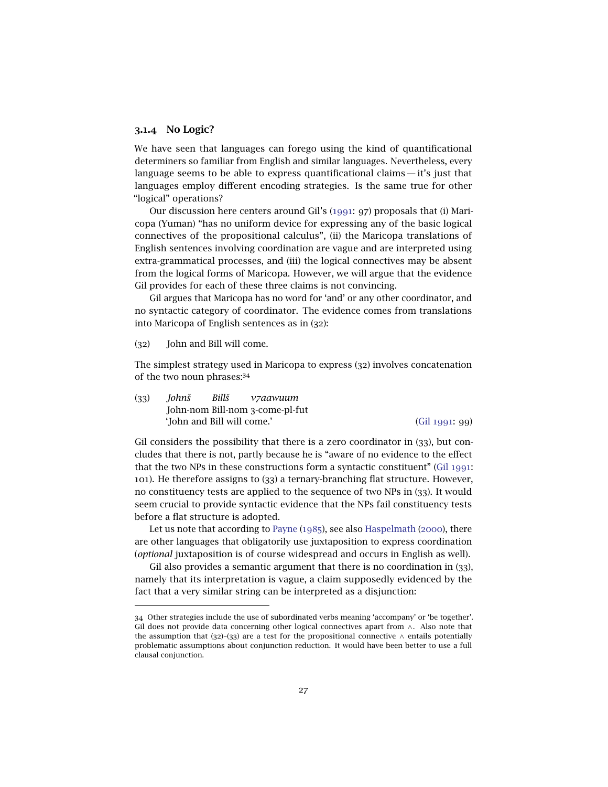### 3.1.4 No Logic?

We have seen that languages can forego using the kind of quantificational determiners so familiar from English and similar languages. Nevertheless, every language seems to be able to express quantificational claims— it's just that languages employ different encoding strategies. Is the same true for other "logical" operations?

Our discussion here centers around Gil's ([1991](#page-52-6): 97) proposals that (i) Maricopa (Yuman) "has no uniform device for expressing any of the basic logical connectives of the propositional calculus", (ii) the Maricopa translations of English sentences involving coordination are vague and are interpreted using extra-grammatical processes, and (iii) the logical connectives may be absent from the logical forms of Maricopa. However, we will argue that the evidence Gil provides for each of these three claims is not convincing.

Gil argues that Maricopa has no word for 'and' or any other coordinator, and no syntactic category of coordinator. The evidence comes from translations into Maricopa of English sentences as in (32):

(32) John and Bill will come.

The simplest strategy used in Maricopa to express (32) involves concatenation of the two noun phrases: 34

(33) *Johnš* John-nom Bill-nom 3-come-pl-fut *Billš v7aawuum* 'John and Bill will come.' [\(Gil](#page-52-6) [1991](#page-52-6): 99)

Gil considers the possibility that there is a zero coordinator in (33), but concludes that there is not, partly because he is "aware of no evidence to the effect that the two NPs in these constructions form a syntactic constituent" [\(Gil](#page-52-6) [1991](#page-52-6): 101). He therefore assigns to (33) a ternary-branching flat structure. However, no constituency tests are applied to the sequence of two NPs in (33). It would seem crucial to provide syntactic evidence that the NPs fail constituency tests before a flat structure is adopted.

Let us note that according to [Payne](#page-59-8) ([1985](#page-59-8)), see also [Haspelmath](#page-52-7) ([2000](#page-52-7)), there are other languages that obligatorily use juxtaposition to express coordination (*optional* juxtaposition is of course widespread and occurs in English as well).

Gil also provides a semantic argument that there is no coordination in (33), namely that its interpretation is vague, a claim supposedly evidenced by the fact that a very similar string can be interpreted as a disjunction:

<span id="page-26-0"></span><sup>34</sup> Other strategies include the use of subordinated verbs meaning 'accompany' or 'be together'. Gil does not provide data concerning other logical connectives apart from ∧. Also note that the assumption that (32)–(33) are a test for the propositional connective  $\land$  entails potentially problematic assumptions about conjunction reduction. It would have been better to use a full clausal conjunction.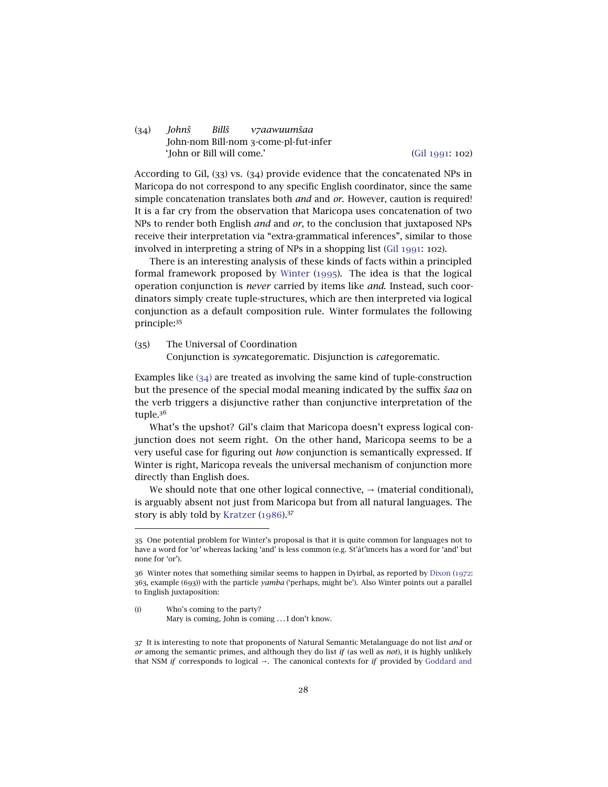(34) *Johnš* John-nom Bill-nom 3-come-pl-fut-infer *Billš v7aawuumšaa* 'John or Bill will come.' [\(Gil](#page-52-6) [1991](#page-52-6): 102)

According to Gil, (33) vs. (34) provide evidence that the concatenated NPs in Maricopa do not correspond to any specific English coordinator, since the same simple concatenation translates both *and* and *or*. However, caution is required! It is a far cry from the observation that Maricopa uses concatenation of two NPs to render both English *and* and *or*, to the conclusion that juxtaposed NPs receive their interpretation via "extra-grammatical inferences", similar to those involved in interpreting a string of NPs in a shopping list [\(Gil](#page-52-6) [1991](#page-52-6): 102).

There is an interesting analysis of these kinds of facts within a principled formal framework proposed by [Winter](#page-62-11) ([1995](#page-62-11)). The idea is that the logical operation conjunction is *never* carried by items like *and*. Instead, such coordinators simply create tuple-structures, which are then interpreted via logical conjunction as a default composition rule. Winter formulates the following principle:<sup>35</sup>

(35) The Universal of Coordination

Conjunction is *syn*categorematic. Disjunction is *cat*egorematic.

Examples like ([34](#page-26-0)) are treated as involving the same kind of tuple-construction but the presence of the special modal meaning indicated by the suffix *šaa* on the verb triggers a disjunctive rather than conjunctive interpretation of the tuple.<sup>36</sup>

What's the upshot? Gil's claim that Maricopa doesn't express logical conjunction does not seem right. On the other hand, Maricopa seems to be a very useful case for figuring out *how* conjunction is semantically expressed. If Winter is right, Maricopa reveals the universal mechanism of conjunction more directly than English does.

We should note that one other logical connective,  $\rightarrow$  (material conditional), is arguably absent not just from Maricopa but from all natural languages. The story is ably told by [Kratzer](#page-55-9) ([1986](#page-55-9)).<sup>37</sup>

<sup>35</sup> One potential problem for Winter's proposal is that it is quite common for languages not to have a word for 'or' whereas lacking 'and' is less common (e.g. St'át'imcets has a word for 'and' but none for 'or').

<sup>36</sup> Winter notes that something similar seems to happen in Dyirbal, as reported by [Dixon](#page-50-6) ([1972](#page-50-6): 363, example (693)) with the particle *yamba* ('perhaps, might be'). Also Winter points out a parallel to English juxtaposition:

<sup>(</sup>i) Who's coming to the party? Mary is coming, John is coming . . . I don't know.

<sup>37</sup> It is interesting to note that proponents of Natural Semantic Metalanguage do not list *and* or *or* among the semantic primes, and although they do list *if* (as well as *not*), it is highly unlikely that NSM *if* corresponds to logical →. The canonical contexts for *if* provided by [Goddard and](#page-52-8)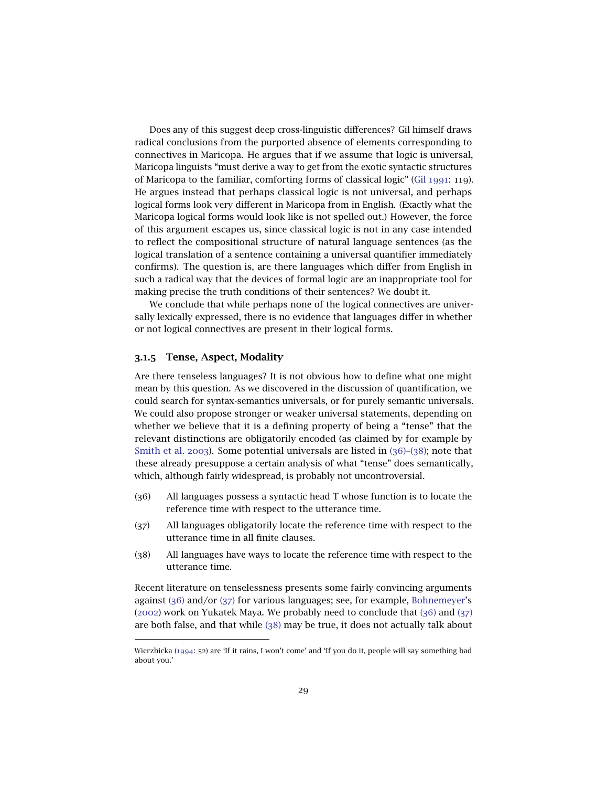[Does any of this suggest deep cross-linguistic differences? Gil himself draws](#page-52-8) [radical conclusions from the purported absence of elements corresponding to](#page-52-8) [connectives in Maricopa. He argues that if we assume that logic is universal,](#page-52-8) [Maricopa linguists "must derive a way to get from the exotic syntactic structures](#page-52-8) [of Maricopa to the familiar, comforting forms of classical logic" \(Gil](#page-52-8) [1991](#page-52-6): 119). [He argues instead that perhaps classical logic is not universal, and perhaps](#page-52-8) [logical forms look very different in Maricopa from in English. \(Exactly what the](#page-52-8) [Maricopa logical forms would look like is not spelled out.\) However, the force](#page-52-8) [of this argument escapes us, since classical logic is not in any case intended](#page-52-8) [to reflect the compositional structure of natural language sentences \(as the](#page-52-8) [logical translation of a sentence containing a universal quantifier immediately](#page-52-8) [confirms\). The question is, are there languages which differ from English in](#page-52-8) [such a radical way that the devices of formal logic are an inappropriate tool for](#page-52-8) [making precise the truth conditions of their sentences? We doubt it.](#page-52-8)

[We conclude that while perhaps none of the logical connectives are univer](#page-52-8)[sally lexically expressed, there is no evidence that languages differ in whether](#page-52-8) [or not logical connectives are present in their logical forms.](#page-52-8)

#### <span id="page-28-0"></span>3.1.5 [Tense, Aspect, Modality](#page-52-8)

[Are there tenseless languages? It is not obvious how to define what one might](#page-52-8) [mean by this question. As we discovered in the discussion of quantification, we](#page-52-8) [could search for syntax-semantics universals, or for purely semantic universals.](#page-52-8) [We could also propose stronger or weaker universal statements, depending on](#page-52-8) [whether we believe that it is a defining property of being a "tense" that the](#page-52-8) [relevant distinctions are obligatorily encoded \(as claimed by for example by](#page-52-8) [Smith et al.](#page-61-2) [2003](#page-61-2)[\). Some potential universals are listed in](#page-52-8) ([36](#page-28-1))–([38](#page-28-2)); note that [these already presuppose a certain analysis of what "tense" does semantically,](#page-52-8) [which, although fairly widespread, is probably not uncontroversial.](#page-52-8)

- <span id="page-28-1"></span>(36) [All languages possess a syntactic head T whose function is to locate the](#page-52-8) [reference time with respect to the utterance time.](#page-52-8)
- <span id="page-28-3"></span>(37) [All languages obligatorily locate the reference time with respect to the](#page-52-8) [utterance time in all finite clauses.](#page-52-8)
- <span id="page-28-2"></span>(38) [All languages have ways to locate the reference time with respect to the](#page-52-8) [utterance time.](#page-52-8)

[Recent literature on tenselessness presents some fairly convincing arguments](#page-52-8) against ([36](#page-28-1)) and/or ([37](#page-28-3)) [for various languages; see, for example,](#page-52-8) [Bohnemeyer'](#page-49-13)s ([2002](#page-49-13)[\) work on Yukatek Maya. We probably need to conclude that](#page-52-8) ([36](#page-28-1)) and ([37](#page-28-3)) are both false, and that while ([38](#page-28-2)) [may be true, it does not actually talk about](#page-52-8)

[Wierzbicka](#page-52-8) ([1994](#page-52-8): 52) are 'If it rains, I won't come' and 'If you do it, people will say something bad about you.'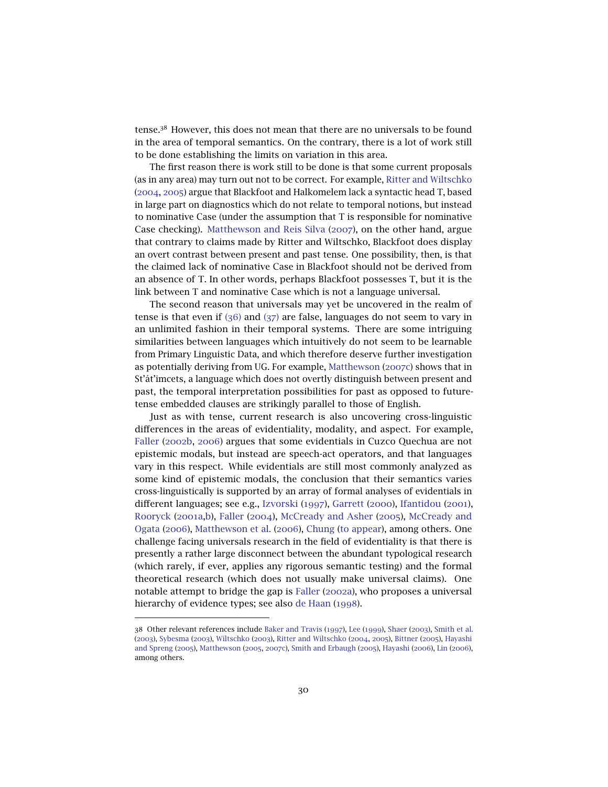tense.<sup>38</sup> However, this does not mean that there are no universals to be found in the area of temporal semantics. On the contrary, there is a lot of work still to be done establishing the limits on variation in this area.

The first reason there is work still to be done is that some current proposals (as in any area) may turn out not to be correct. For example, [Ritter and Wiltschko](#page-60-6) ([2004](#page-60-6), [2005](#page-60-7)) argue that Blackfoot and Halkomelem lack a syntactic head T, based in large part on diagnostics which do not relate to temporal notions, but instead to nominative Case (under the assumption that T is responsible for nominative Case checking). [Matthewson and Reis Silva](#page-58-5) ([2007](#page-58-5)), on the other hand, argue that contrary to claims made by Ritter and Wiltschko, Blackfoot does display an overt contrast between present and past tense. One possibility, then, is that the claimed lack of nominative Case in Blackfoot should not be derived from an absence of T. In other words, perhaps Blackfoot possesses T, but it is the link between T and nominative Case which is not a language universal.

The second reason that universals may yet be uncovered in the realm of tense is that even if ([36](#page-28-1)) and ([37](#page-28-3)) are false, languages do not seem to vary in an unlimited fashion in their temporal systems. There are some intriguing similarities between languages which intuitively do not seem to be learnable from Primary Linguistic Data, and which therefore deserve further investigation as potentially deriving from UG. For example, [Matthewson](#page-58-6) ([2007](#page-58-6)c) shows that in St'át'imcets, a language which does not overtly distinguish between present and past, the temporal interpretation possibilities for past as opposed to futuretense embedded clauses are strikingly parallel to those of English.

Just as with tense, current research is also uncovering cross-linguistic differences in the areas of evidentiality, modality, and aspect. For example, [Faller](#page-50-7) ([2002](#page-50-7)b, [2006](#page-51-7)) argues that some evidentials in Cuzco Quechua are not epistemic modals, but instead are speech-act operators, and that languages vary in this respect. While evidentials are still most commonly analyzed as some kind of epistemic modals, the conclusion that their semantics varies cross-linguistically is supported by an array of formal analyses of evidentials in different languages; see e.g., [Izvorski](#page-54-10) ([1997](#page-54-10)), [Garrett](#page-51-8) ([2000](#page-51-8)), [Ifantidou](#page-54-11) ([2001](#page-54-11)), [Rooryck](#page-60-8) ([2001](#page-60-8)a[,b\)](#page-60-9), [Faller](#page-50-8) ([2004](#page-50-8)), [McCready and Asher](#page-58-7) ([2005](#page-58-7)), [McCready and](#page-58-8) [Ogata](#page-58-8) ([2006](#page-58-8)), [Matthewson et al.](#page-58-9) ([2006](#page-58-9)), [Chung](#page-49-14) [\(to appear\)](#page-49-14), among others. One challenge facing universals research in the field of evidentiality is that there is presently a rather large disconnect between the abundant typological research (which rarely, if ever, applies any rigorous semantic testing) and the formal theoretical research (which does not usually make universal claims). One notable attempt to bridge the gap is [Faller](#page-50-9) ([2002](#page-50-9)a), who proposes a universal hierarchy of evidence types; see also [de Haan](#page-52-9) ([1998](#page-52-9)).

<sup>38</sup> Other relevant references include [Baker and Travis](#page-47-9) ([1997](#page-47-9)), [Lee](#page-56-9) ([1999](#page-56-9)), [Shaer](#page-61-3) ([2003](#page-61-3)), [Smith et al.](#page-61-2) ([2003](#page-61-2)), [Sybesma](#page-62-12) ([2003](#page-62-12)), [Wiltschko](#page-62-13) ([2003](#page-62-13)), [Ritter and Wiltschko](#page-60-6) ([2004](#page-60-6), [2005](#page-60-7)), [Bittner](#page-48-13) ([2005](#page-48-13)), [Hayashi](#page-53-6) [and Spreng](#page-53-6) ([2005](#page-53-6)), [Matthewson](#page-58-10) ([2005](#page-58-10), [2007](#page-58-6)c), [Smith and Erbaugh](#page-61-4) ([2005](#page-61-4)), [Hayashi](#page-53-7) ([2006](#page-53-7)), [Lin](#page-57-12) ([2006](#page-57-12)), among others.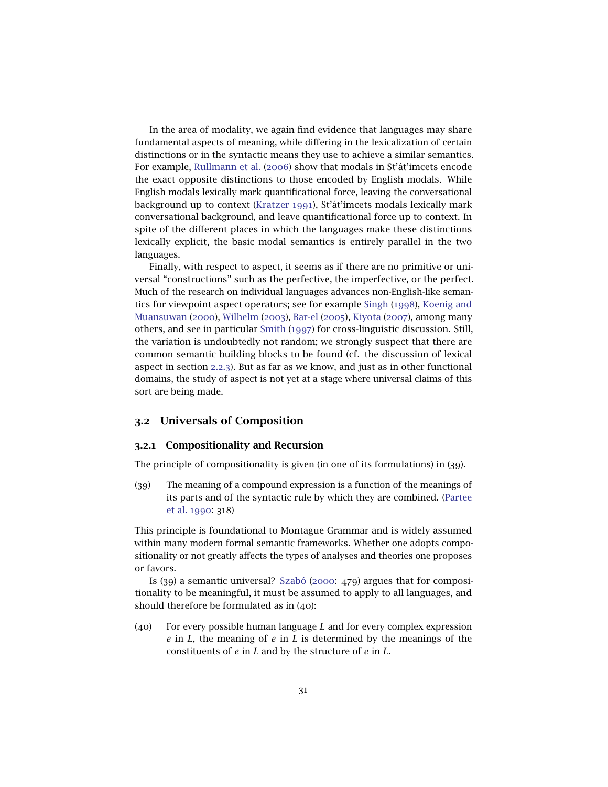In the area of modality, we again find evidence that languages may share fundamental aspects of meaning, while differing in the lexicalization of certain distinctions or in the syntactic means they use to achieve a similar semantics. For example, [Rullmann et al.](#page-60-10) ([2006](#page-60-10)) show that modals in St'át'imcets encode the exact opposite distinctions to those encoded by English modals. While English modals lexically mark quantificational force, leaving the conversational background up to context [\(Kratzer](#page-55-10) [1991](#page-55-10)), St'át'imcets modals lexically mark conversational background, and leave quantificational force up to context. In spite of the different places in which the languages make these distinctions lexically explicit, the basic modal semantics is entirely parallel in the two languages.

Finally, with respect to aspect, it seems as if there are no primitive or universal "constructions" such as the perfective, the imperfective, or the perfect. Much of the research on individual languages advances non-English-like semantics for viewpoint aspect operators; see for example [Singh](#page-61-5) ([1998](#page-61-5)), [Koenig and](#page-55-11) [Muansuwan](#page-55-11) ([2000](#page-55-11)), [Wilhelm](#page-62-14) ([2003](#page-62-14)), [Bar-el](#page-47-5) ([2005](#page-47-5)), [Kiyota](#page-55-3) ([2007](#page-55-3)), among many others, and see in particular [Smith](#page-61-6) ([1997](#page-61-6)) for cross-linguistic discussion. Still, the variation is undoubtedly not random; we strongly suspect that there are common semantic building blocks to be found (cf. the discussion of lexical aspect in section [2](#page-12-1).2.3). But as far as we know, and just as in other functional domains, the study of aspect is not yet at a stage where universal claims of this sort are being made.

## 3.2 Universals of Composition

### 3.2.1 Compositionality and Recursion

The principle of compositionality is given (in one of its formulations) in (39).

(39) The meaning of a compound expression is a function of the meanings of its parts and of the syntactic rule by which they are combined. [\(Partee](#page-59-9) [et al.](#page-59-9) [1990](#page-59-9): 318)

This principle is foundational to Montague Grammar and is widely assumed within many modern formal semantic frameworks. Whether one adopts compositionality or not greatly affects the types of analyses and theories one proposes or favors.

Is (39) a semantic universal? [Szabó](#page-62-15) ([2000](#page-62-15): 479) argues that for compositionality to be meaningful, it must be assumed to apply to all languages, and should therefore be formulated as in (40):

(40) For every possible human language *L* and for every complex expression *e* in *L*, the meaning of *e* in *L* is determined by the meanings of the constituents of *e* in *L* and by the structure of *e* in *L*.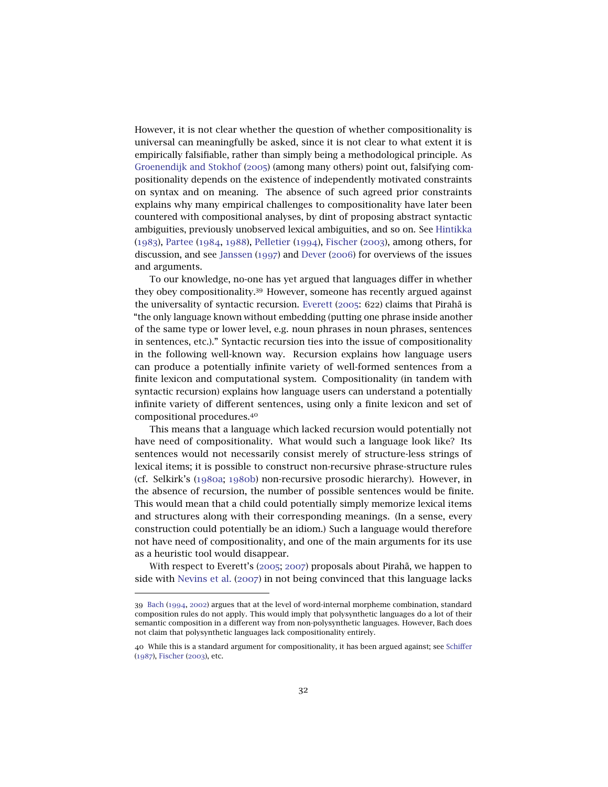However, it is not clear whether the question of whether compositionality is universal can meaningfully be asked, since it is not clear to what extent it is empirically falsifiable, rather than simply being a methodological principle. As [Groenendijk and Stokhof](#page-52-10) ([2005](#page-52-10)) (among many others) point out, falsifying compositionality depends on the existence of independently motivated constraints on syntax and on meaning. The absence of such agreed prior constraints explains why many empirical challenges to compositionality have later been countered with compositional analyses, by dint of proposing abstract syntactic ambiguities, previously unobserved lexical ambiguities, and so on. See [Hintikka](#page-53-8) ([1983](#page-53-8)), [Partee](#page-59-6) ([1984](#page-59-6), [1988](#page-59-10)), [Pelletier](#page-59-11) ([1994](#page-59-11)), [Fischer](#page-51-9) ([2003](#page-51-9)), among others, for discussion, and see [Janssen](#page-54-12) ([1997](#page-54-12)) and [Dever](#page-50-10) ([2006](#page-50-10)) for overviews of the issues and arguments.

To our knowledge, no-one has yet argued that languages differ in whether they obey compositionality.<sup>39</sup> However, someone has recently argued against the universality of syntactic recursion. [Everett](#page-50-0) ([2005](#page-50-0): 622) claims that Pirahã is "the only language known without embedding (putting one phrase inside another of the same type or lower level, e.g. noun phrases in noun phrases, sentences in sentences, etc.)." Syntactic recursion ties into the issue of compositionality in the following well-known way. Recursion explains how language users can produce a potentially infinite variety of well-formed sentences from a finite lexicon and computational system. Compositionality (in tandem with syntactic recursion) explains how language users can understand a potentially infinite variety of different sentences, using only a finite lexicon and set of compositional procedures.<sup>40</sup>

This means that a language which lacked recursion would potentially not have need of compositionality. What would such a language look like? Its sentences would not necessarily consist merely of structure-less strings of lexical items; it is possible to construct non-recursive phrase-structure rules (cf. Selkirk's ([1980](#page-61-7)a; [1980](#page-61-8)b) non-recursive prosodic hierarchy). However, in the absence of recursion, the number of possible sentences would be finite. This would mean that a child could potentially simply memorize lexical items and structures along with their corresponding meanings. (In a sense, every construction could potentially be an idiom.) Such a language would therefore not have need of compositionality, and one of the main arguments for its use as a heuristic tool would disappear.

With respect to Everett's ([2005](#page-50-0); [2007](#page-50-11)) proposals about Pirahã, we happen to side with [Nevins et al.](#page-59-1) ([2007](#page-59-1)) in not being convinced that this language lacks

<sup>39</sup> [Bach](#page-47-10) ([1994](#page-47-10), [2002](#page-47-11)) argues that at the level of word-internal morpheme combination, standard composition rules do not apply. This would imply that polysynthetic languages do a lot of their semantic composition in a different way from non-polysynthetic languages. However, Bach does not claim that polysynthetic languages lack compositionality entirely.

<sup>40</sup> While this is a standard argument for compositionality, it has been argued against; see [Schiffer](#page-61-9) ([1987](#page-61-9)), [Fischer](#page-51-9) ([2003](#page-51-9)), etc.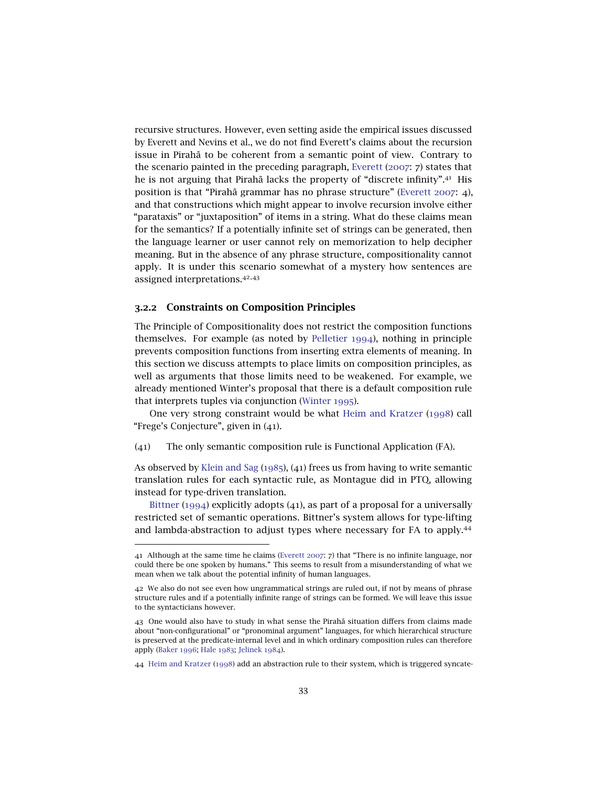recursive structures. However, even setting aside the empirical issues discussed by Everett and Nevins et al., we do not find Everett's claims about the recursion issue in Pirahã to be coherent from a semantic point of view. Contrary to the scenario painted in the preceding paragraph, [Everett](#page-50-11) ([2007](#page-50-11): 7) states that he is not arguing that Pirahã lacks the property of "discrete infinity".<sup>41</sup> His position is that "Pirahã grammar has no phrase structure" [\(Everett](#page-50-11) [2007](#page-50-11): 4), and that constructions which might appear to involve recursion involve either "parataxis" or "juxtaposition" of items in a string. What do these claims mean for the semantics? If a potentially infinite set of strings can be generated, then the language learner or user cannot rely on memorization to help decipher meaning. But in the absence of any phrase structure, compositionality cannot apply. It is under this scenario somewhat of a mystery how sentences are assigned interpretations.42,<sup>43</sup>

## 3.2.2 Constraints on Composition Principles

The Principle of Compositionality does not restrict the composition functions themselves. For example (as noted by [Pelletier](#page-59-11) [1994](#page-59-11)), nothing in principle prevents composition functions from inserting extra elements of meaning. In this section we discuss attempts to place limits on composition principles, as well as arguments that those limits need to be weakened. For example, we already mentioned Winter's proposal that there is a default composition rule that interprets tuples via conjunction [\(Winter](#page-62-11) [1995](#page-62-11)).

One very strong constraint would be what [Heim and Kratzer](#page-53-0) ([1998](#page-53-0)) call "Frege's Conjecture", given in (41).

(41) The only semantic composition rule is Functional Application (FA).

As observed by [Klein and Sag](#page-55-12) ([1985](#page-55-12)), (41) frees us from having to write semantic translation rules for each syntactic rule, as Montague did in PTQ, allowing instead for type-driven translation.

[Bittner](#page-48-1)  $(1994)$  $(1994)$  $(1994)$  explicitly adopts  $(41)$ , as part of a proposal for a universally restricted set of semantic operations. Bittner's system allows for type-lifting and lambda-abstraction to adjust types where necessary for FA to apply.<sup>44</sup>

<sup>41</sup> Although at the same time he claims [\(Everett](#page-50-11) [2007](#page-50-11): 7) that "There is no infinite language, nor could there be one spoken by humans." This seems to result from a misunderstanding of what we mean when we talk about the potential infinity of human languages.

<sup>42</sup> We also do not see even how ungrammatical strings are ruled out, if not by means of phrase structure rules and if a potentially infinite range of strings can be formed. We will leave this issue to the syntacticians however.

<sup>43</sup> One would also have to study in what sense the Pirahã situation differs from claims made about "non-configurational" or "pronominal argument" languages, for which hierarchical structure is preserved at the predicate-internal level and in which ordinary composition rules can therefore apply [\(Baker](#page-47-12) [1996](#page-47-12); [Hale](#page-52-11) [1983](#page-52-11); [Jelinek](#page-54-13) [1984](#page-54-13)).

<sup>44</sup> [Heim and Kratzer](#page-53-0) ([1998](#page-53-0)) add an abstraction rule to their system, which is triggered syncate-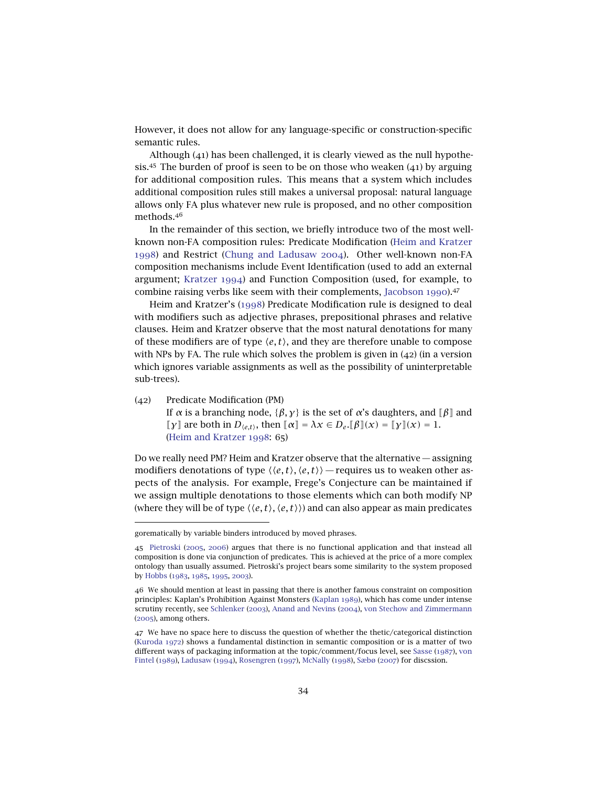However, it does not allow for any language-specific or construction-specific semantic rules.

Although (41) has been challenged, it is clearly viewed as the null hypothesis.<sup>45</sup> The burden of proof is seen to be on those who weaken  $(41)$  by arguing for additional composition rules. This means that a system which includes additional composition rules still makes a universal proposal: natural language allows only FA plus whatever new rule is proposed, and no other composition methods.<sup>46</sup>

In the remainder of this section, we briefly introduce two of the most wellknown non-FA composition rules: Predicate Modification [\(Heim and Kratzer](#page-53-0) [1998](#page-53-0)) and Restrict [\(Chung and Ladusaw](#page-49-15) [2004](#page-49-15)). Other well-known non-FA composition mechanisms include Event Identification (used to add an external argument; [Kratzer](#page-56-10) [1994](#page-56-10)) and Function Composition (used, for example, to combine raising verbs like seem with their complements, [Jacobson](#page-54-14) [1990](#page-54-14)).<sup>47</sup>

Heim and Kratzer's ([1998](#page-53-0)) Predicate Modification rule is designed to deal with modifiers such as adjective phrases, prepositional phrases and relative clauses. Heim and Kratzer observe that the most natural denotations for many of these modifiers are of type  $\langle e, t \rangle$ , and they are therefore unable to compose with NPs by FA. The rule which solves the problem is given in (42) (in a version which ignores variable assignments as well as the possibility of uninterpretable sub-trees).

<span id="page-33-0"></span>(42) Predicate Modification (PM)

If *α* is a branching node, { $β$ ,  $γ$ } is the set of *α*'s daughters, and  $[β]$  and  $\llbracket y \rrbracket$  are both in  $D_{\langle e,t \rangle}$ , then  $\llbracket \alpha \rrbracket = \lambda x \in D_e$ .  $\llbracket \beta \rrbracket(x) = \llbracket y \rrbracket(x) = 1$ . [\(Heim and Kratzer](#page-53-0) [1998](#page-53-0): 65)

Do we really need PM? Heim and Kratzer observe that the alternative — assigning modifiers denotations of type  $\langle e, t \rangle$ ,  $\langle e, t \rangle$ *i*— requires us to weaken other aspects of the analysis. For example, Frege's Conjecture can be maintained if we assign multiple denotations to those elements which can both modify NP (where they will be of type  $\langle \langle e, t \rangle, \langle e, t \rangle \rangle$ ) and can also appear as main predicates

gorematically by variable binders introduced by moved phrases.

<sup>45</sup> [Pietroski](#page-59-12) ([2005](#page-59-12), [2006](#page-60-11)) argues that there is no functional application and that instead all composition is done via conjunction of predicates. This is achieved at the price of a more complex ontology than usually assumed. Pietroski's project bears some similarity to the system proposed by [Hobbs](#page-53-9) ([1983](#page-53-9), [1985](#page-53-10), [1995](#page-53-11), [2003](#page-53-12)).

<sup>46</sup> We should mention at least in passing that there is another famous constraint on composition principles: Kaplan's Prohibition Against Monsters [\(Kaplan](#page-54-15) [1989](#page-54-15)), which has come under intense scrutiny recently, see [Schlenker](#page-61-10) ([2003](#page-61-10)), [Anand and Nevins](#page-47-13) ([2004](#page-47-13)), [von Stechow and Zimmermann](#page-61-11) ([2005](#page-61-11)), among others.

<sup>47</sup> We have no space here to discuss the question of whether the thetic/categorical distinction [\(Kuroda](#page-56-11) [1972](#page-56-11)) shows a fundamental distinction in semantic composition or is a matter of two different ways of packaging information at the topic/comment/focus level, see [Sasse](#page-61-12) ([1987](#page-61-12)), [von](#page-51-10) [Fintel](#page-51-10) ([1989](#page-51-10)), [Ladusaw](#page-56-12) ([1994](#page-56-12)), [Rosengren](#page-60-12) ([1997](#page-60-12)), [McNally](#page-58-11) ([1998](#page-58-11)), [Sæbø](#page-60-13) ([2007](#page-60-13)) for discssion.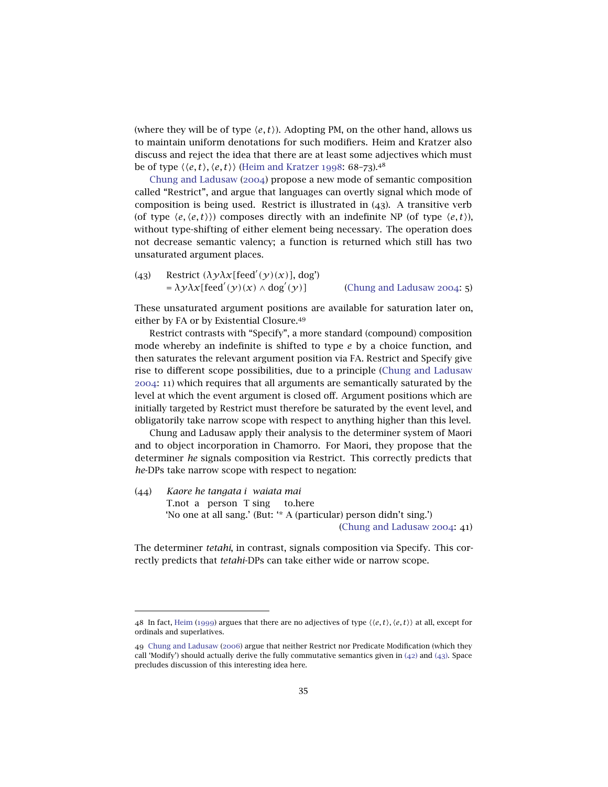(where they will be of type  $\langle e, t \rangle$ ). Adopting PM, on the other hand, allows us to maintain uniform denotations for such modifiers. Heim and Kratzer also discuss and reject the idea that there are at least some adjectives which must be of type  $\langle \langle e, t \rangle, \langle e, t \rangle \rangle$  [\(Heim and Kratzer](#page-53-0) [1998](#page-53-0): 68–73).<sup>48</sup>

[Chung and Ladusaw](#page-49-15) ([2004](#page-49-15)) propose a new mode of semantic composition called "Restrict", and argue that languages can overtly signal which mode of composition is being used. Restrict is illustrated in (43). A transitive verb (of type  $\langle e, \langle e, t \rangle$ ) composes directly with an indefinite NP (of type  $\langle e, t \rangle$ ), without type-shifting of either element being necessary. The operation does not decrease semantic valency; a function is returned which still has two unsaturated argument places.

<span id="page-34-0"></span>(43) Restrict  $(\lambda \gamma \lambda x$  [feed'( $\gamma$ )(x)], dog')  $= \lambda \mathcal{Y} \lambda \mathcal{X}$ [feed'( $\mathcal{Y}$ )( $\mathcal{X}$ )  $\wedge$  dog'

*[\(Chung and Ladusaw](#page-49-15) [2004](#page-49-15): 5)* 

These unsaturated argument positions are available for saturation later on, either by FA or by Existential Closure.<sup>49</sup>

Restrict contrasts with "Specify", a more standard (compound) composition mode whereby an indefinite is shifted to type *e* by a choice function, and then saturates the relevant argument position via FA. Restrict and Specify give rise to different scope possibilities, due to a principle [\(Chung and Ladusaw](#page-49-15) [2004](#page-49-15): 11) which requires that all arguments are semantically saturated by the level at which the event argument is closed off. Argument positions which are initially targeted by Restrict must therefore be saturated by the event level, and obligatorily take narrow scope with respect to anything higher than this level.

Chung and Ladusaw apply their analysis to the determiner system of Maori and to object incorporation in Chamorro. For Maori, they propose that the determiner *he* signals composition via Restrict. This correctly predicts that *he*-DPs take narrow scope with respect to negation:

(44) *Kaore he tangata i waiata mai* T.not a person T sing to.here 'No one at all sang.' (But: '\* A (particular) person didn't sing.') [\(Chung and Ladusaw](#page-49-15) [2004](#page-49-15): 41)

The determiner *tetahi*, in contrast, signals composition via Specify. This correctly predicts that *tetahi*-DPs can take either wide or narrow scope.

<sup>48</sup> In fact, [Heim](#page-53-13) ([1999](#page-53-13)) argues that there are no adjectives of type  $\langle \langle e, t \rangle, \langle e, t \rangle \rangle$  at all, except for ordinals and superlatives.

<sup>49</sup> [Chung and Ladusaw](#page-49-10) ([2006](#page-49-10)) argue that neither Restrict nor Predicate Modification (which they call 'Modify') should actually derive the fully commutative semantics given in  $(42)$  $(42)$  $(42)$  and  $(43)$  $(43)$  $(43)$ . Space precludes discussion of this interesting idea here.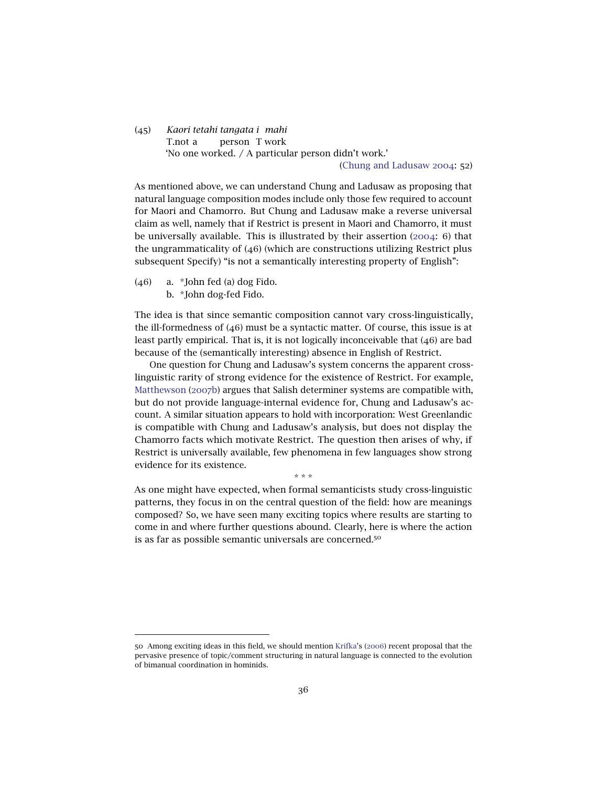(45) *Kaori tetahi tangata i mahi* T.not a person T work 'No one worked. / A particular person didn't work.'

[\(Chung and Ladusaw](#page-49-15) [2004](#page-49-15): 52)

As mentioned above, we can understand Chung and Ladusaw as proposing that natural language composition modes include only those few required to account for Maori and Chamorro. But Chung and Ladusaw make a reverse universal claim as well, namely that if Restrict is present in Maori and Chamorro, it must be universally available. This is illustrated by their assertion ([2004](#page-49-15): 6) that the ungrammaticality of (46) (which are constructions utilizing Restrict plus subsequent Specify) "is not a semantically interesting property of English":

(46) a. \*John fed (a) dog Fido. b. \*John dog-fed Fido.

The idea is that since semantic composition cannot vary cross-linguistically, the ill-formedness of  $(46)$  must be a syntactic matter. Of course, this issue is at

because of the (semantically interesting) absence in English of Restrict. One question for Chung and Ladusaw's system concerns the apparent crosslinguistic rarity of strong evidence for the existence of Restrict. For example, [Matthewson](#page-58-12) ([2007](#page-58-12)b) argues that Salish determiner systems are compatible with, but do not provide language-internal evidence for, Chung and Ladusaw's account. A similar situation appears to hold with incorporation: West Greenlandic is compatible with Chung and Ladusaw's analysis, but does not display the Chamorro facts which motivate Restrict. The question then arises of why, if Restrict is universally available, few phenomena in few languages show strong evidence for its existence.

least partly empirical. That is, it is not logically inconceivable that (46) are bad

As one might have expected, when formal semanticists study cross-linguistic patterns, they focus in on the central question of the field: how are meanings composed? So, we have seen many exciting topics where results are starting to come in and where further questions abound. Clearly, here is where the action is as far as possible semantic universals are concerned.<sup>50</sup>

\* \* \*

<sup>50</sup> Among exciting ideas in this field, we should mention [Krifka'](#page-56-13)s ([2006](#page-56-13)) recent proposal that the pervasive presence of topic/comment structuring in natural language is connected to the evolution of bimanual coordination in hominids.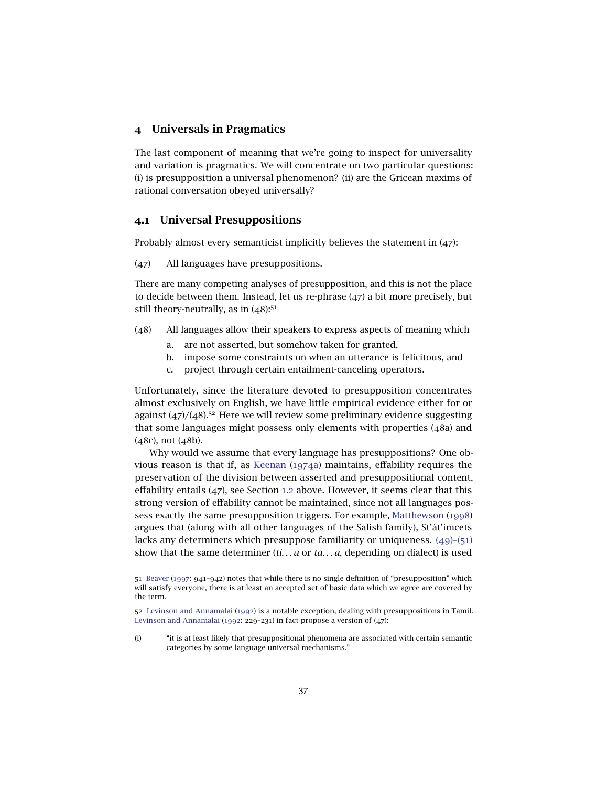## 4 Universals in Pragmatics

The last component of meaning that we're going to inspect for universality and variation is pragmatics. We will concentrate on two particular questions: (i) is presupposition a universal phenomenon? (ii) are the Gricean maxims of rational conversation obeyed universally?

### <span id="page-36-0"></span>4.1 Universal Presuppositions

Probably almost every semanticist implicitly believes the statement in (47):

<span id="page-36-1"></span>(47) All languages have presuppositions.

There are many competing analyses of presupposition, and this is not the place to decide between them. Instead, let us re-phrase  $(47)$  a bit more precisely, but still theory-neutrally, as in  $(48)$ :<sup>51</sup>

- <span id="page-36-3"></span><span id="page-36-2"></span>(48) All languages allow their speakers to express aspects of meaning which
	- a. are not asserted, but somehow taken for granted,
	- b. impose some constraints on when an utterance is felicitous, and
	- c. project through certain entailment-canceling operators.

Unfortunately, since the literature devoted to presupposition concentrates almost exclusively on English, we have little empirical evidence either for or against  $\left(47\right)/\left(48\right).$ <sup>52</sup> Here we will review some preliminary evidence suggesting that some languages might possess only elements with properties (48a) and (48c), not (48b).

Why would we assume that every language has presuppositions? One obvious reason is that if, as [Keenan](#page-55-1) ([1974](#page-55-1)a) maintains, effability requires the preservation of the division between asserted and presuppositional content, effability entails (47), see Section 1.[2](#page-3-0) above. However, it seems clear that this strong version of effability cannot be maintained, since not all languages possess exactly the same presupposition triggers. For example, [Matthewson](#page-57-10) ([1998](#page-57-10)) argues that (along with all other languages of the Salish family), St'át'imcets lacks any determiners which presuppose familiarity or uniqueness.  $(49)-(51)$  $(49)-(51)$  $(49)-(51)$  $(49)-(51)$  $(49)-(51)$ show that the same determiner (*ti. . . a* or *ta. . . a*, depending on dialect) is used

(i) "it is at least likely that presuppositional phenomena are associated with certain semantic categories by some language universal mechanisms."

<sup>51</sup> [Beaver](#page-48-14) ([1997](#page-48-14): 941–942) notes that while there is no single definition of "presupposition" which will satisfy everyone, there is at least an accepted set of basic data which we agree are covered by the term.

<sup>52</sup> [Levinson and Annamalai](#page-57-13) ([1992](#page-57-13)) is a notable exception, dealing with presuppositions in Tamil. [Levinson and Annamalai](#page-57-13) ([1992](#page-57-13): 229–231) in fact propose a version of (47):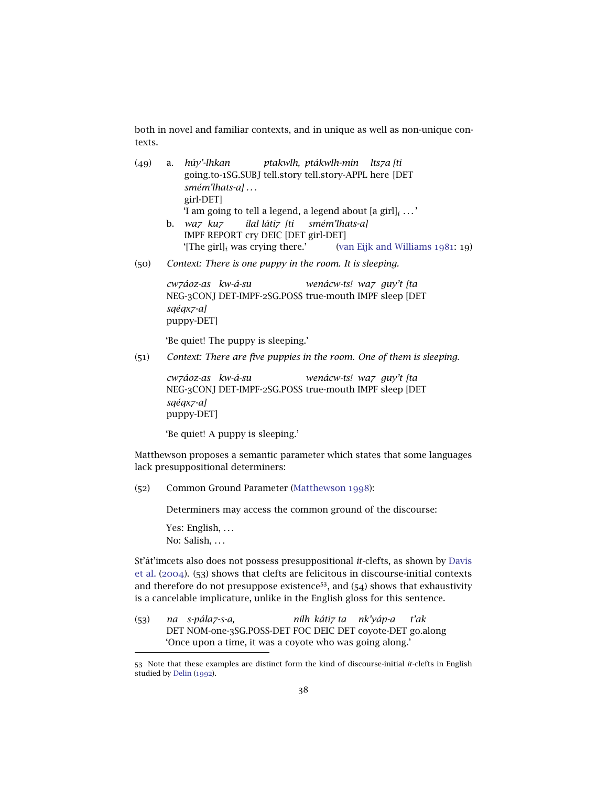both in novel and familiar contexts, and in unique as well as non-unique contexts.

- <span id="page-37-0"></span>(49) a. *húy'-lhkan* going.to-1SG.SUBJ tell.story tell.story-APPL here [DET *ptakwlh, ptákwlh-min lts7a [ti smém'lhats-a] . . .* girl-DET] 'I am going to tell a legend, a legend about [a girl]*<sup>i</sup>* . . . ' b. *wa7 ku7* IMPF REPORT cry DEIC [DET girl-DET] *ílal láti7 [ti smém'lhats-a]* '[The girl] $_i$  was crying there.' [\(van Eijk and Williams](#page-50-2) [1981](#page-50-2): 19)
- (50) *Context: There is one puppy in the room. It is sleeping.*

*cw7áoz-as kw-á-su* NEG-3CONJ DET-IMPF-2SG.POSS true-mouth IMPF sleep [DET *wenácw-ts! wa7 guy't [ta sqéqx7-a]* puppy-DET]

'Be quiet! The puppy is sleeping.'

<span id="page-37-1"></span>(51) *Context: There are five puppies in the room. One of them is sleeping.*

*cw7áoz-as kw-á-su* NEG-3CONJ DET-IMPF-2SG.POSS true-mouth IMPF sleep [DET *wenácw-ts! wa7 guy't [ta sqéqx7-a]* puppy-DET]

'Be quiet! A puppy is sleeping.'

Matthewson proposes a semantic parameter which states that some languages lack presuppositional determiners:

(52) Common Ground Parameter [\(Matthewson](#page-57-10) [1998](#page-57-10)):

Determiners may access the common ground of the discourse:

Yes: English, ... No: Salish, . . .

St'át'imcets also does not possess presuppositional *it*-clefts, as shown by [Davis](#page-50-12) [et al.](#page-50-12) ([2004](#page-50-12)). (53) shows that clefts are felicitous in discourse-initial contexts and therefore do not presuppose existence<sup>53</sup>, and  $(54)$  shows that exhaustivity is a cancelable implicature, unlike in the English gloss for this sentence.

 $(53)$ DET NOM-one-3SG.POSS-DET FOC DEIC DET coyote-DET go.along *s-pála7-s-a, nilh káti7 ta nk'yáp-a t'ak* 'Once upon a time, it was a coyote who was going along.'

<sup>53</sup> Note that these examples are distinct form the kind of discourse-initial *it*-clefts in English studied by [Delin](#page-50-13) ([1992](#page-50-13)).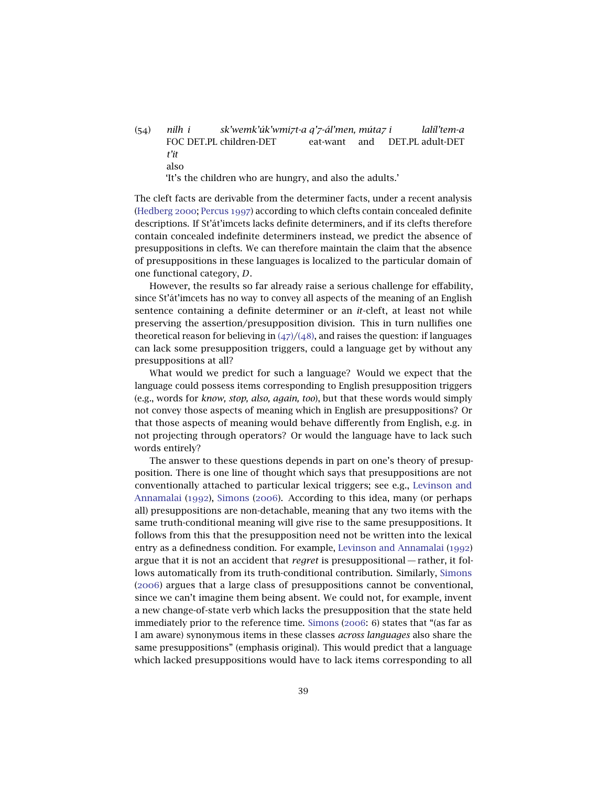$(54)$ FOC DET.PL children-DET *i sk'wemk'úk'wmi7t-a q'7-ál'men, múta7 i* eat-want and DET.PL adult-DET *lalíl'tem-a t'it* also 'It's the children who are hungry, and also the adults.'

The cleft facts are derivable from the determiner facts, under a recent analysis [\(Hedberg](#page-53-14) [2000](#page-53-14); [Percus](#page-59-13) [1997](#page-59-13)) according to which clefts contain concealed definite descriptions. If St'át'imcets lacks definite determiners, and if its clefts therefore contain concealed indefinite determiners instead, we predict the absence of presuppositions in clefts. We can therefore maintain the claim that the absence of presuppositions in these languages is localized to the particular domain of one functional category, *D*.

However, the results so far already raise a serious challenge for effability, since St'át'imcets has no way to convey all aspects of the meaning of an English sentence containing a definite determiner or an *it*-cleft, at least not while preserving the assertion/presupposition division. This in turn nullifies one theoretical reason for believing in  $(47)/(48)$  $(47)/(48)$  $(47)/(48)$  $(47)/(48)$  $(47)/(48)$ , and raises the question: if languages can lack some presupposition triggers, could a language get by without any presuppositions at all?

What would we predict for such a language? Would we expect that the language could possess items corresponding to English presupposition triggers (e.g., words for *know, stop, also, again, too*), but that these words would simply not convey those aspects of meaning which in English are presuppositions? Or that those aspects of meaning would behave differently from English, e.g. in not projecting through operators? Or would the language have to lack such words entirely?

The answer to these questions depends in part on one's theory of presupposition. There is one line of thought which says that presuppositions are not conventionally attached to particular lexical triggers; see e.g., [Levinson and](#page-57-13) [Annamalai](#page-57-13) ([1992](#page-57-13)), [Simons](#page-61-13) ([2006](#page-61-13)). According to this idea, many (or perhaps all) presuppositions are non-detachable, meaning that any two items with the same truth-conditional meaning will give rise to the same presuppositions. It follows from this that the presupposition need not be written into the lexical entry as a definedness condition. For example, [Levinson and Annamalai](#page-57-13) ([1992](#page-57-13)) argue that it is not an accident that *regret* is presuppositional— rather, it follows automatically from its truth-conditional contribution. Similarly, [Simons](#page-61-13) ([2006](#page-61-13)) argues that a large class of presuppositions cannot be conventional, since we can't imagine them being absent. We could not, for example, invent a new change-of-state verb which lacks the presupposition that the state held immediately prior to the reference time. [Simons](#page-61-13) ([2006](#page-61-13): 6) states that "(as far as I am aware) synonymous items in these classes *across languages* also share the same presuppositions" (emphasis original). This would predict that a language which lacked presuppositions would have to lack items corresponding to all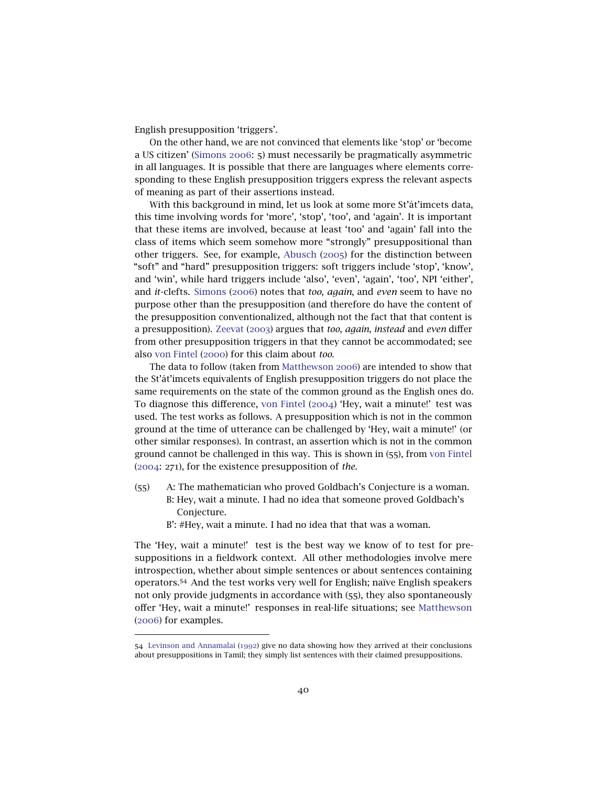English presupposition 'triggers'.

On the other hand, we are not convinced that elements like 'stop' or 'become a US citizen' [\(Simons](#page-61-13) [2006](#page-61-13): 5) must necessarily be pragmatically asymmetric in all languages. It is possible that there are languages where elements corresponding to these English presupposition triggers express the relevant aspects of meaning as part of their assertions instead.

With this background in mind, let us look at some more St'át'imcets data, this time involving words for 'more', 'stop', 'too', and 'again'. It is important that these items are involved, because at least 'too' and 'again' fall into the class of items which seem somehow more "strongly" presuppositional than other triggers. See, for example, [Abusch](#page-47-14) ([2005](#page-47-14)) for the distinction between "soft" and "hard" presupposition triggers: soft triggers include 'stop', 'know', and 'win', while hard triggers include 'also', 'even', 'again', 'too', NPI 'either', and *it*-clefts. [Simons](#page-61-13) ([2006](#page-61-13)) notes that *too*, *again*, and *even* seem to have no purpose other than the presupposition (and therefore do have the content of the presupposition conventionalized, although not the fact that that content is a presupposition). [Zeevat](#page-63-5) ([2003](#page-63-5)) argues that *too*, *again*, *instead* and *even* differ from other presupposition triggers in that they cannot be accommodated; see also [von Fintel](#page-51-11) ([2000](#page-51-11)) for this claim about *too*.

The data to follow (taken from [Matthewson](#page-58-13) [2006](#page-58-13)) are intended to show that the St'át'imcets equivalents of English presupposition triggers do not place the same requirements on the state of the common ground as the English ones do. To diagnose this difference, [von Fintel](#page-51-12) ([2004](#page-51-12)) 'Hey, wait a minute!' test was used. The test works as follows. A presupposition which is not in the common ground at the time of utterance can be challenged by 'Hey, wait a minute!' (or other similar responses). In contrast, an assertion which is not in the common ground cannot be challenged in this way. This is shown in (55), from [von Fintel](#page-51-12) ([2004](#page-51-12): 271), for the existence presupposition of *the*.

- (55) A: The mathematician who proved Goldbach's Conjecture is a woman. B: Hey, wait a minute. I had no idea that someone proved Goldbach's Conjecture.
	- B': #Hey, wait a minute. I had no idea that that was a woman.

The 'Hey, wait a minute!' test is the best way we know of to test for presuppositions in a fieldwork context. All other methodologies involve mere introspection, whether about simple sentences or about sentences containing operators.<sup>54</sup> And the test works very well for English; naïve English speakers not only provide judgments in accordance with (55), they also spontaneously offer 'Hey, wait a minute!' responses in real-life situations; see [Matthewson](#page-58-13) ([2006](#page-58-13)) for examples.

<sup>54</sup> [Levinson and Annamalai](#page-57-13) ([1992](#page-57-13)) give no data showing how they arrived at their conclusions about presuppositions in Tamil; they simply list sentences with their claimed presuppositions.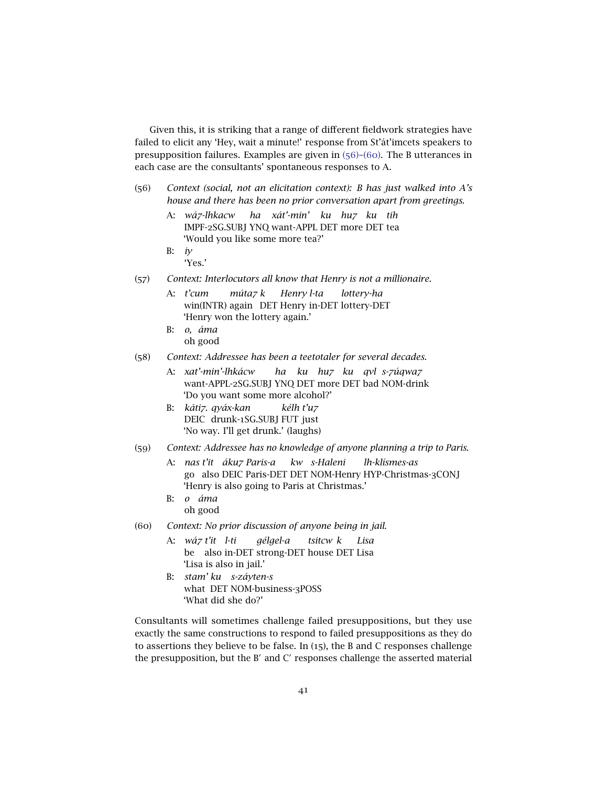Given this, it is striking that a range of different fieldwork strategies have failed to elicit any 'Hey, wait a minute!' response from St'át'imcets speakers to presupposition failures. Examples are given in ([56](#page-40-0))–([60](#page-40-1)). The B utterances in each case are the consultants' spontaneous responses to A.

- <span id="page-40-0"></span>(56) *Context (social, not an elicitation context): B has just walked into A's house and there has been no prior conversation apart from greetings.*
	- A: *wá7-lhkacw* IMPF-2SG.SUBJ YNQ want-APPL DET more DET tea *ha xát'-min' ku hu7 ku tih* 'Would you like some more tea?'
	- B: *iy* 'Yes.'
- (57) *Context: Interlocutors all know that Henry is not a millionaire.*
	- A: *t'cum* win(INTR) again DET Henry in-DET lottery-DET *múta7 k Henry l-ta lottery-ha* 'Henry won the lottery again.'
	- B: *o, áma* oh good
- (58) *Context: Addressee has been a teetotaler for several decades.*
	- A: *xat'-min'-lhkácw* want-APPL-2SG.SUBJ YNQ DET more DET bad NOM-drink *ha ku hu7 ku qvl s-7úqwa7* 'Do you want some more alcohol?'
	- B: *káti7. qyáx-kan* DEIC drunk-1SG.SUBJ FUT just *kélh t'u7* 'No way. I'll get drunk.' (laughs)
- (59) *Context: Addressee has no knowledge of anyone planning a trip to Paris.*
	- A: *nas t'it áku7 Paris-a* go also DEIC Paris-DET DET NOM-Henry HYP-Christmas-3CONJ *kw s-Haleni lh-klísmes-as* 'Henry is also going to Paris at Christmas.'
	- B: *o áma* oh good
- <span id="page-40-1"></span>(60) *Context: No prior discussion of anyone being in jail.*
	- A: *wá7 t'it l-ti* be also in-DET strong-DET house DET Lisa *gélgel-a tsitcw k Lisa* 'Lisa is also in jail.'
	- B: *stam' ku s-záyten-s* what DET NOM-business-3POSS 'What did she do?'

Consultants will sometimes challenge failed presuppositions, but they use exactly the same constructions to respond to failed presuppositions as they do to assertions they believe to be false. In (15), the B and C responses challenge the presupposition, but the B' and C' responses challenge the asserted material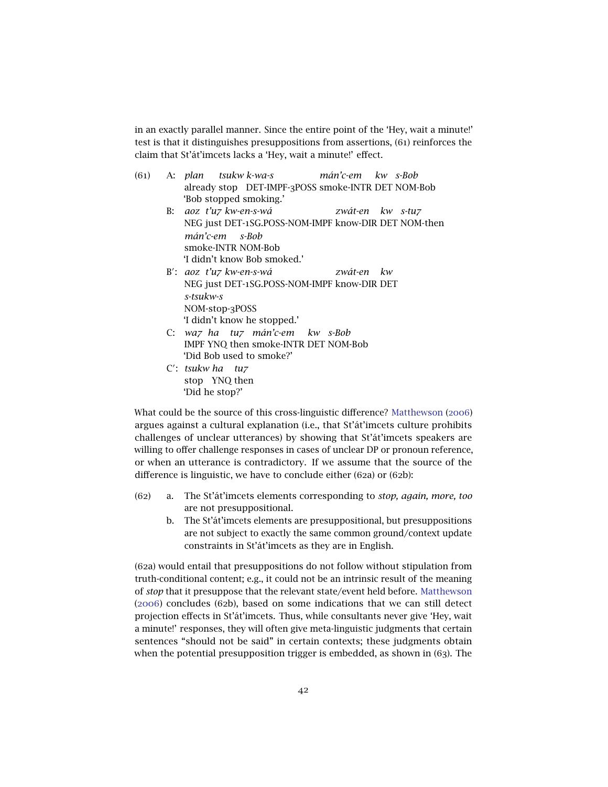in an exactly parallel manner. Since the entire point of the 'Hey, wait a minute!' test is that it distinguishes presuppositions from assertions, (61) reinforces the claim that St'át'imcets lacks a 'Hey, wait a minute!' effect.

- (61) A: *plan* already stop DET-IMPF-3POSS smoke-INTR DET NOM-Bob *tsukw k-wa-s mán'c-em kw s-Bob* 'Bob stopped smoking.' B: *aoz t'u7 kw-en-s-wá* NEG just DET-1SG.POSS-NOM-IMPF know-DIR DET NOM-then *zwát-en kw s-tu7 mán'c-em s-Bob* smoke-INTR NOM-Bob 'I didn't know Bob smoked.' B 0 : *aoz t'u7 kw-en-s-wá* NEG just DET-1SG.POSS-NOM-IMPF know-DIR DET *zwát-en kw s-tsukw-s* NOM-stop-3POSS 'I didn't know he stopped.' C: *wa7 ha tu7 mán'c-em kw s-Bob* IMPF YNQ then smoke-INTR DET NOM-Bob 'Did Bob used to smoke?' C 0 : *tsukw ha tu7*
	- stop YNQ then 'Did he stop?'

What could be the source of this cross-linguistic difference? [Matthewson](#page-58-13) ([2006](#page-58-13)) argues against a cultural explanation (i.e., that St'át'imcets culture prohibits challenges of unclear utterances) by showing that St'át'imcets speakers are willing to offer challenge responses in cases of unclear DP or pronoun reference, or when an utterance is contradictory. If we assume that the source of the difference is linguistic, we have to conclude either (62a) or (62b):

- (62) a. The St'át'imcets elements corresponding to *stop, again, more, too* are not presuppositional.
	- b. The St'át'imcets elements are presuppositional, but presuppositions are not subject to exactly the same common ground/context update constraints in St'át'imcets as they are in English.

(62a) would entail that presuppositions do not follow without stipulation from truth-conditional content; e.g., it could not be an intrinsic result of the meaning of *stop* that it presuppose that the relevant state/event held before. [Matthewson](#page-58-13) ([2006](#page-58-13)) concludes (62b), based on some indications that we can still detect projection effects in St'át'imcets. Thus, while consultants never give 'Hey, wait a minute!' responses, they will often give meta-linguistic judgments that certain sentences "should not be said" in certain contexts; these judgments obtain when the potential presupposition trigger is embedded, as shown in (63). The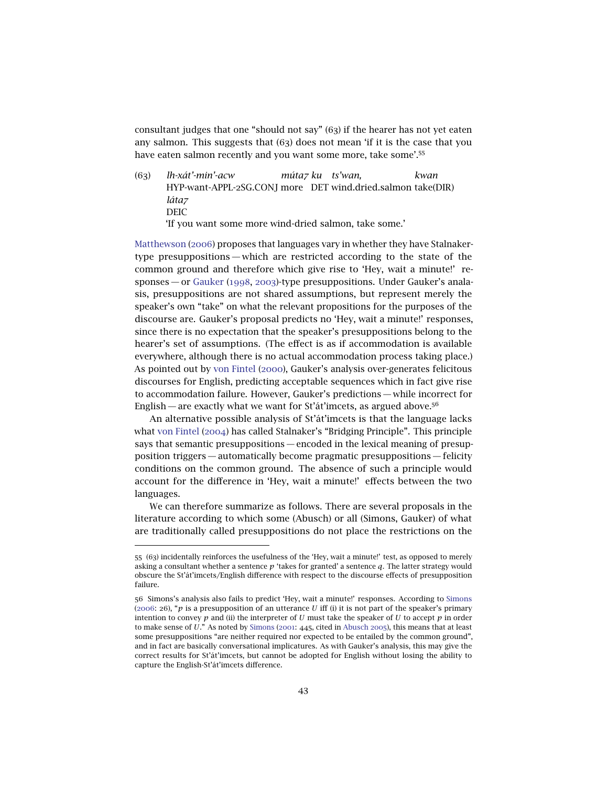consultant judges that one "should not say" (63) if the hearer has not yet eaten any salmon. This suggests that (63) does not mean 'if it is the case that you have eaten salmon recently and you want some more, take some'.<sup>55</sup>

(63) *lh-xát'-min'-acw* HYP-want-APPL-2SG.CONJ more DET wind.dried.salmon take(DIR) *múta7 ku ts'wan, kwan láta7* DEIC

'If you want some more wind-dried salmon, take some.'

[Matthewson](#page-58-13) ([2006](#page-58-13)) proposes that languages vary in whether they have Stalnakertype presuppositions— which are restricted according to the state of the common ground and therefore which give rise to 'Hey, wait a minute!' responses — or [Gauker](#page-51-13) ([1998](#page-51-13), [2003](#page-51-14))-type presuppositions. Under Gauker's analasis, presuppositions are not shared assumptions, but represent merely the speaker's own "take" on what the relevant propositions for the purposes of the discourse are. Gauker's proposal predicts no 'Hey, wait a minute!' responses, since there is no expectation that the speaker's presuppositions belong to the hearer's set of assumptions. (The effect is as if accommodation is available everywhere, although there is no actual accommodation process taking place.) As pointed out by [von Fintel](#page-51-11) ([2000](#page-51-11)), Gauker's analysis over-generates felicitous discourses for English, predicting acceptable sequences which in fact give rise to accommodation failure. However, Gauker's predictions — while incorrect for English — are exactly what we want for St'at'imcets, as argued above.<sup>56</sup>

An alternative possible analysis of St'át'imcets is that the language lacks what [von Fintel](#page-51-12) ([2004](#page-51-12)) has called Stalnaker's "Bridging Principle". This principle says that semantic presuppositions — encoded in the lexical meaning of presupposition triggers — automatically become pragmatic presuppositions — felicity conditions on the common ground. The absence of such a principle would account for the difference in 'Hey, wait a minute!' effects between the two languages.

We can therefore summarize as follows. There are several proposals in the literature according to which some (Abusch) or all (Simons, Gauker) of what are traditionally called presuppositions do not place the restrictions on the

<sup>55</sup> (63) incidentally reinforces the usefulness of the 'Hey, wait a minute!' test, as opposed to merely asking a consultant whether a sentence *p* 'takes for granted' a sentence *q*. The latter strategy would obscure the St'át'imcets/English difference with respect to the discourse effects of presupposition failure.

<sup>56</sup> Simons's analysis also fails to predict 'Hey, wait a minute!' responses. According to [Simons](#page-61-13) ([2006](#page-61-13): 26), " $p$  is a presupposition of an utterance *U* iff (i) it is not part of the speaker's primary intention to convey  $p$  and (ii) the interpreter of  $U$  must take the speaker of  $U$  to accept  $p$  in order to make sense of *U*." As noted by [Simons](#page-61-14) ([2001](#page-61-14): 445, cited in [Abusch](#page-47-14) [2005](#page-47-14)), this means that at least some presuppositions "are neither required nor expected to be entailed by the common ground", and in fact are basically conversational implicatures. As with Gauker's analysis, this may give the correct results for St'át'imcets, but cannot be adopted for English without losing the ability to capture the English-St'át'imcets difference.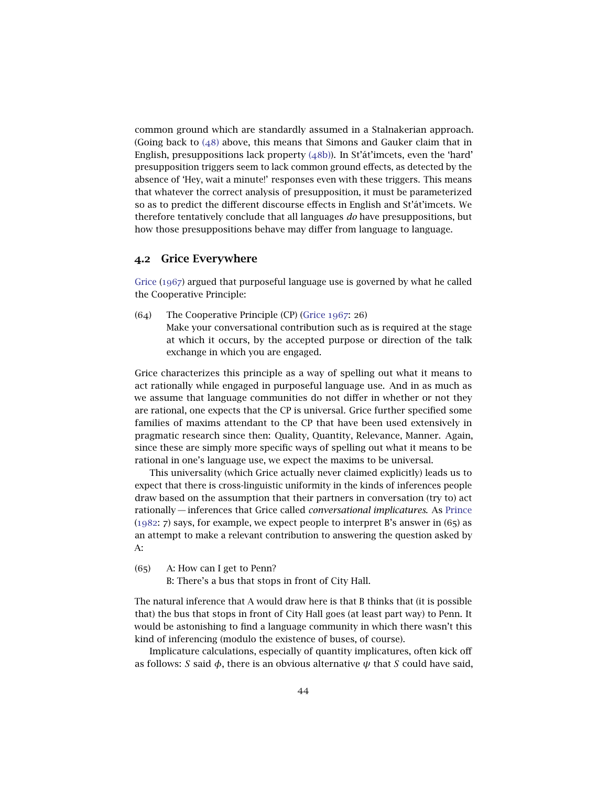common ground which are standardly assumed in a Stalnakerian approach. (Going back to ([48](#page-36-2)) above, this means that Simons and Gauker claim that in English, presuppositions lack property ([48](#page-36-3)b)). In St'át'imcets, even the 'hard' presupposition triggers seem to lack common ground effects, as detected by the absence of 'Hey, wait a minute!' responses even with these triggers. This means that whatever the correct analysis of presupposition, it must be parameterized so as to predict the different discourse effects in English and St'át'imcets. We therefore tentatively conclude that all languages *do* have presuppositions, but how those presuppositions behave may differ from language to language.

## 4.2 Grice Everywhere

[Grice](#page-52-12) ([1967](#page-52-12)) argued that purposeful language use is governed by what he called the Cooperative Principle:

(64) The Cooperative Principle (CP) [\(Grice](#page-52-12) [1967](#page-52-12): 26) Make your conversational contribution such as is required at the stage at which it occurs, by the accepted purpose or direction of the talk exchange in which you are engaged.

Grice characterizes this principle as a way of spelling out what it means to act rationally while engaged in purposeful language use. And in as much as we assume that language communities do not differ in whether or not they are rational, one expects that the CP is universal. Grice further specified some families of maxims attendant to the CP that have been used extensively in pragmatic research since then: Quality, Quantity, Relevance, Manner. Again, since these are simply more specific ways of spelling out what it means to be rational in one's language use, we expect the maxims to be universal.

This universality (which Grice actually never claimed explicitly) leads us to expect that there is cross-linguistic uniformity in the kinds of inferences people draw based on the assumption that their partners in conversation (try to) act rationally — inferences that Grice called *conversational implicatures*. As [Prince](#page-60-14) ([1982](#page-60-14): 7) says, for example, we expect people to interpret B's answer in (65) as an attempt to make a relevant contribution to answering the question asked by A:

(65) A: How can I get to Penn?

B: There's a bus that stops in front of City Hall.

The natural inference that A would draw here is that B thinks that (it is possible that) the bus that stops in front of City Hall goes (at least part way) to Penn. It would be astonishing to find a language community in which there wasn't this kind of inferencing (modulo the existence of buses, of course).

Implicature calculations, especially of quantity implicatures, often kick off as follows: *S* said *φ*, there is an obvious alternative *ψ* that *S* could have said,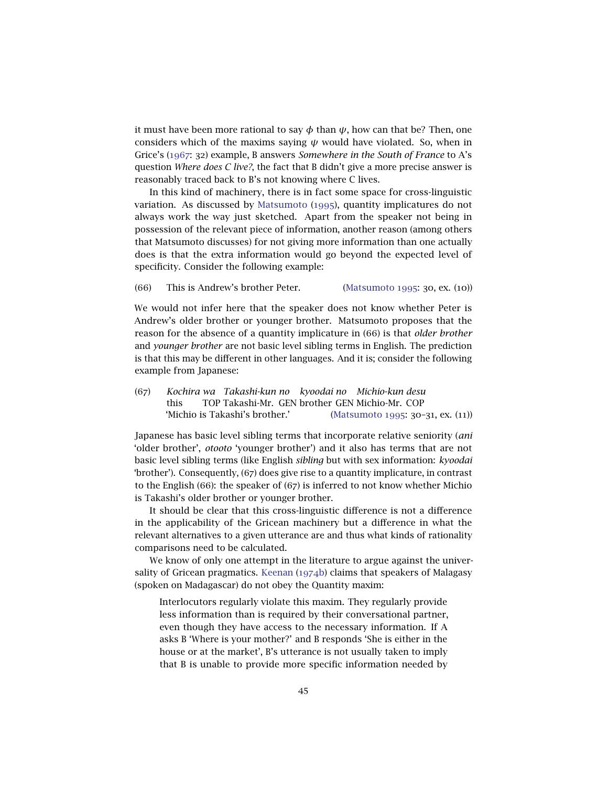it must have been more rational to say  $\phi$  than  $\psi$ , how can that be? Then, one considers which of the maxims saying  $\psi$  would have violated. So, when in Grice's ([1967](#page-52-12): 32) example, B answers *Somewhere in the South of France* to A's question *Where does C live?*, the fact that B didn't give a more precise answer is reasonably traced back to B's not knowing where C lives.

In this kind of machinery, there is in fact some space for cross-linguistic variation. As discussed by [Matsumoto](#page-57-14) ([1995](#page-57-14)), quantity implicatures do not always work the way just sketched. Apart from the speaker not being in possession of the relevant piece of information, another reason (among others that Matsumoto discusses) for not giving more information than one actually does is that the extra information would go beyond the expected level of specificity. Consider the following example:

(66) This is Andrew's brother Peter. [\(Matsumoto](#page-57-14) [1995](#page-57-14): 30, ex. (10))

We would not infer here that the speaker does not know whether Peter is Andrew's older brother or younger brother. Matsumoto proposes that the reason for the absence of a quantity implicature in (66) is that *older brother* and *younger brother* are not basic level sibling terms in English. The prediction is that this may be different in other languages. And it is; consider the following example from Japanese:

(67) *Kochira wa Takashi-kun no kyoodai no Michio-kun desu* this TOP Takashi-Mr. GEN brother GEN Michio-Mr. COP 'Michio is Takashi's brother.' [\(Matsumoto](#page-57-14) [1995](#page-57-14): 30–31, ex. (11))

Japanese has basic level sibling terms that incorporate relative seniority (*ani* 'older brother', *otooto* 'younger brother') and it also has terms that are not basic level sibling terms (like English *sibling* but with sex information: *kyoodai* 'brother'). Consequently, (67) does give rise to a quantity implicature, in contrast to the English (66): the speaker of (67) is inferred to not know whether Michio is Takashi's older brother or younger brother.

It should be clear that this cross-linguistic difference is not a difference in the applicability of the Gricean machinery but a difference in what the relevant alternatives to a given utterance are and thus what kinds of rationality comparisons need to be calculated.

We know of only one attempt in the literature to argue against the universality of Gricean pragmatics. [Keenan](#page-55-13) ([1974](#page-55-13)b) claims that speakers of Malagasy (spoken on Madagascar) do not obey the Quantity maxim:

Interlocutors regularly violate this maxim. They regularly provide less information than is required by their conversational partner, even though they have access to the necessary information. If A asks B 'Where is your mother?' and B responds 'She is either in the house or at the market', B's utterance is not usually taken to imply that B is unable to provide more specific information needed by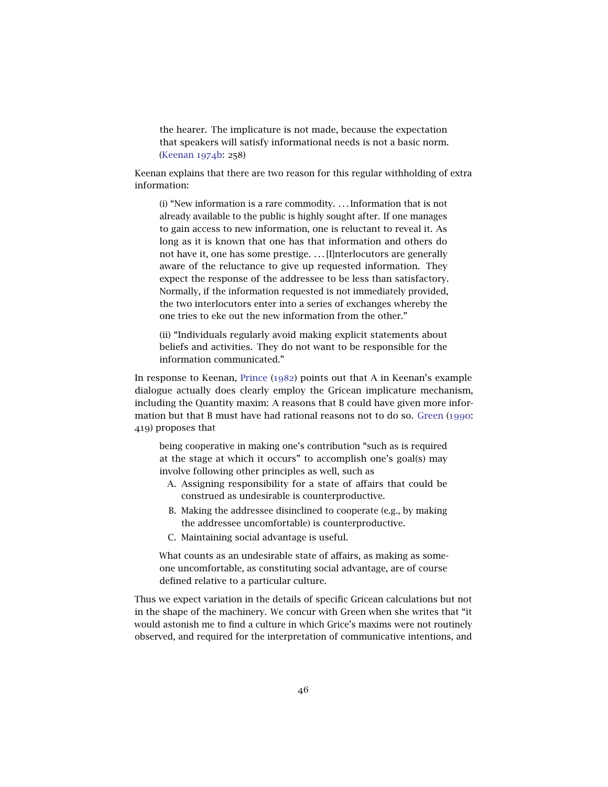the hearer. The implicature is not made, because the expectation that speakers will satisfy informational needs is not a basic norm. [\(Keenan](#page-55-13) [1974](#page-55-13)b: 258)

Keenan explains that there are two reason for this regular withholding of extra information:

(i) "New information is a rare commodity. . . . Information that is not already available to the public is highly sought after. If one manages to gain access to new information, one is reluctant to reveal it. As long as it is known that one has that information and others do not have it, one has some prestige. . . . [I]nterlocutors are generally aware of the reluctance to give up requested information. They expect the response of the addressee to be less than satisfactory. Normally, if the information requested is not immediately provided, the two interlocutors enter into a series of exchanges whereby the one tries to eke out the new information from the other."

(ii) "Individuals regularly avoid making explicit statements about beliefs and activities. They do not want to be responsible for the information communicated."

In response to Keenan, [Prince](#page-60-14) ([1982](#page-60-14)) points out that A in Keenan's example dialogue actually does clearly employ the Gricean implicature mechanism, including the Quantity maxim: A reasons that B could have given more information but that B must have had rational reasons not to do so. [Green](#page-52-13) ([1990](#page-52-13): 419) proposes that

being cooperative in making one's contribution "such as is required at the stage at which it occurs" to accomplish one's goal(s) may involve following other principles as well, such as

- A. Assigning responsibility for a state of affairs that could be construed as undesirable is counterproductive.
- B. Making the addressee disinclined to cooperate (e.g., by making the addressee uncomfortable) is counterproductive.
- C. Maintaining social advantage is useful.

What counts as an undesirable state of affairs, as making as someone uncomfortable, as constituting social advantage, are of course defined relative to a particular culture.

Thus we expect variation in the details of specific Gricean calculations but not in the shape of the machinery. We concur with Green when she writes that "it would astonish me to find a culture in which Grice's maxims were not routinely observed, and required for the interpretation of communicative intentions, and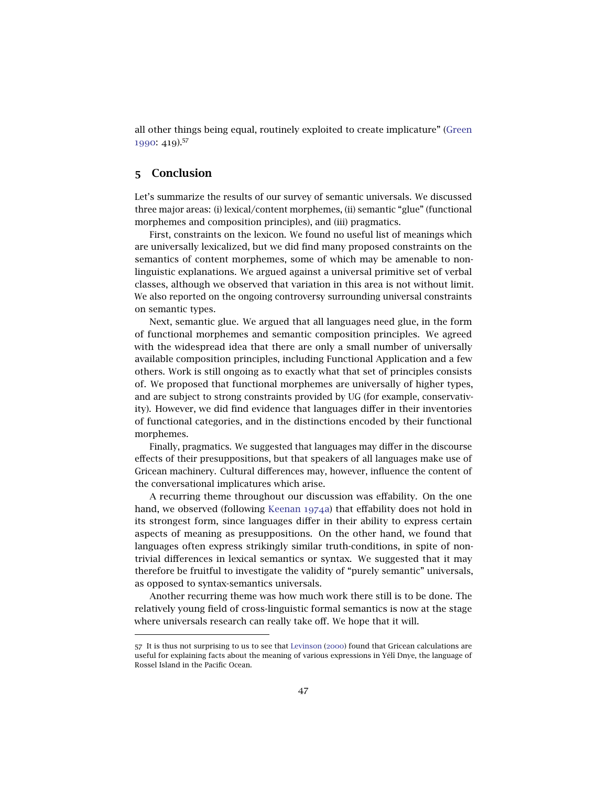all other things being equal, routinely exploited to create implicature" [\(Green](#page-52-13) [1990](#page-52-13): 419).<sup>57</sup>

## 5 Conclusion

Let's summarize the results of our survey of semantic universals. We discussed three major areas: (i) lexical/content morphemes, (ii) semantic "glue" (functional morphemes and composition principles), and (iii) pragmatics.

First, constraints on the lexicon. We found no useful list of meanings which are universally lexicalized, but we did find many proposed constraints on the semantics of content morphemes, some of which may be amenable to nonlinguistic explanations. We argued against a universal primitive set of verbal classes, although we observed that variation in this area is not without limit. We also reported on the ongoing controversy surrounding universal constraints on semantic types.

Next, semantic glue. We argued that all languages need glue, in the form of functional morphemes and semantic composition principles. We agreed with the widespread idea that there are only a small number of universally available composition principles, including Functional Application and a few others. Work is still ongoing as to exactly what that set of principles consists of. We proposed that functional morphemes are universally of higher types, and are subject to strong constraints provided by UG (for example, conservativity). However, we did find evidence that languages differ in their inventories of functional categories, and in the distinctions encoded by their functional morphemes.

Finally, pragmatics. We suggested that languages may differ in the discourse effects of their presuppositions, but that speakers of all languages make use of Gricean machinery. Cultural differences may, however, influence the content of the conversational implicatures which arise.

A recurring theme throughout our discussion was effability. On the one hand, we observed (following [Keenan](#page-55-1) [1974](#page-55-1)a) that effability does not hold in its strongest form, since languages differ in their ability to express certain aspects of meaning as presuppositions. On the other hand, we found that languages often express strikingly similar truth-conditions, in spite of nontrivial differences in lexical semantics or syntax. We suggested that it may therefore be fruitful to investigate the validity of "purely semantic" universals, as opposed to syntax-semantics universals.

Another recurring theme was how much work there still is to be done. The relatively young field of cross-linguistic formal semantics is now at the stage where universals research can really take off. We hope that it will.

<sup>57</sup> It is thus not surprising to us to see that [Levinson](#page-56-14) ([2000](#page-56-14)) found that Gricean calculations are useful for explaining facts about the meaning of various expressions in Yélî Dnye, the language of Rossel Island in the Pacific Ocean.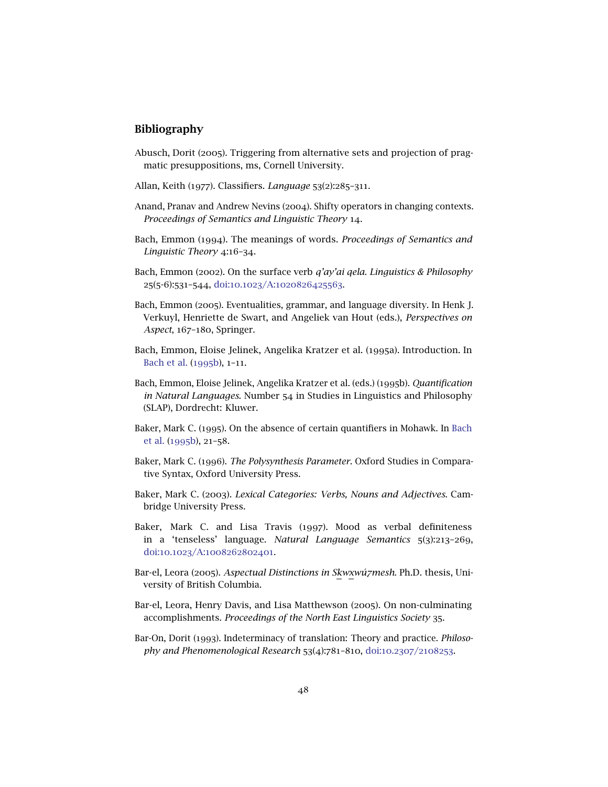## Bibliography

- <span id="page-47-14"></span>Abusch, Dorit (2005). Triggering from alternative sets and projection of pragmatic presuppositions, ms, Cornell University.
- <span id="page-47-3"></span>Allan, Keith (1977). Classifiers. *Language* 53(2):285–311.
- <span id="page-47-13"></span>Anand, Pranav and Andrew Nevins (2004). Shifty operators in changing contexts. *Proceedings of Semantics and Linguistic Theory* 14.
- <span id="page-47-10"></span>Bach, Emmon (1994). The meanings of words. *Proceedings of Semantics and Linguistic Theory* 4:16–34.
- <span id="page-47-11"></span>Bach, Emmon (2002). On the surface verb *q'ay'ai qela*. *Linguistics & Philosophy* 25(5-6):531–544, doi:10.1023/A:[1020826425563](http://dx.doi.org/10.1023/A:1020826425563).
- <span id="page-47-2"></span>Bach, Emmon (2005). Eventualities, grammar, and language diversity. In Henk J. Verkuyl, Henriette de Swart, and Angeliek van Hout (eds.), *Perspectives on Aspect*, 167–180, Springer.
- <span id="page-47-8"></span>Bach, Emmon, Eloise Jelinek, Angelika Kratzer et al. (1995a). Introduction. In [Bach et al.](#page-47-0) ([1995](#page-47-0)b), 1–11.
- <span id="page-47-0"></span>Bach, Emmon, Eloise Jelinek, Angelika Kratzer et al. (eds.) (1995b). *Quantification in Natural Languages*. Number 54 in Studies in Linguistics and Philosophy (SLAP), Dordrecht: Kluwer.
- <span id="page-47-7"></span>Baker, Mark C. (1995). On the absence of certain quantifiers in Mohawk. In [Bach](#page-47-0) [et al.](#page-47-0) ([1995](#page-47-0)b), 21–58.
- <span id="page-47-12"></span>Baker, Mark C. (1996). *The Polysynthesis Parameter*. Oxford Studies in Comparative Syntax, Oxford University Press.
- <span id="page-47-4"></span>Baker, Mark C. (2003). *Lexical Categories: Verbs, Nouns and Adjectives*. Cambridge University Press.
- <span id="page-47-9"></span>Baker, Mark C. and Lisa Travis (1997). Mood as verbal definiteness in a 'tenseless' language. *Natural Language Semantics* 5(3):213–269, doi:10.1023/A:[1008262802401](http://dx.doi.org/10.1023/A:1008262802401).
- <span id="page-47-5"></span>Bar-el, Leora (2005). *Aspectual Distinctions in Skwxwú7mesh*. Ph.D. thesis, University of British Columbia.
- <span id="page-47-6"></span>Bar-el, Leora, Henry Davis, and Lisa Matthewson (2005). On non-culminating accomplishments. *Proceedings of the North East Linguistics Society* 35.
- <span id="page-47-1"></span>Bar-On, Dorit (1993). Indeterminacy of translation: Theory and practice. *Philosophy and Phenomenological Research* 53(4):781–810, doi:10.2307/[2108253](http://dx.doi.org/10.2307/2108253).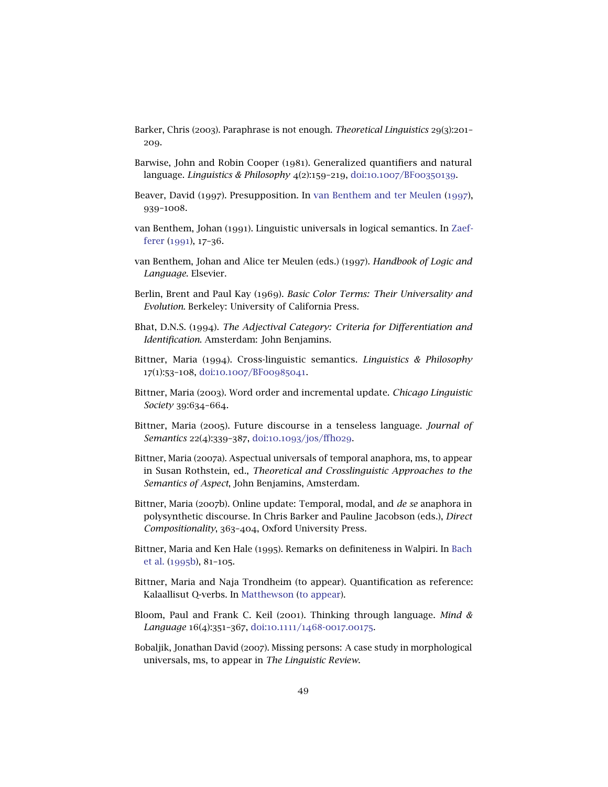- <span id="page-48-5"></span>Barker, Chris (2003). Paraphrase is not enough. *Theoretical Linguistics* 29(3):201– 209.
- <span id="page-48-12"></span>Barwise, John and Robin Cooper (1981). Generalized quantifiers and natural language. *Linguistics & Philosophy* 4(2):159–219, doi:10.1007/BF[00350139](http://dx.doi.org/10.1007/BF00350139).
- <span id="page-48-14"></span>Beaver, David (1997). Presupposition. In [van Benthem and ter Meulen](#page-48-15) ([1997](#page-48-15)), 939–1008.
- <span id="page-48-2"></span>van Benthem, Johan (1991). Linguistic universals in logical semantics. In [Zaef](#page-63-6)[ferer](#page-63-6) ([1991](#page-63-6)), 17–36.
- <span id="page-48-15"></span>van Benthem, Johan and Alice ter Meulen (eds.) (1997). *Handbook of Logic and Language*. Elsevier.
- <span id="page-48-4"></span>Berlin, Brent and Paul Kay (1969). *Basic Color Terms: Their Universality and Evolution*. Berkeley: University of California Press.
- <span id="page-48-7"></span>Bhat, D.N.S. (1994). *The Adjectival Category: Criteria for Differentiation and Identification*. Amsterdam: John Benjamins.
- <span id="page-48-1"></span>Bittner, Maria (1994). Cross-linguistic semantics. *Linguistics & Philosophy* 17(1):53–108, doi:10.1007/BF[00985041](http://dx.doi.org/10.1007/BF00985041).
- <span id="page-48-8"></span>Bittner, Maria (2003). Word order and incremental update. *Chicago Linguistic Society* 39:634–664.
- <span id="page-48-13"></span>Bittner, Maria (2005). Future discourse in a tenseless language. *Journal of Semantics* 22(4):339–387, doi:10.1093[/jos/ffh](http://dx.doi.org/10.1093/jos/ffh029)029.
- <span id="page-48-3"></span>Bittner, Maria (2007a). Aspectual universals of temporal anaphora, ms, to appear in Susan Rothstein, ed., *Theoretical and Crosslinguistic Approaches to the Semantics of Aspect*, John Benjamins, Amsterdam.
- <span id="page-48-9"></span>Bittner, Maria (2007b). Online update: Temporal, modal, and *de se* anaphora in polysynthetic discourse. In Chris Barker and Pauline Jacobson (eds.), *Direct Compositionality*, 363–404, Oxford University Press.
- <span id="page-48-6"></span>Bittner, Maria and Ken Hale (1995). Remarks on definiteness in Walpiri. In [Bach](#page-47-0) [et al.](#page-47-0) ([1995](#page-47-0)b), 81–105.
- <span id="page-48-10"></span>Bittner, Maria and Naja Trondheim (to appear). Quantification as reference: Kalaallisut Q-verbs. In [Matthewson](#page-58-14) [\(to appear\)](#page-58-14).
- <span id="page-48-0"></span>Bloom, Paul and Frank C. Keil (2001). Thinking through language. *Mind & Language* 16(4):351–367, doi:10.1111/1468-0017.[00175](http://dx.doi.org/10.1111/1468-0017.00175).
- <span id="page-48-11"></span>Bobaljik, Jonathan David (2007). Missing persons: A case study in morphological universals, ms, to appear in *The Linguistic Review*.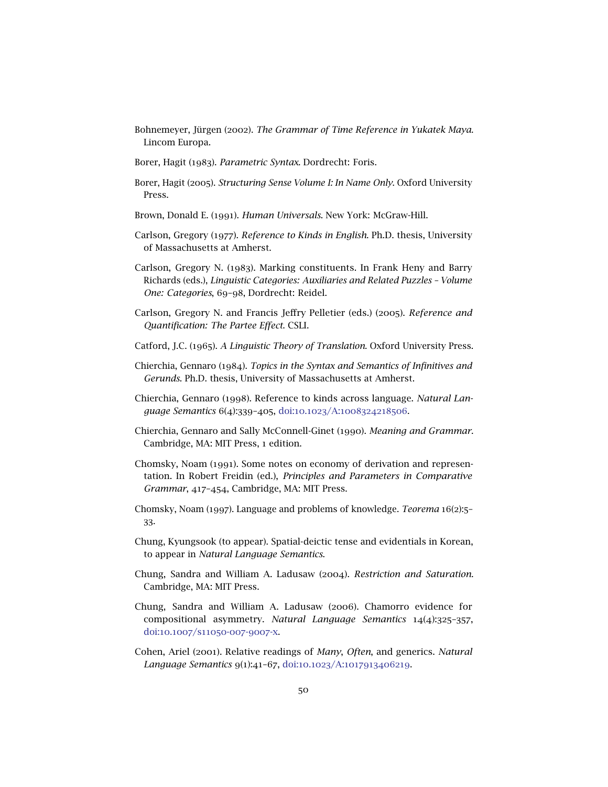- <span id="page-49-13"></span>Bohnemeyer, Jürgen (2002). *The Grammar of Time Reference in Yukatek Maya*. Lincom Europa.
- <span id="page-49-5"></span>Borer, Hagit (1983). *Parametric Syntax*. Dordrecht: Foris.
- <span id="page-49-3"></span>Borer, Hagit (2005). *Structuring Sense Volume I: In Name Only*. Oxford University Press.
- <span id="page-49-0"></span>Brown, Donald E. (1991). *Human Universals*. New York: McGraw-Hill.
- <span id="page-49-12"></span>Carlson, Gregory (1977). *Reference to Kinds in English*. Ph.D. thesis, University of Massachusetts at Amherst.
- <span id="page-49-7"></span>Carlson, Gregory N. (1983). Marking constituents. In Frank Heny and Barry Richards (eds.), *Linguistic Categories: Auxiliaries and Related Puzzles – Volume One: Categories*, 69–98, Dordrecht: Reidel.
- <span id="page-49-16"></span>Carlson, Gregory N. and Francis Jeffry Pelletier (eds.) (2005). *Reference and Quantification: The Partee Effect*. CSLI.
- <span id="page-49-1"></span>Catford, J.C. (1965). *A Linguistic Theory of Translation*. Oxford University Press.
- <span id="page-49-8"></span>Chierchia, Gennaro (1984). *Topics in the Syntax and Semantics of Infinitives and Gerunds*. Ph.D. thesis, University of Massachusetts at Amherst.
- <span id="page-49-4"></span>Chierchia, Gennaro (1998). Reference to kinds across language. *Natural Language Semantics* 6(4):339–405, doi:10.1023/A:[1008324218506](http://dx.doi.org/10.1023/A:1008324218506).
- <span id="page-49-9"></span>Chierchia, Gennaro and Sally McConnell-Ginet (1990). *Meaning and Grammar*. Cambridge, MA: MIT Press, 1 edition.
- <span id="page-49-6"></span>Chomsky, Noam (1991). Some notes on economy of derivation and representation. In Robert Freidin (ed.), *Principles and Parameters in Comparative Grammar*, 417–454, Cambridge, MA: MIT Press.
- <span id="page-49-2"></span>Chomsky, Noam (1997). Language and problems of knowledge. *Teorema* 16(2):5– 33.
- <span id="page-49-14"></span>Chung, Kyungsook (to appear). Spatial-deictic tense and evidentials in Korean, to appear in *Natural Language Semantics*.
- <span id="page-49-15"></span>Chung, Sandra and William A. Ladusaw (2004). *Restriction and Saturation*. Cambridge, MA: MIT Press.
- <span id="page-49-10"></span>Chung, Sandra and William A. Ladusaw (2006). Chamorro evidence for compositional asymmetry. *Natural Language Semantics* 14(4):325–357, doi:10.1007/s[11050](http://dx.doi.org/10.1007/s11050-007-9007-x)-007-9007-x.
- <span id="page-49-11"></span>Cohen, Ariel (2001). Relative readings of *Many*, *Often*, and generics. *Natural Language Semantics* 9(1):41–67, doi:10.1023/A:[1017913406219](http://dx.doi.org/10.1023/A:1017913406219).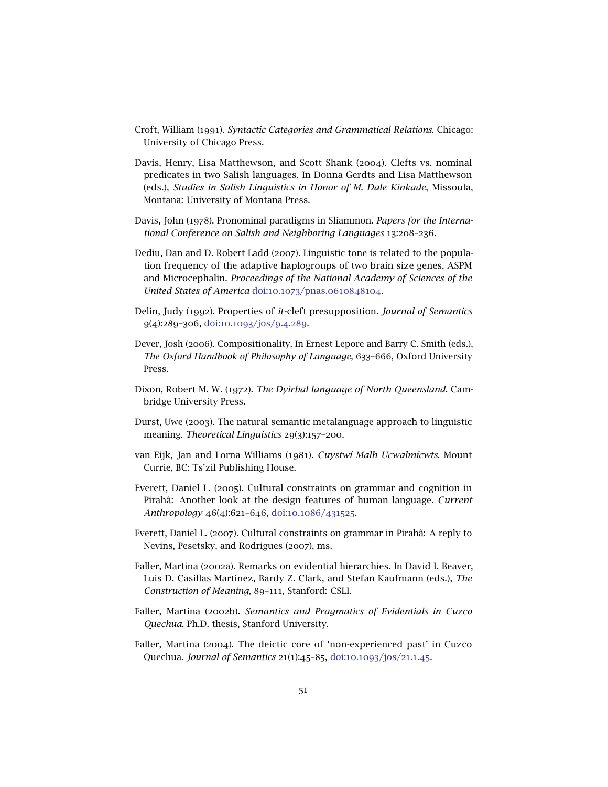- <span id="page-50-4"></span>Croft, William (1991). *Syntactic Categories and Grammatical Relations*. Chicago: University of Chicago Press.
- <span id="page-50-12"></span>Davis, Henry, Lisa Matthewson, and Scott Shank (2004). Clefts vs. nominal predicates in two Salish languages. In Donna Gerdts and Lisa Matthewson (eds.), *Studies in Salish Linguistics in Honor of M. Dale Kinkade*, Missoula, Montana: University of Montana Press.
- <span id="page-50-5"></span>Davis, John (1978). Pronominal paradigms in Sliammon. *Papers for the International Conference on Salish and Neighboring Languages* 13:208–236.
- <span id="page-50-1"></span>Dediu, Dan and D. Robert Ladd (2007). Linguistic tone is related to the population frequency of the adaptive haplogroups of two brain size genes, ASPM and Microcephalin. *Proceedings of the National Academy of Sciences of the United States of America* doi:10.1073/pnas.[0610848104](http://dx.doi.org/10.1073/pnas.0610848104).
- <span id="page-50-13"></span>Delin, Judy (1992). Properties of *it*-cleft presupposition. *Journal of Semantics* 9(4):289–306, doi:10.1093[/jos/](http://dx.doi.org/10.1093/jos/9.4.289)9.4.289.
- <span id="page-50-10"></span>Dever, Josh (2006). Compositionality. In Ernest Lepore and Barry C. Smith (eds.), *The Oxford Handbook of Philosophy of Language*, 633–666, Oxford University Press.
- <span id="page-50-6"></span>Dixon, Robert M. W. (1972). *The Dyirbal language of North Queensland*. Cambridge University Press.
- <span id="page-50-3"></span>Durst, Uwe (2003). The natural semantic metalanguage approach to linguistic meaning. *Theoretical Linguistics* 29(3):157–200.
- <span id="page-50-2"></span>van Eijk, Jan and Lorna Williams (1981). *Cuystwí Malh Ucwalmícwts*. Mount Currie, BC: Ts'zil Publishing House.
- <span id="page-50-0"></span>Everett, Daniel L. (2005). Cultural constraints on grammar and cognition in Pirahã: Another look at the design features of human language. *Current Anthropology* 46(4):621–646, doi:10.1086/[431525](http://dx.doi.org/10.1086/431525).
- <span id="page-50-11"></span>Everett, Daniel L. (2007). Cultural constraints on grammar in Pirahã: A reply to Nevins, Pesetsky, and Rodrigues (2007), ms.
- <span id="page-50-9"></span>Faller, Martina (2002a). Remarks on evidential hierarchies. In David I. Beaver, Luis D. Casillas Martínez, Bardy Z. Clark, and Stefan Kaufmann (eds.), *The Construction of Meaning*, 89–111, Stanford: CSLI.
- <span id="page-50-7"></span>Faller, Martina (2002b). *Semantics and Pragmatics of Evidentials in Cuzco Quechua*. Ph.D. thesis, Stanford University.
- <span id="page-50-8"></span>Faller, Martina (2004). The deictic core of 'non-experienced past' in Cuzco Quechua. *Journal of Semantics* 21(1):45–85, doi:10.1093[/jos/](http://dx.doi.org/10.1093/jos/21.1.45)21.1.45.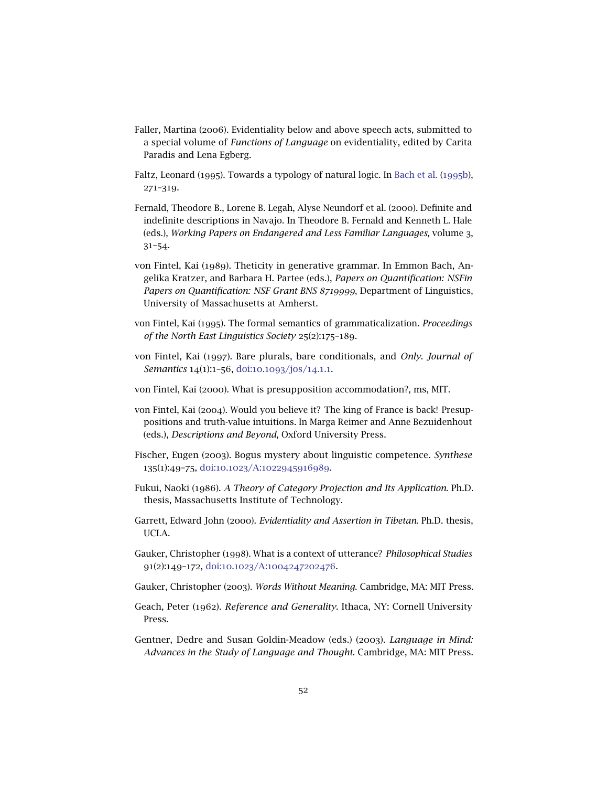- <span id="page-51-7"></span>Faller, Martina (2006). Evidentiality below and above speech acts, submitted to a special volume of *Functions of Language* on evidentiality, edited by Carita Paradis and Lena Egberg.
- <span id="page-51-5"></span>Faltz, Leonard (1995). Towards a typology of natural logic. In [Bach et al.](#page-47-0) ([1995](#page-47-0)b), 271–319.
- <span id="page-51-6"></span>Fernald, Theodore B., Lorene B. Legah, Alyse Neundorf et al. (2000). Definite and indefinite descriptions in Navajo. In Theodore B. Fernald and Kenneth L. Hale (eds.), *Working Papers on Endangered and Less Familiar Languages*, volume 3, 31–54.
- <span id="page-51-10"></span>von Fintel, Kai (1989). Theticity in generative grammar. In Emmon Bach, Angelika Kratzer, and Barbara H. Partee (eds.), *Papers on Quantification: NSFin Papers on Quantification: NSF Grant BNS 8719999*, Department of Linguistics, University of Massachusetts at Amherst.
- <span id="page-51-3"></span>von Fintel, Kai (1995). The formal semantics of grammaticalization. *Proceedings of the North East Linguistics Society* 25(2):175–189.
- <span id="page-51-4"></span>von Fintel, Kai (1997). Bare plurals, bare conditionals, and *Only*. *Journal of Semantics* 14(1):1–56, doi:10.1093[/jos/](http://dx.doi.org/10.1093/jos/14.1.1)14.1.1.
- <span id="page-51-11"></span>von Fintel, Kai (2000). What is presupposition accommodation?, ms, MIT.
- <span id="page-51-12"></span>von Fintel, Kai (2004). Would you believe it? The king of France is back! Presuppositions and truth-value intuitions. In Marga Reimer and Anne Bezuidenhout (eds.), *Descriptions and Beyond*, Oxford University Press.
- <span id="page-51-9"></span>Fischer, Eugen (2003). Bogus mystery about linguistic competence. *Synthese* 135(1):49–75, doi:10.1023/A:[1022945916989](http://dx.doi.org/10.1023/A:1022945916989).
- <span id="page-51-2"></span>Fukui, Naoki (1986). *A Theory of Category Projection and Its Application*. Ph.D. thesis, Massachusetts Institute of Technology.
- <span id="page-51-8"></span>Garrett, Edward John (2000). *Evidentiality and Assertion in Tibetan*. Ph.D. thesis, UCLA.
- <span id="page-51-13"></span>Gauker, Christopher (1998). What is a context of utterance? *Philosophical Studies* 91(2):149–172, doi:10.1023/A:[1004247202476](http://dx.doi.org/10.1023/A:1004247202476).
- <span id="page-51-14"></span>Gauker, Christopher (2003). *Words Without Meaning*. Cambridge, MA: MIT Press.
- <span id="page-51-1"></span>Geach, Peter (1962). *Reference and Generality*. Ithaca, NY: Cornell University Press.
- <span id="page-51-0"></span>Gentner, Dedre and Susan Goldin-Meadow (eds.) (2003). *Language in Mind: Advances in the Study of Language and Thought*. Cambridge, MA: MIT Press.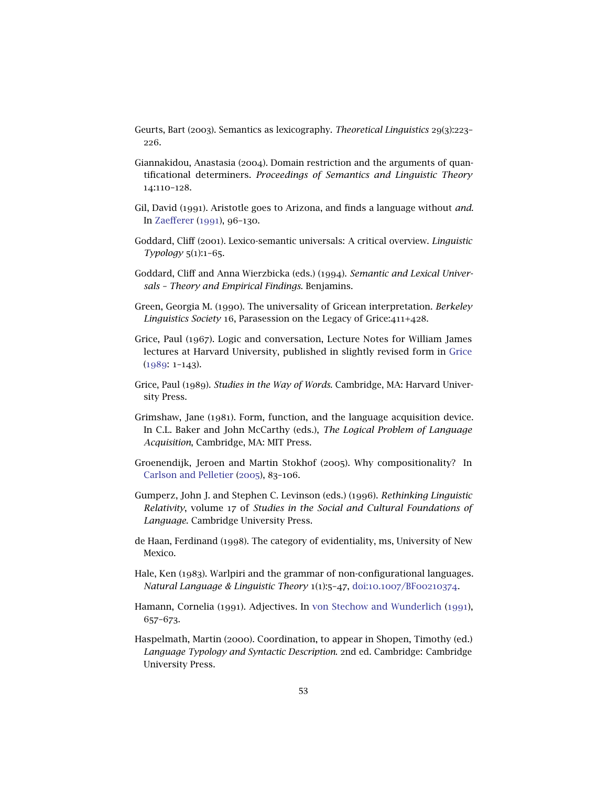- <span id="page-52-2"></span>Geurts, Bart (2003). Semantics as lexicography. *Theoretical Linguistics* 29(3):223– 226.
- <span id="page-52-5"></span>Giannakidou, Anastasia (2004). Domain restriction and the arguments of quantificational determiners. *Proceedings of Semantics and Linguistic Theory* 14:110–128.
- <span id="page-52-6"></span>Gil, David (1991). Aristotle goes to Arizona, and finds a language without *and*. In [Zaefferer](#page-63-6) ([1991](#page-63-6)), 96–130.
- <span id="page-52-1"></span>Goddard, Cliff (2001). Lexico-semantic universals: A critical overview. *Linguistic Typology* 5(1):1–65.
- <span id="page-52-8"></span>Goddard, Cliff and Anna Wierzbicka (eds.) (1994). *Semantic and Lexical Universals – Theory and Empirical Findings*. Benjamins.
- <span id="page-52-13"></span>Green, Georgia M. (1990). The universality of Gricean interpretation. *Berkeley Linguistics Society* 16, Parasession on the Legacy of Grice:411+428.
- <span id="page-52-12"></span>Grice, Paul (1967). Logic and conversation, Lecture Notes for William James lectures at Harvard University, published in slightly revised form in [Grice](#page-52-14) ([1989](#page-52-14): 1–143).
- <span id="page-52-14"></span>Grice, Paul (1989). *Studies in the Way of Words*. Cambridge, MA: Harvard University Press.
- <span id="page-52-3"></span>Grimshaw, Jane (1981). Form, function, and the language acquisition device. In C.L. Baker and John McCarthy (eds.), *The Logical Problem of Language Acquisition*, Cambridge, MA: MIT Press.
- <span id="page-52-10"></span>Groenendijk, Jeroen and Martin Stokhof (2005). Why compositionality? In [Carlson and Pelletier](#page-49-16) ([2005](#page-49-16)), 83–106.
- <span id="page-52-0"></span>Gumperz, John J. and Stephen C. Levinson (eds.) (1996). *Rethinking Linguistic Relativity*, volume 17 of *Studies in the Social and Cultural Foundations of Language*. Cambridge University Press.
- <span id="page-52-9"></span>de Haan, Ferdinand (1998). The category of evidentiality, ms, University of New Mexico.
- <span id="page-52-11"></span>Hale, Ken (1983). Warlpiri and the grammar of non-configurational languages. *Natural Language & Linguistic Theory* 1(1):5–47, doi:10.1007/BF[00210374](http://dx.doi.org/10.1007/BF00210374).
- <span id="page-52-4"></span>Hamann, Cornelia (1991). Adjectives. In [von Stechow and Wunderlich](#page-61-15) ([1991](#page-61-15)), 657–673.
- <span id="page-52-7"></span>Haspelmath, Martin (2000). Coordination, to appear in Shopen, Timothy (ed.) *Language Typology and Syntactic Description*. 2nd ed. Cambridge: Cambridge University Press.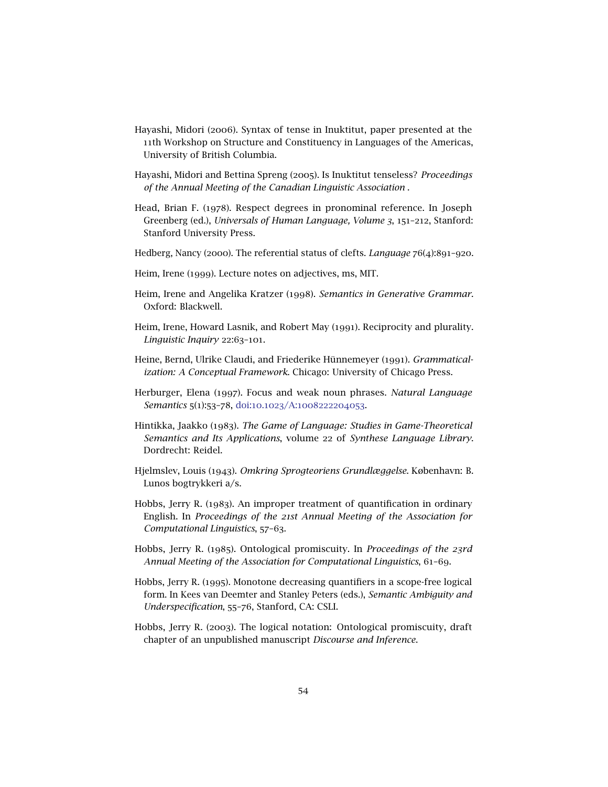- <span id="page-53-7"></span>Hayashi, Midori (2006). Syntax of tense in Inuktitut, paper presented at the 11th Workshop on Structure and Constituency in Languages of the Americas, University of British Columbia.
- <span id="page-53-6"></span>Hayashi, Midori and Bettina Spreng (2005). Is Inuktitut tenseless? *Proceedings of the Annual Meeting of the Canadian Linguistic Association* .
- <span id="page-53-2"></span>Head, Brian F. (1978). Respect degrees in pronominal reference. In Joseph Greenberg (ed.), *Universals of Human Language, Volume 3*, 151–212, Stanford: Stanford University Press.
- <span id="page-53-14"></span>Hedberg, Nancy (2000). The referential status of clefts. *Language* 76(4):891–920.
- <span id="page-53-13"></span>Heim, Irene (1999). Lecture notes on adjectives, ms, MIT.
- <span id="page-53-0"></span>Heim, Irene and Angelika Kratzer (1998). *Semantics in Generative Grammar*. Oxford: Blackwell.
- <span id="page-53-5"></span>Heim, Irene, Howard Lasnik, and Robert May (1991). Reciprocity and plurality. *Linguistic Inquiry* 22:63–101.
- <span id="page-53-3"></span>Heine, Bernd, Ulrike Claudi, and Friederike Hünnemeyer (1991). *Grammaticalization: A Conceptual Framework*. Chicago: University of Chicago Press.
- <span id="page-53-4"></span>Herburger, Elena (1997). Focus and weak noun phrases. *Natural Language Semantics* 5(1):53–78, doi:10.1023/A:[1008222204053](http://dx.doi.org/10.1023/A:1008222204053).
- <span id="page-53-8"></span>Hintikka, Jaakko (1983). *The Game of Language: Studies in Game-Theoretical Semantics and Its Applications*, volume 22 of *Synthese Language Library*. Dordrecht: Reidel.
- <span id="page-53-1"></span>Hjelmslev, Louis (1943). *Omkring Sprogteoriens Grundlæggelse*. København: B. Lunos bogtrykkeri a/s.
- <span id="page-53-9"></span>Hobbs, Jerry R. (1983). An improper treatment of quantification in ordinary English. In *Proceedings of the 21st Annual Meeting of the Association for Computational Linguistics*, 57–63.
- <span id="page-53-10"></span>Hobbs, Jerry R. (1985). Ontological promiscuity. In *Proceedings of the 23rd Annual Meeting of the Association for Computational Linguistics*, 61–69.
- <span id="page-53-11"></span>Hobbs, Jerry R. (1995). Monotone decreasing quantifiers in a scope-free logical form. In Kees van Deemter and Stanley Peters (eds.), *Semantic Ambiguity and Underspecification*, 55–76, Stanford, CA: CSLI.
- <span id="page-53-12"></span>Hobbs, Jerry R. (2003). The logical notation: Ontological promiscuity, draft chapter of an unpublished manuscript *Discourse and Inference*.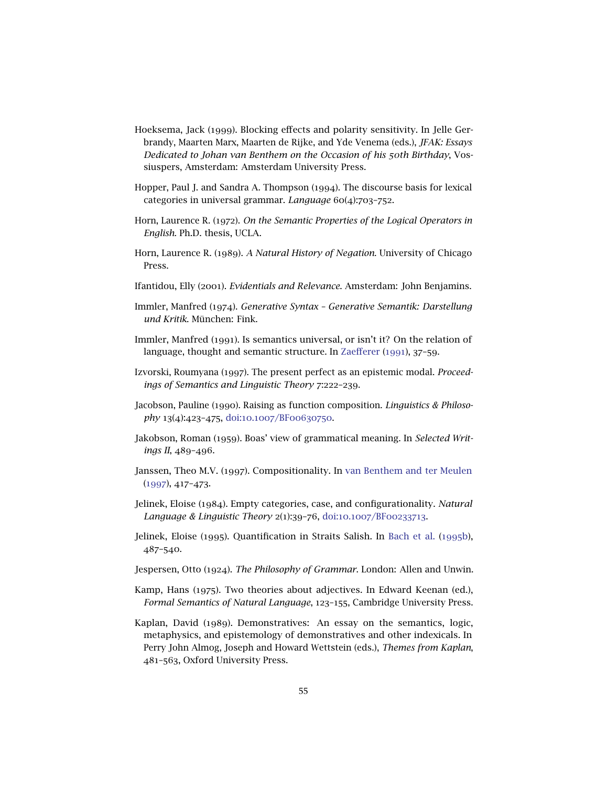- <span id="page-54-8"></span>Hoeksema, Jack (1999). Blocking effects and polarity sensitivity. In Jelle Gerbrandy, Maarten Marx, Maarten de Rijke, and Yde Venema (eds.), *JFAK: Essays Dedicated to Johan van Benthem on the Occasion of his 50th Birthday*, Vossiuspers, Amsterdam: Amsterdam University Press.
- <span id="page-54-4"></span>Hopper, Paul J. and Sandra A. Thompson (1994). The discourse basis for lexical categories in universal grammar. *Language* 60(4):703–752.
- <span id="page-54-6"></span>Horn, Laurence R. (1972). *On the Semantic Properties of the Logical Operators in English*. Ph.D. thesis, UCLA.
- <span id="page-54-7"></span>Horn, Laurence R. (1989). *A Natural History of Negation*. University of Chicago Press.
- <span id="page-54-11"></span>Ifantidou, Elly (2001). *Evidentials and Relevance*. Amsterdam: John Benjamins.
- <span id="page-54-1"></span>Immler, Manfred (1974). *Generative Syntax – Generative Semantik: Darstellung und Kritik*. München: Fink.
- <span id="page-54-2"></span>Immler, Manfred (1991). Is semantics universal, or isn't it? On the relation of language, thought and semantic structure. In [Zaefferer](#page-63-6) ([1991](#page-63-6)), 37–59.
- <span id="page-54-10"></span>Izvorski, Roumyana (1997). The present perfect as an epistemic modal. *Proceedings of Semantics and Linguistic Theory* 7:222–239.
- <span id="page-54-14"></span>Jacobson, Pauline (1990). Raising as function composition. *Linguistics & Philosophy* 13(4):423–475, doi:10.1007/BF[00630750](http://dx.doi.org/10.1007/BF00630750).
- <span id="page-54-0"></span>Jakobson, Roman (1959). Boas' view of grammatical meaning. In *Selected Writings II*, 489–496.
- <span id="page-54-12"></span>Janssen, Theo M.V. (1997). Compositionality. In [van Benthem and ter Meulen](#page-48-15) ([1997](#page-48-15)), 417–473.
- <span id="page-54-13"></span>Jelinek, Eloise (1984). Empty categories, case, and configurationality. *Natural Language & Linguistic Theory* 2(1):39–76, doi:10.1007/BF[00233713](http://dx.doi.org/10.1007/BF00233713).
- <span id="page-54-9"></span>Jelinek, Eloise (1995). Quantification in Straits Salish. In [Bach et al.](#page-47-0) ([1995](#page-47-0)b), 487–540.
- <span id="page-54-5"></span>Jespersen, Otto (1924). *The Philosophy of Grammar*. London: Allen and Unwin.
- <span id="page-54-3"></span>Kamp, Hans (1975). Two theories about adjectives. In Edward Keenan (ed.), *Formal Semantics of Natural Language*, 123–155, Cambridge University Press.
- <span id="page-54-15"></span>Kaplan, David (1989). Demonstratives: An essay on the semantics, logic, metaphysics, and epistemology of demonstratives and other indexicals. In Perry John Almog, Joseph and Howard Wettstein (eds.), *Themes from Kaplan*, 481–563, Oxford University Press.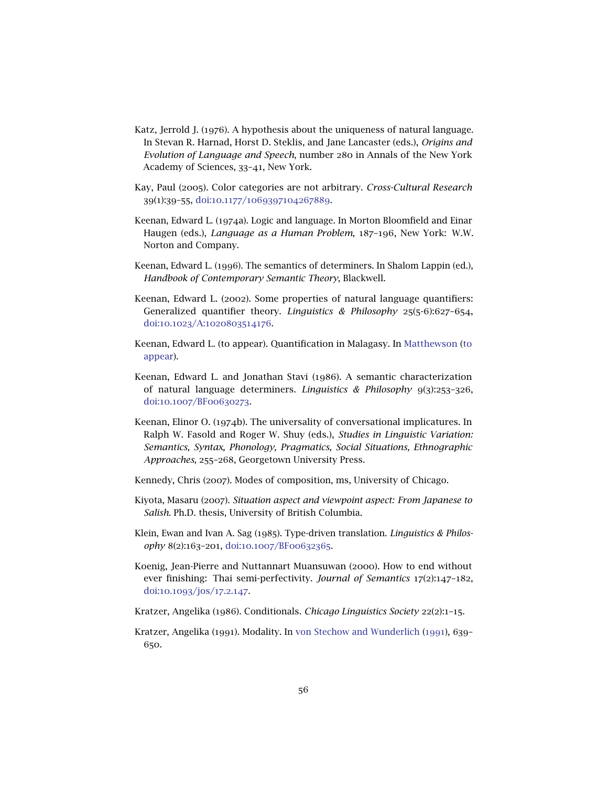- <span id="page-55-0"></span>Katz, Jerrold J. (1976). A hypothesis about the uniqueness of natural language. In Stevan R. Harnad, Horst D. Steklis, and Jane Lancaster (eds.), *Origins and Evolution of Language and Speech*, number 280 in Annals of the New York Academy of Sciences, 33–41, New York.
- <span id="page-55-2"></span>Kay, Paul (2005). Color categories are not arbitrary. *Cross-Cultural Research* 39(1):39–55, doi:10.1177/[1069397104267889](http://dx.doi.org/10.1177/1069397104267889).
- <span id="page-55-1"></span>Keenan, Edward L. (1974a). Logic and language. In Morton Bloomfield and Einar Haugen (eds.), *Language as a Human Problem*, 187–196, New York: W.W. Norton and Company.
- <span id="page-55-5"></span>Keenan, Edward L. (1996). The semantics of determiners. In Shalom Lappin (ed.), *Handbook of Contemporary Semantic Theory*, Blackwell.
- <span id="page-55-6"></span>Keenan, Edward L. (2002). Some properties of natural language quantifiers: Generalized quantifier theory. *Linguistics & Philosophy* 25(5-6):627–654, doi:10.1023/A:[1020803514176](http://dx.doi.org/10.1023/A:1020803514176).
- <span id="page-55-7"></span>Keenan, Edward L. (to appear). Quantification in Malagasy. In [Matthewson](#page-58-14) [\(to](#page-58-14) [appear\)](#page-58-14).
- <span id="page-55-4"></span>Keenan, Edward L. and Jonathan Stavi (1986). A semantic characterization of natural language determiners. *Linguistics & Philosophy* 9(3):253–326, doi:10.1007/BF[00630273](http://dx.doi.org/10.1007/BF00630273).
- <span id="page-55-13"></span>Keenan, Elinor O. (1974b). The universality of conversational implicatures. In Ralph W. Fasold and Roger W. Shuy (eds.), *Studies in Linguistic Variation: Semantics, Syntax, Phonology, Pragmatics, Social Situations, Ethnographic Approaches*, 255–268, Georgetown University Press.
- <span id="page-55-8"></span>Kennedy, Chris (2007). Modes of composition, ms, University of Chicago.
- <span id="page-55-3"></span>Kiyota, Masaru (2007). *Situation aspect and viewpoint aspect: From Japanese to Salish*. Ph.D. thesis, University of British Columbia.
- <span id="page-55-12"></span>Klein, Ewan and Ivan A. Sag (1985). Type-driven translation. *Linguistics & Philosophy* 8(2):163–201, doi:10.1007/BF[00632365](http://dx.doi.org/10.1007/BF00632365).
- <span id="page-55-11"></span>Koenig, Jean-Pierre and Nuttannart Muansuwan (2000). How to end without ever finishing: Thai semi-perfectivity. *Journal of Semantics* 17(2):147–182, doi:10.1093[/jos/](http://dx.doi.org/10.1093/jos/17.2.147)17.2.147.
- <span id="page-55-9"></span>Kratzer, Angelika (1986). Conditionals. *Chicago Linguistics Society* 22(2):1–15.
- <span id="page-55-10"></span>Kratzer, Angelika (1991). Modality. In [von Stechow and Wunderlich](#page-61-15) ([1991](#page-61-15)), 639– 650.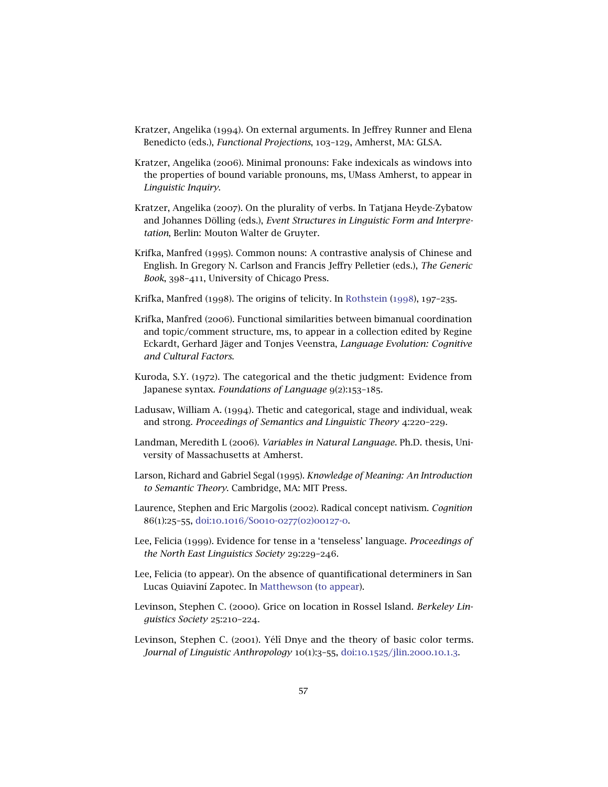- <span id="page-56-10"></span>Kratzer, Angelika (1994). On external arguments. In Jeffrey Runner and Elena Benedicto (eds.), *Functional Projections*, 103–129, Amherst, MA: GLSA.
- <span id="page-56-0"></span>Kratzer, Angelika (2006). Minimal pronouns: Fake indexicals as windows into the properties of bound variable pronouns, ms, UMass Amherst, to appear in *Linguistic Inquiry*.
- <span id="page-56-5"></span>Kratzer, Angelika (2007). On the plurality of verbs. In Tatjana Heyde-Zybatow and Johannes Dölling (eds.), *Event Structures in Linguistic Form and Interpretation*, Berlin: Mouton Walter de Gruyter.
- <span id="page-56-4"></span>Krifka, Manfred (1995). Common nouns: A contrastive analysis of Chinese and English. In Gregory N. Carlson and Francis Jeffry Pelletier (eds.), *The Generic Book*, 398–411, University of Chicago Press.
- <span id="page-56-6"></span>Krifka, Manfred (1998). The origins of telicity. In [Rothstein](#page-60-15) ([1998](#page-60-15)), 197–235.
- <span id="page-56-13"></span>Krifka, Manfred (2006). Functional similarities between bimanual coordination and topic/comment structure, ms, to appear in a collection edited by Regine Eckardt, Gerhard Jäger and Tonjes Veenstra, *Language Evolution: Cognitive and Cultural Factors*.
- <span id="page-56-11"></span>Kuroda, S.Y. (1972). The categorical and the thetic judgment: Evidence from Japanese syntax. *Foundations of Language* 9(2):153–185.
- <span id="page-56-12"></span>Ladusaw, William A. (1994). Thetic and categorical, stage and individual, weak and strong. *Proceedings of Semantics and Linguistic Theory* 4:220–229.
- <span id="page-56-7"></span>Landman, Meredith L (2006). *Variables in Natural Language*. Ph.D. thesis, University of Massachusetts at Amherst.
- <span id="page-56-3"></span>Larson, Richard and Gabriel Segal (1995). *Knowledge of Meaning: An Introduction to Semantic Theory*. Cambridge, MA: MIT Press.
- <span id="page-56-1"></span>Laurence, Stephen and Eric Margolis (2002). Radical concept nativism. *Cognition* 86(1):25–55, doi:10.1016/S0010-0277(02)[00127](http://dx.doi.org/10.1016/S0010-0277(02)00127-0)-0.
- <span id="page-56-9"></span>Lee, Felicia (1999). Evidence for tense in a 'tenseless' language. *Proceedings of the North East Linguistics Society* 29:229–246.
- <span id="page-56-8"></span>Lee, Felicia (to appear). On the absence of quantificational determiners in San Lucas Quiaviní Zapotec. In [Matthewson](#page-58-14) [\(to appear\)](#page-58-14).
- <span id="page-56-14"></span>Levinson, Stephen C. (2000). Grice on location in Rossel Island. *Berkeley Linguistics Society* 25:210–224.
- <span id="page-56-2"></span>Levinson, Stephen C. (2001). Yélî Dnye and the theory of basic color terms. *Journal of Linguistic Anthropology* 10(1):3–55, doi:10.1525[/jlin.](http://dx.doi.org/10.1525/jlin.2000.10.1.3)2000.10.1.3.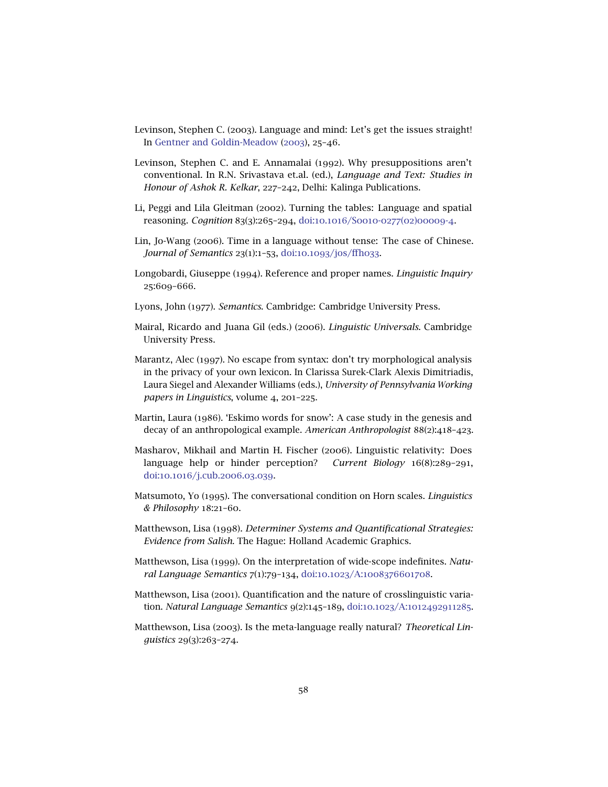- <span id="page-57-5"></span>Levinson, Stephen C. (2003). Language and mind: Let's get the issues straight! In [Gentner and Goldin-Meadow](#page-51-0) ([2003](#page-51-0)), 25–46.
- <span id="page-57-13"></span>Levinson, Stephen C. and E. Annamalai (1992). Why presuppositions aren't conventional. In R.N. Srivastava et.al. (ed.), *Language and Text: Studies in Honour of Ashok R. Kelkar*, 227–242, Delhi: Kalinga Publications.
- <span id="page-57-2"></span>Li, Peggi and Lila Gleitman (2002). Turning the tables: Language and spatial reasoning. *Cognition* 83(3):265–294, doi:10.1016/S0010-0277(02)[00009](http://dx.doi.org/10.1016/S0010-0277(02)00009-4)-4.
- <span id="page-57-12"></span>Lin, Jo-Wang (2006). Time in a language without tense: The case of Chinese. *Journal of Semantics* 23(1):1–53, doi:10.1093[/jos/ffh](http://dx.doi.org/10.1093/jos/ffh033)033.
- <span id="page-57-9"></span>Longobardi, Giuseppe (1994). Reference and proper names. *Linguistic Inquiry* 25:609–666.
- <span id="page-57-7"></span>Lyons, John (1977). *Semantics*. Cambridge: Cambridge University Press.
- <span id="page-57-0"></span>Mairal, Ricardo and Juana Gil (eds.) (2006). *Linguistic Universals*. Cambridge University Press.
- <span id="page-57-8"></span>Marantz, Alec (1997). No escape from syntax: don't try morphological analysis in the privacy of your own lexicon. In Clarissa Surek-Clark Alexis Dimitriadis, Laura Siegel and Alexander Williams (eds.), *University of Pennsylvania Working papers in Linguistics*, volume 4, 201–225.
- <span id="page-57-1"></span>Martin, Laura (1986). 'Eskimo words for snow': A case study in the genesis and decay of an anthropological example. *American Anthropologist* 88(2):418–423.
- <span id="page-57-3"></span>Masharov, Mikhail and Martin H. Fischer (2006). Linguistic relativity: Does language help or hinder perception? *Current Biology* 16(8):289–291, doi:10.1016[/j.cub.](http://dx.doi.org/10.1016/j.cub.2006.03.039)2006.03.039.
- <span id="page-57-14"></span>Matsumoto, Yo (1995). The conversational condition on Horn scales. *Linguistics & Philosophy* 18:21–60.
- <span id="page-57-10"></span>Matthewson, Lisa (1998). *Determiner Systems and Quantificational Strategies: Evidence from Salish*. The Hague: Holland Academic Graphics.
- <span id="page-57-11"></span>Matthewson, Lisa (1999). On the interpretation of wide-scope indefinites. *Natural Language Semantics* 7(1):79–134, doi:10.1023/A:[1008376601708](http://dx.doi.org/10.1023/A:1008376601708).
- <span id="page-57-4"></span>Matthewson, Lisa (2001). Quantification and the nature of crosslinguistic variation. *Natural Language Semantics* 9(2):145–189, doi:10.1023/A:[1012492911285](http://dx.doi.org/10.1023/A:1012492911285).
- <span id="page-57-6"></span>Matthewson, Lisa (2003). Is the meta-language really natural? *Theoretical Linguistics* 29(3):263–274.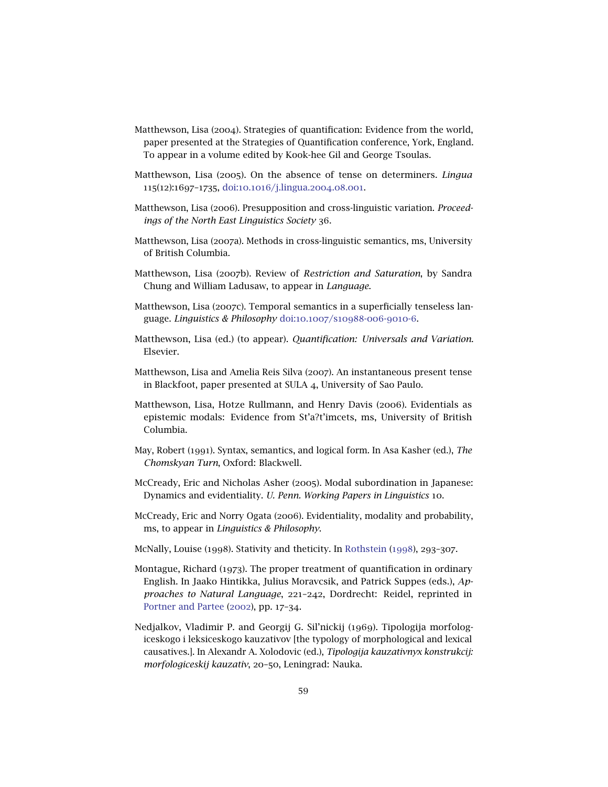- <span id="page-58-4"></span>Matthewson, Lisa (2004). Strategies of quantification: Evidence from the world, paper presented at the Strategies of Quantification conference, York, England. To appear in a volume edited by Kook-hee Gil and George Tsoulas.
- <span id="page-58-10"></span>Matthewson, Lisa (2005). On the absence of tense on determiners. *Lingua* 115(12):1697–1735, doi:10.1016[/j.lingua.](http://dx.doi.org/10.1016/j.lingua.2004.08.001)2004.08.001.
- <span id="page-58-13"></span>Matthewson, Lisa (2006). Presupposition and cross-linguistic variation. *Proceedings of the North East Linguistics Society* 36.
- <span id="page-58-0"></span>Matthewson, Lisa (2007a). Methods in cross-linguistic semantics, ms, University of British Columbia.
- <span id="page-58-12"></span>Matthewson, Lisa (2007b). Review of *Restriction and Saturation*, by Sandra Chung and William Ladusaw, to appear in *Language*.
- <span id="page-58-6"></span>Matthewson, Lisa (2007c). Temporal semantics in a superficially tenseless language. *Linguistics & Philosophy* doi:10.1007/s[10988](http://dx.doi.org/10.1007/s10988-006-9010-6)-006-9010-6.
- <span id="page-58-14"></span>Matthewson, Lisa (ed.) (to appear). *Quantification: Universals and Variation*. Elsevier.
- <span id="page-58-5"></span>Matthewson, Lisa and Amelia Reis Silva (2007). An instantaneous present tense in Blackfoot, paper presented at SULA 4, University of Sao Paulo.
- <span id="page-58-9"></span>Matthewson, Lisa, Hotze Rullmann, and Henry Davis (2006). Evidentials as epistemic modals: Evidence from St'a?t'imcets, ms, University of British Columbia.
- <span id="page-58-3"></span>May, Robert (1991). Syntax, semantics, and logical form. In Asa Kasher (ed.), *The Chomskyan Turn*, Oxford: Blackwell.
- <span id="page-58-7"></span>McCready, Eric and Nicholas Asher (2005). Modal subordination in Japanese: Dynamics and evidentiality. *U. Penn. Working Papers in Linguistics* 10.
- <span id="page-58-8"></span>McCready, Eric and Norry Ogata (2006). Evidentiality, modality and probability, ms, to appear in *Linguistics & Philosophy*.
- <span id="page-58-11"></span>McNally, Louise (1998). Stativity and theticity. In [Rothstein](#page-60-15) ([1998](#page-60-15)), 293–307.
- <span id="page-58-2"></span>Montague, Richard (1973). The proper treatment of quantification in ordinary English. In Jaako Hintikka, Julius Moravcsik, and Patrick Suppes (eds.), *Approaches to Natural Language*, 221–242, Dordrecht: Reidel, reprinted in [Portner and Partee](#page-60-16) ([2002](#page-60-16)), pp. 17–34.
- <span id="page-58-1"></span>Nedjalkov, Vladimir P. and Georgij G. Sil'nickij (1969). Tipologija morfologiceskogo i leksiceskogo kauzativov [the typology of morphological and lexical causatives.]. In Alexandr A. Xolodovic (ed.), *Tipologija kauzativnyx konstrukcij: morfologiceskij kauzativ*, 20–50, Leningrad: Nauka.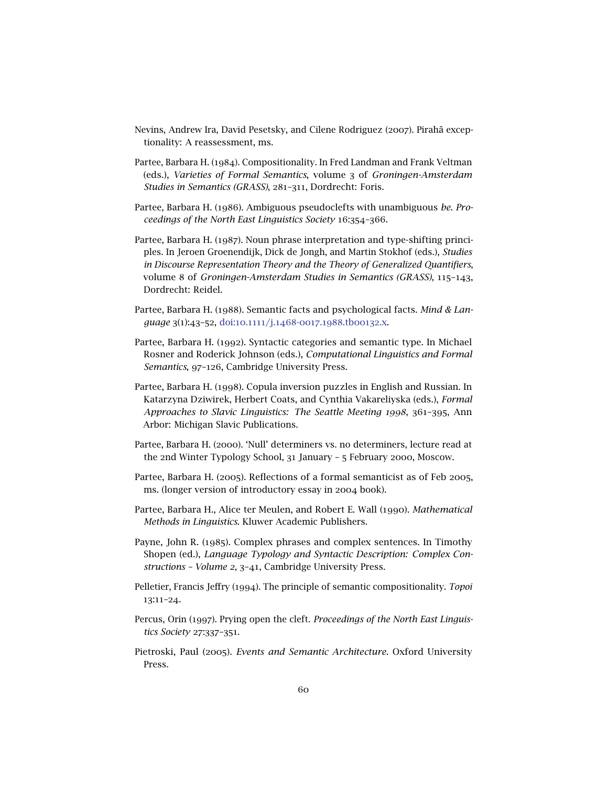- <span id="page-59-1"></span>Nevins, Andrew Ira, David Pesetsky, and Cilene Rodriguez (2007). Pirahã exceptionality: A reassessment, ms.
- <span id="page-59-6"></span>Partee, Barbara H. (1984). Compositionality. In Fred Landman and Frank Veltman (eds.), *Varieties of Formal Semantics*, volume 3 of *Groningen-Amsterdam Studies in Semantics (GRASS)*, 281–311, Dordrecht: Foris.
- <span id="page-59-5"></span>Partee, Barbara H. (1986). Ambiguous pseudoclefts with unambiguous *be*. *Proceedings of the North East Linguistics Society* 16:354–366.
- <span id="page-59-3"></span>Partee, Barbara H. (1987). Noun phrase interpretation and type-shifting principles. In Jeroen Groenendijk, Dick de Jongh, and Martin Stokhof (eds.), *Studies in Discourse Representation Theory and the Theory of Generalized Quantifiers*, volume 8 of *Groningen-Amsterdam Studies in Semantics (GRASS)*, 115–143, Dordrecht: Reidel.
- <span id="page-59-10"></span>Partee, Barbara H. (1988). Semantic facts and psychological facts. *Mind & Language* 3(1):43–52, doi:10.1111/j.1468-0017.1988.tb[00132](http://dx.doi.org/10.1111/j.1468-0017.1988.tb00132.x).x.
- <span id="page-59-7"></span>Partee, Barbara H. (1992). Syntactic categories and semantic type. In Michael Rosner and Roderick Johnson (eds.), *Computational Linguistics and Formal Semantics*, 97–126, Cambridge University Press.
- <span id="page-59-4"></span>Partee, Barbara H. (1998). Copula inversion puzzles in English and Russian. In Katarzyna Dziwirek, Herbert Coats, and Cynthia Vakareliyska (eds.), *Formal Approaches to Slavic Linguistics: The Seattle Meeting 1998*, 361–395, Ann Arbor: Michigan Slavic Publications.
- <span id="page-59-2"></span>Partee, Barbara H. (2000). 'Null' determiners vs. no determiners, lecture read at the 2nd Winter Typology School, 31 January – 5 February 2000, Moscow.
- <span id="page-59-0"></span>Partee, Barbara H. (2005). Reflections of a formal semanticist as of Feb 2005, ms. (longer version of introductory essay in 2004 book).
- <span id="page-59-9"></span>Partee, Barbara H., Alice ter Meulen, and Robert E. Wall (1990). *Mathematical Methods in Linguistics*. Kluwer Academic Publishers.
- <span id="page-59-8"></span>Payne, John R. (1985). Complex phrases and complex sentences. In Timothy Shopen (ed.), *Language Typology and Syntactic Description: Complex Constructions – Volume 2*, 3–41, Cambridge University Press.
- <span id="page-59-11"></span>Pelletier, Francis Jeffry (1994). The principle of semantic compositionality. *Topoi* 13:11–24.
- <span id="page-59-13"></span>Percus, Orin (1997). Prying open the cleft. *Proceedings of the North East Linguistics Society* 27:337–351.
- <span id="page-59-12"></span>Pietroski, Paul (2005). *Events and Semantic Architecture*. Oxford University Press.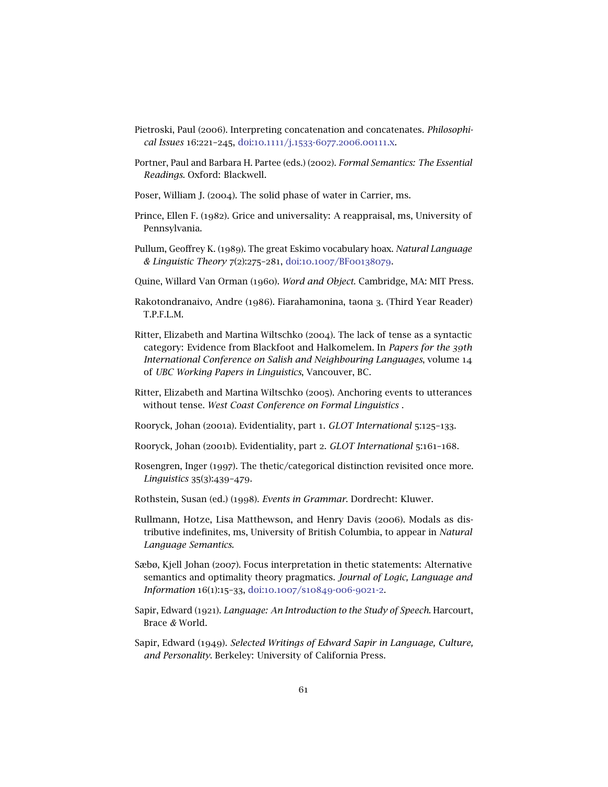- <span id="page-60-11"></span>Pietroski, Paul (2006). Interpreting concatenation and concatenates. *Philosophical Issues* 16:221–245, doi:10.1111/j.1533-6077.2006.[00111](http://dx.doi.org/10.1111/j.1533-6077.2006.00111.x).x.
- <span id="page-60-16"></span>Portner, Paul and Barbara H. Partee (eds.) (2002). *Formal Semantics: The Essential Readings*. Oxford: Blackwell.
- <span id="page-60-0"></span>Poser, William J. (2004). The solid phase of water in Carrier, ms.
- <span id="page-60-14"></span>Prince, Ellen F. (1982). Grice and universality: A reappraisal, ms, University of Pennsylvania.
- <span id="page-60-1"></span>Pullum, Geoffrey K. (1989). The great Eskimo vocabulary hoax. *Natural Language & Linguistic Theory* 7(2):275–281, doi:10.1007/BF[00138079](http://dx.doi.org/10.1007/BF00138079).
- <span id="page-60-3"></span>Quine, Willard Van Orman (1960). *Word and Object*. Cambridge, MA: MIT Press.
- <span id="page-60-5"></span>Rakotondranaivo, Andre (1986). Fiarahamonina, taona 3. (Third Year Reader) T.P.F.L.M.
- <span id="page-60-6"></span>Ritter, Elizabeth and Martina Wiltschko (2004). The lack of tense as a syntactic category: Evidence from Blackfoot and Halkomelem. In *Papers for the 39th International Conference on Salish and Neighbouring Languages*, volume 14 of *UBC Working Papers in Linguistics*, Vancouver, BC.
- <span id="page-60-7"></span>Ritter, Elizabeth and Martina Wiltschko (2005). Anchoring events to utterances without tense. *West Coast Conference on Formal Linguistics* .
- <span id="page-60-8"></span>Rooryck, Johan (2001a). Evidentiality, part 1. *GLOT International* 5:125–133.
- <span id="page-60-9"></span>Rooryck, Johan (2001b). Evidentiality, part 2. *GLOT International* 5:161–168.
- <span id="page-60-12"></span>Rosengren, Inger (1997). The thetic/categorical distinction revisited once more. *Linguistics* 35(3):439–479.
- <span id="page-60-15"></span>Rothstein, Susan (ed.) (1998). *Events in Grammar*. Dordrecht: Kluwer.
- <span id="page-60-10"></span>Rullmann, Hotze, Lisa Matthewson, and Henry Davis (2006). Modals as distributive indefinites, ms, University of British Columbia, to appear in *Natural Language Semantics*.
- <span id="page-60-13"></span>Sæbø, Kjell Johan (2007). Focus interpretation in thetic statements: Alternative semantics and optimality theory pragmatics. *Journal of Logic, Language and Information* 16(1):15–33, doi:10.1007/s[10849](http://dx.doi.org/10.1007/s10849-006-9021-2)-006-9021-2.
- <span id="page-60-4"></span>Sapir, Edward (1921). *Language: An Introduction to the Study of Speech*. Harcourt, Brace *&* World.
- <span id="page-60-2"></span>Sapir, Edward (1949). *Selected Writings of Edward Sapir in Language, Culture, and Personality*. Berkeley: University of California Press.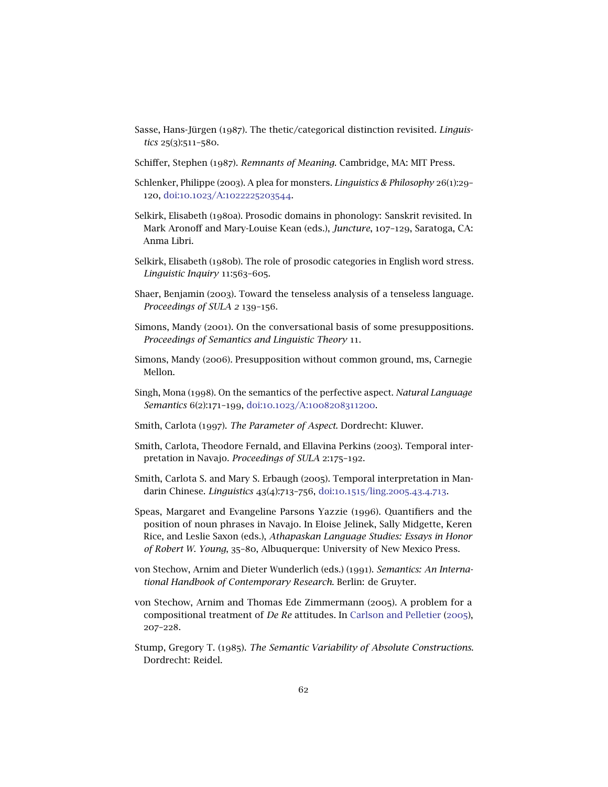- <span id="page-61-12"></span>Sasse, Hans-Jürgen (1987). The thetic/categorical distinction revisited. *Linguistics* 25(3):511–580.
- <span id="page-61-9"></span>Schiffer, Stephen (1987). *Remnants of Meaning*. Cambridge, MA: MIT Press.
- <span id="page-61-10"></span>Schlenker, Philippe (2003). A plea for monsters. *Linguistics & Philosophy* 26(1):29– 120, doi:10.1023/A:[1022225203544](http://dx.doi.org/10.1023/A:1022225203544).
- <span id="page-61-7"></span>Selkirk, Elisabeth (1980a). Prosodic domains in phonology: Sanskrit revisited. In Mark Aronoff and Mary-Louise Kean (eds.), *Juncture*, 107–129, Saratoga, CA: Anma Libri.
- <span id="page-61-8"></span>Selkirk, Elisabeth (1980b). The role of prosodic categories in English word stress. *Linguistic Inquiry* 11:563–605.
- <span id="page-61-3"></span>Shaer, Benjamin (2003). Toward the tenseless analysis of a tenseless language. *Proceedings of SULA 2* 139–156.
- <span id="page-61-14"></span>Simons, Mandy (2001). On the conversational basis of some presuppositions. *Proceedings of Semantics and Linguistic Theory* 11.
- <span id="page-61-13"></span>Simons, Mandy (2006). Presupposition without common ground, ms, Carnegie Mellon.
- <span id="page-61-5"></span>Singh, Mona (1998). On the semantics of the perfective aspect. *Natural Language Semantics* 6(2):171–199, doi:10.1023/A:[1008208311200](http://dx.doi.org/10.1023/A:1008208311200).
- <span id="page-61-6"></span>Smith, Carlota (1997). *The Parameter of Aspect*. Dordrecht: Kluwer.
- <span id="page-61-2"></span>Smith, Carlota, Theodore Fernald, and Ellavina Perkins (2003). Temporal interpretation in Navajo. *Proceedings of SULA* 2:175–192.
- <span id="page-61-4"></span>Smith, Carlota S. and Mary S. Erbaugh (2005). Temporal interpretation in Mandarin Chinese. *Linguistics* 43(4):713–756, doi:10.1515[/ling.](http://dx.doi.org/10.1515/ling.2005.43.4.713)2005.43.4.713.
- <span id="page-61-1"></span>Speas, Margaret and Evangeline Parsons Yazzie (1996). Quantifiers and the position of noun phrases in Navajo. In Eloise Jelinek, Sally Midgette, Keren Rice, and Leslie Saxon (eds.), *Athapaskan Language Studies: Essays in Honor of Robert W. Young*, 35–80, Albuquerque: University of New Mexico Press.
- <span id="page-61-15"></span>von Stechow, Arnim and Dieter Wunderlich (eds.) (1991). *Semantics: An International Handbook of Contemporary Research*. Berlin: de Gruyter.
- <span id="page-61-11"></span>von Stechow, Arnim and Thomas Ede Zimmermann (2005). A problem for a compositional treatment of *De Re* attitudes. In [Carlson and Pelletier](#page-49-16) ([2005](#page-49-16)), 207–228.
- <span id="page-61-0"></span>Stump, Gregory T. (1985). *The Semantic Variability of Absolute Constructions*. Dordrecht: Reidel.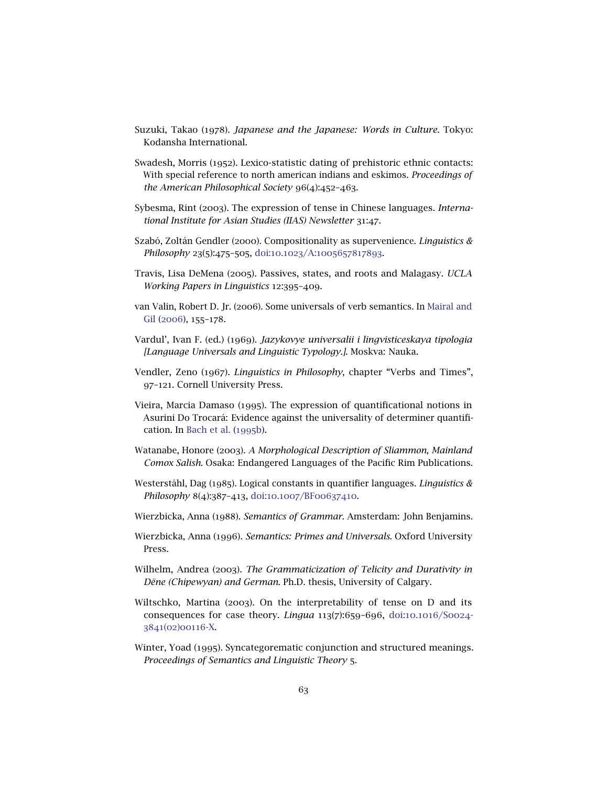- <span id="page-62-3"></span>Suzuki, Takao (1978). *Japanese and the Japanese: Words in Culture*. Tokyo: Kodansha International.
- <span id="page-62-1"></span>Swadesh, Morris (1952). Lexico-statistic dating of prehistoric ethnic contacts: With special reference to north american indians and eskimos. *Proceedings of the American Philosophical Society* 96(4):452–463.
- <span id="page-62-12"></span>Sybesma, Rint (2003). The expression of tense in Chinese languages. *International Institute for Asian Studies (IIAS) Newsletter* 31:47.
- <span id="page-62-15"></span>Szabó, Zoltán Gendler (2000). Compositionality as supervenience. *Linguistics & Philosophy* 23(5):475–505, doi:10.1023/A:[1005657817893](http://dx.doi.org/10.1023/A:1005657817893).
- <span id="page-62-8"></span>Travis, Lisa DeMena (2005). Passives, states, and roots and Malagasy. *UCLA Working Papers in Linguistics* 12:395–409.
- <span id="page-62-0"></span>van Valin, Robert D. Jr. (2006). Some universals of verb semantics. In [Mairal and](#page-57-0) [Gil](#page-57-0) ([2006](#page-57-0)), 155–178.
- <span id="page-62-4"></span>Vardul', Ivan F. (ed.) (1969). *Jazykovye universalii i lingvisticeskaya tipologia [Language Universals and Linguistic Typology.]*. Moskva: Nauka.
- <span id="page-62-6"></span>Vendler, Zeno (1967). *Linguistics in Philosophy*, chapter "Verbs and Times", 97–121. Cornell University Press.
- <span id="page-62-10"></span>Vieira, Marcia Damaso (1995). The expression of quantificational notions in Asurini Do Trocará: Evidence against the universality of determiner quantification. In [Bach et al.](#page-47-0) ([1995](#page-47-0)b).
- <span id="page-62-7"></span>Watanabe, Honore (2003). *A Morphological Description of Sliammon, Mainland Comox Salish*. Osaka: Endangered Languages of the Pacific Rim Publications.
- <span id="page-62-9"></span>Westerståhl, Dag (1985). Logical constants in quantifier languages. *Linguistics & Philosophy* 8(4):387–413, doi:10.1007/BF[00637410](http://dx.doi.org/10.1007/BF00637410).
- <span id="page-62-5"></span>Wierzbicka, Anna (1988). *Semantics of Grammar*. Amsterdam: John Benjamins.
- <span id="page-62-2"></span>Wierzbicka, Anna (1996). *Semantics: Primes and Universals*. Oxford University Press.
- <span id="page-62-14"></span>Wilhelm, Andrea (2003). *The Grammaticization of Telicity and Durativity in Dëne (Chipewyan) and German*. Ph.D. thesis, University of Calgary.
- <span id="page-62-13"></span>Wiltschko, Martina (2003). On the interpretability of tense on D and its consequences for case theory. *Lingua* 113(7):659–696, doi:10.1016/S[0024](http://dx.doi.org/10.1016/S0024-3841(02)00116-X)- 3841(02)[00116](http://dx.doi.org/10.1016/S0024-3841(02)00116-X)-X.
- <span id="page-62-11"></span>Winter, Yoad (1995). Syncategorematic conjunction and structured meanings. *Proceedings of Semantics and Linguistic Theory* 5.